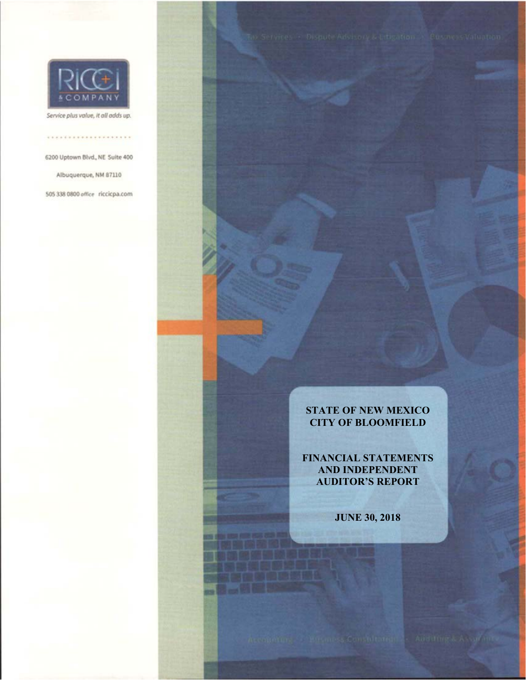Service plus value, it all adds up.

6200 Uptown Blvd., NE Suite 400

Albuquerque, NM 87110

505 338 0800 office riccicpa.com

## **STATE OF NEW MEXICO CITY OF BLOOMFIELD**

**FINANCIAL STATEMENTS AND INDEPENDENT AUDITOR'S REPORT** 

**JUNE 30, 2018** 

es)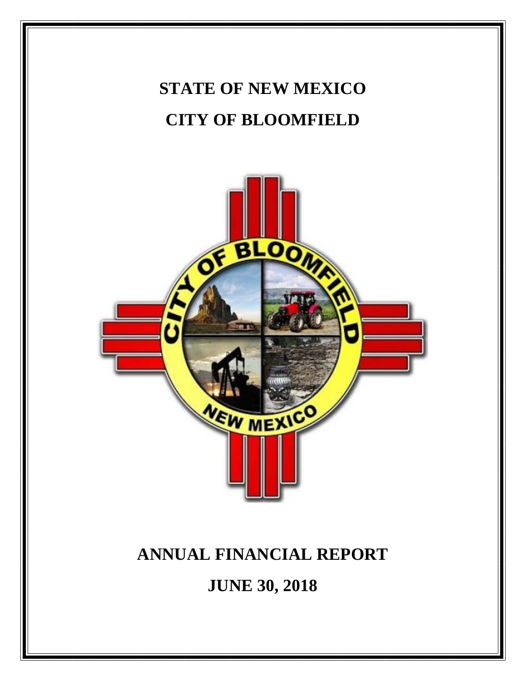# **STATE OF NEW MEXICO CITY OF BLOOMFIELD**



## **ANNUAL FINANCIAL REPORT**

**JUNE 30, 2018**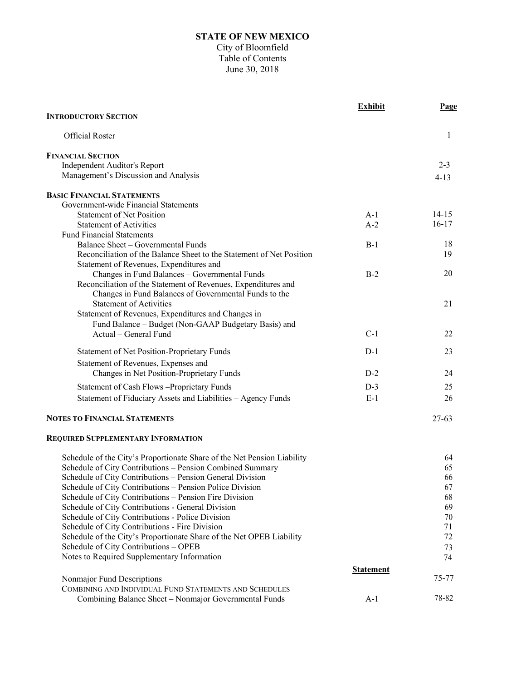## City of Bloomfield Table of Contents

June 30, 2018

| <b>INTRODUCTORY SECTION</b>                                             | <b>Exhibit</b>   | <b>Page</b> |
|-------------------------------------------------------------------------|------------------|-------------|
| <b>Official Roster</b>                                                  |                  | 1           |
| <b>FINANCIAL SECTION</b>                                                |                  |             |
| Independent Auditor's Report                                            |                  | $2 - 3$     |
| Management's Discussion and Analysis                                    |                  | $4 - 13$    |
| <b>BASIC FINANCIAL STATEMENTS</b>                                       |                  |             |
| Government-wide Financial Statements                                    |                  |             |
| <b>Statement of Net Position</b>                                        | $A-1$            | $14 - 15$   |
| <b>Statement of Activities</b>                                          | $A-2$            | $16-17$     |
| <b>Fund Financial Statements</b>                                        |                  |             |
| Balance Sheet - Governmental Funds                                      | $B-1$            | 18          |
| Reconciliation of the Balance Sheet to the Statement of Net Position    |                  | 19          |
| Statement of Revenues, Expenditures and                                 |                  |             |
| Changes in Fund Balances - Governmental Funds                           | $B-2$            | 20          |
| Reconciliation of the Statement of Revenues, Expenditures and           |                  |             |
| Changes in Fund Balances of Governmental Funds to the                   |                  |             |
| <b>Statement of Activities</b>                                          |                  | 21          |
| Statement of Revenues, Expenditures and Changes in                      |                  |             |
| Fund Balance - Budget (Non-GAAP Budgetary Basis) and                    |                  |             |
| Actual – General Fund                                                   | $C-1$            | 22          |
|                                                                         |                  |             |
| Statement of Net Position-Proprietary Funds                             | $D-1$            | 23          |
| Statement of Revenues, Expenses and                                     |                  |             |
| Changes in Net Position-Proprietary Funds                               | $D-2$            | 24          |
| Statement of Cash Flows -Proprietary Funds                              | $D-3$            | 25          |
| Statement of Fiduciary Assets and Liabilities - Agency Funds            | $E-1$            | 26          |
| <b>NOTES TO FINANCIAL STATEMENTS</b>                                    |                  |             |
|                                                                         |                  | $27-63$     |
| <b>REQUIRED SUPPLEMENTARY INFORMATION</b>                               |                  |             |
| Schedule of the City's Proportionate Share of the Net Pension Liability |                  | 64          |
| Schedule of City Contributions - Pension Combined Summary               |                  | 65          |
| Schedule of City Contributions - Pension General Division               |                  | 66          |
| Schedule of City Contributions – Pension Police Division                |                  | 67          |
| Schedule of City Contributions – Pension Fire Division                  |                  | 68          |
| Schedule of City Contributions - General Division                       |                  | 69          |
| Schedule of City Contributions - Police Division                        |                  | 70          |
| Schedule of City Contributions - Fire Division                          |                  | 71          |
| Schedule of the City's Proportionate Share of the Net OPEB Liability    |                  | 72          |
| Schedule of City Contributions - OPEB                                   |                  | 73          |
| Notes to Required Supplementary Information                             |                  | 74          |
|                                                                         | <b>Statement</b> |             |
| Nonmajor Fund Descriptions                                              |                  | 75-77       |
| COMBINING AND INDIVIDUAL FUND STATEMENTS AND SCHEDULES                  |                  |             |
| Combining Balance Sheet - Nonmajor Governmental Funds                   | $A-1$            | 78-82       |
|                                                                         |                  |             |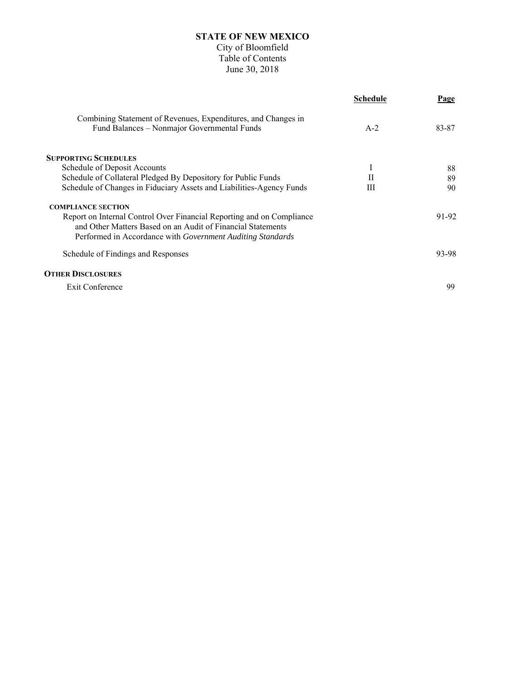## City of Bloomfield

Table of Contents June 30, 2018

|                                                                                                                                                                                                           | Schedule | Page  |
|-----------------------------------------------------------------------------------------------------------------------------------------------------------------------------------------------------------|----------|-------|
| Combining Statement of Revenues, Expenditures, and Changes in<br>Fund Balances - Nonmajor Governmental Funds                                                                                              | $A-2$    | 83-87 |
| <b>SUPPORTING SCHEDULES</b>                                                                                                                                                                               |          |       |
| Schedule of Deposit Accounts                                                                                                                                                                              | I        | 88    |
| Schedule of Collateral Pledged By Depository for Public Funds                                                                                                                                             | Н        | 89    |
| Schedule of Changes in Fiduciary Assets and Liabilities-Agency Funds                                                                                                                                      | Ш        | 90    |
| <b>COMPLIANCE SECTION</b>                                                                                                                                                                                 |          |       |
| Report on Internal Control Over Financial Reporting and on Compliance<br>and Other Matters Based on an Audit of Financial Statements<br>Performed in Accordance with <i>Government Auditing Standards</i> |          | 91-92 |
| Schedule of Findings and Responses                                                                                                                                                                        |          | 93-98 |
| <b>OTHER DISCLOSURES</b>                                                                                                                                                                                  |          |       |
| Exit Conference                                                                                                                                                                                           |          | 99    |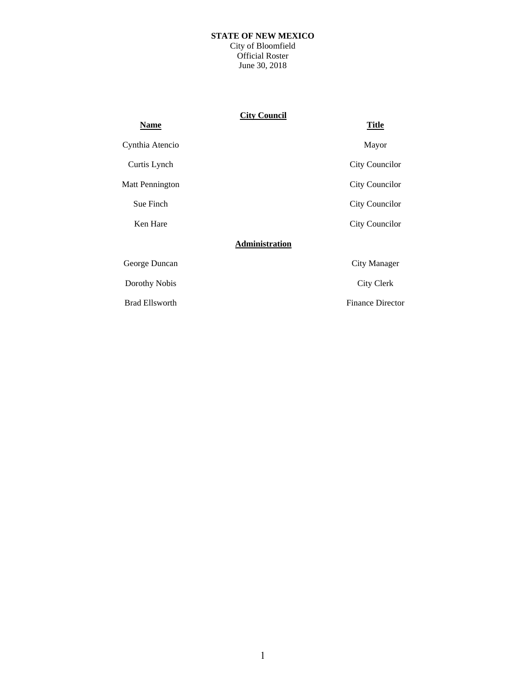City of Bloomfield Official Roster June 30, 2018

|                        | <b>City Council</b>   |                         |
|------------------------|-----------------------|-------------------------|
| <b>Name</b>            |                       | <b>Title</b>            |
| Cynthia Atencio        |                       | Mayor                   |
| Curtis Lynch           |                       | <b>City Councilor</b>   |
| <b>Matt Pennington</b> |                       | <b>City Councilor</b>   |
| Sue Finch              |                       | <b>City Councilor</b>   |
| Ken Hare               |                       | <b>City Councilor</b>   |
|                        | <b>Administration</b> |                         |
| George Duncan          |                       | <b>City Manager</b>     |
| Dorothy Nobis          |                       | <b>City Clerk</b>       |
| <b>Brad Ellsworth</b>  |                       | <b>Finance Director</b> |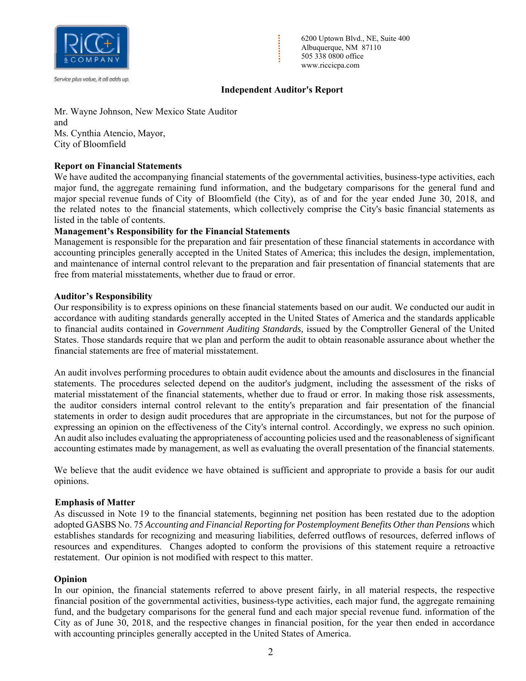

Service plus value, it all adds up.

6200 Uptown Blvd., NE, Suite 400 Albuquerque, NM 87110 505 338 0800 office www.riccicpa.com

#### **Independent Auditor's Report**

i<br>Sidney says

Mr. Wayne Johnson, New Mexico State Auditor and Ms. Cynthia Atencio, Mayor, City of Bloomfield

#### **Report on Financial Statements**

We have audited the accompanying financial statements of the governmental activities, business-type activities, each major fund, the aggregate remaining fund information, and the budgetary comparisons for the general fund and major special revenue funds of City of Bloomfield (the City), as of and for the year ended June 30, 2018, and the related notes to the financial statements, which collectively comprise the City's basic financial statements as listed in the table of contents.

#### **Management's Responsibility for the Financial Statements**

Management is responsible for the preparation and fair presentation of these financial statements in accordance with accounting principles generally accepted in the United States of America; this includes the design, implementation, and maintenance of internal control relevant to the preparation and fair presentation of financial statements that are free from material misstatements, whether due to fraud or error.

#### **Auditor's Responsibility**

Our responsibility is to express opinions on these financial statements based on our audit. We conducted our audit in accordance with auditing standards generally accepted in the United States of America and the standards applicable to financial audits contained in *Government Auditing Standards,* issued by the Comptroller General of the United States. Those standards require that we plan and perform the audit to obtain reasonable assurance about whether the financial statements are free of material misstatement.

An audit involves performing procedures to obtain audit evidence about the amounts and disclosures in the financial statements. The procedures selected depend on the auditor's judgment, including the assessment of the risks of material misstatement of the financial statements, whether due to fraud or error. In making those risk assessments, the auditor considers internal control relevant to the entity's preparation and fair presentation of the financial statements in order to design audit procedures that are appropriate in the circumstances, but not for the purpose of expressing an opinion on the effectiveness of the City's internal control. Accordingly, we express no such opinion. An audit also includes evaluating the appropriateness of accounting policies used and the reasonableness of significant accounting estimates made by management, as well as evaluating the overall presentation of the financial statements.

We believe that the audit evidence we have obtained is sufficient and appropriate to provide a basis for our audit opinions.

#### **Emphasis of Matter**

As discussed in Note 19 to the financial statements, beginning net position has been restated due to the adoption adopted GASBS No. 75 *Accounting and Financial Reporting for Postemployment Benefits Other than Pensions* which establishes standards for recognizing and measuring liabilities, deferred outflows of resources, deferred inflows of resources and expenditures. Changes adopted to conform the provisions of this statement require a retroactive restatement. Our opinion is not modified with respect to this matter.

#### **Opinion**

In our opinion, the financial statements referred to above present fairly, in all material respects, the respective financial position of the governmental activities, business-type activities, each major fund, the aggregate remaining fund, and the budgetary comparisons for the general fund and each major special revenue fund. information of the City as of June 30, 2018, and the respective changes in financial position, for the year then ended in accordance with accounting principles generally accepted in the United States of America.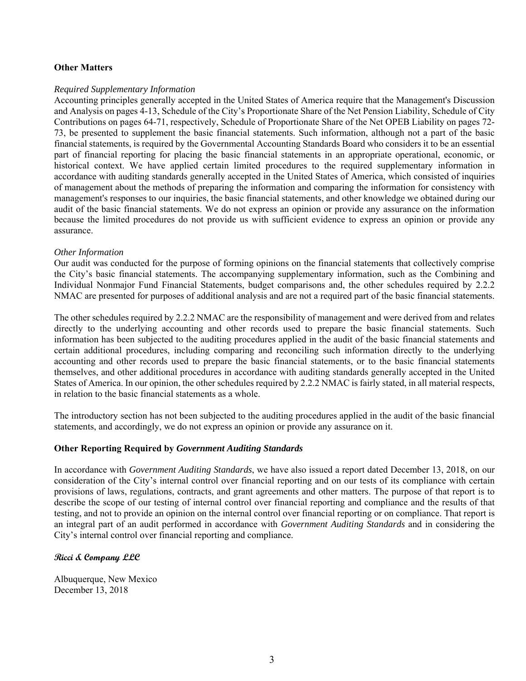#### **Other Matters**

#### *Required Supplementary Information*

Accounting principles generally accepted in the United States of America require that the Management's Discussion and Analysis on pages 4-13, Schedule of the City's Proportionate Share of the Net Pension Liability, Schedule of City Contributions on pages 64-71, respectively, Schedule of Proportionate Share of the Net OPEB Liability on pages 72- 73, be presented to supplement the basic financial statements. Such information, although not a part of the basic financial statements, is required by the Governmental Accounting Standards Board who considers it to be an essential part of financial reporting for placing the basic financial statements in an appropriate operational, economic, or historical context. We have applied certain limited procedures to the required supplementary information in accordance with auditing standards generally accepted in the United States of America, which consisted of inquiries of management about the methods of preparing the information and comparing the information for consistency with management's responses to our inquiries, the basic financial statements, and other knowledge we obtained during our audit of the basic financial statements. We do not express an opinion or provide any assurance on the information because the limited procedures do not provide us with sufficient evidence to express an opinion or provide any assurance.

#### *Other Information*

Our audit was conducted for the purpose of forming opinions on the financial statements that collectively comprise the City's basic financial statements. The accompanying supplementary information, such as the Combining and Individual Nonmajor Fund Financial Statements, budget comparisons and, the other schedules required by 2.2.2 NMAC are presented for purposes of additional analysis and are not a required part of the basic financial statements.

The other schedules required by 2.2.2 NMAC are the responsibility of management and were derived from and relates directly to the underlying accounting and other records used to prepare the basic financial statements. Such information has been subjected to the auditing procedures applied in the audit of the basic financial statements and certain additional procedures, including comparing and reconciling such information directly to the underlying accounting and other records used to prepare the basic financial statements, or to the basic financial statements themselves, and other additional procedures in accordance with auditing standards generally accepted in the United States of America. In our opinion, the other schedules required by 2.2.2 NMAC is fairly stated, in all material respects, in relation to the basic financial statements as a whole.

The introductory section has not been subjected to the auditing procedures applied in the audit of the basic financial statements, and accordingly, we do not express an opinion or provide any assurance on it.

#### **Other Reporting Required by** *Government Auditing Standards*

In accordance with *Government Auditing Standards*, we have also issued a report dated December 13, 2018, on our consideration of the City's internal control over financial reporting and on our tests of its compliance with certain provisions of laws, regulations, contracts, and grant agreements and other matters. The purpose of that report is to describe the scope of our testing of internal control over financial reporting and compliance and the results of that testing, and not to provide an opinion on the internal control over financial reporting or on compliance. That report is an integral part of an audit performed in accordance with *Government Auditing Standards* and in considering the City's internal control over financial reporting and compliance.

#### **Ricci & Company LLC**

Albuquerque, New Mexico December 13, 2018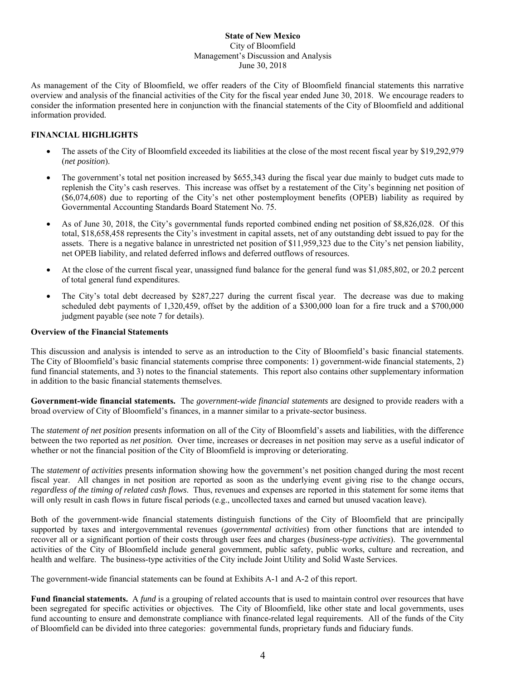As management of the City of Bloomfield, we offer readers of the City of Bloomfield financial statements this narrative overview and analysis of the financial activities of the City for the fiscal year ended June 30, 2018. We encourage readers to consider the information presented here in conjunction with the financial statements of the City of Bloomfield and additional information provided.

#### **FINANCIAL HIGHLIGHTS**

- The assets of the City of Bloomfield exceeded its liabilities at the close of the most recent fiscal year by \$19,292,979 (*net position*).
- The government's total net position increased by \$655,343 during the fiscal year due mainly to budget cuts made to replenish the City's cash reserves. This increase was offset by a restatement of the City's beginning net position of (\$6,074,608) due to reporting of the City's net other postemployment benefits (OPEB) liability as required by Governmental Accounting Standards Board Statement No. 75.
- As of June 30, 2018, the City's governmental funds reported combined ending net position of \$8,826,028. Of this total, \$18,658,458 represents the City's investment in capital assets, net of any outstanding debt issued to pay for the assets. There is a negative balance in unrestricted net position of \$11,959,323 due to the City's net pension liability, net OPEB liability, and related deferred inflows and deferred outflows of resources.
- At the close of the current fiscal year, unassigned fund balance for the general fund was \$1,085,802, or 20.2 percent of total general fund expenditures.
- The City's total debt decreased by \$287,227 during the current fiscal year. The decrease was due to making scheduled debt payments of 1,320,459, offset by the addition of a \$300,000 loan for a fire truck and a \$700,000 judgment payable (see note 7 for details).

#### **Overview of the Financial Statements**

This discussion and analysis is intended to serve as an introduction to the City of Bloomfield's basic financial statements. The City of Bloomfield's basic financial statements comprise three components: 1) government-wide financial statements, 2) fund financial statements, and 3) notes to the financial statements. This report also contains other supplementary information in addition to the basic financial statements themselves.

**Government-wide financial statements.** The *government-wide financial statements* are designed to provide readers with a broad overview of City of Bloomfield's finances, in a manner similar to a private-sector business.

The *statement of net position* presents information on all of the City of Bloomfield's assets and liabilities, with the difference between the two reported as *net position.* Over time, increases or decreases in net position may serve as a useful indicator of whether or not the financial position of the City of Bloomfield is improving or deteriorating.

The *statement of activities* presents information showing how the government's net position changed during the most recent fiscal year. All changes in net position are reported as soon as the underlying event giving rise to the change occurs, *regardless of the timing of related cash flows*. Thus, revenues and expenses are reported in this statement for some items that will only result in cash flows in future fiscal periods (e.g., uncollected taxes and earned but unused vacation leave).

Both of the government-wide financial statements distinguish functions of the City of Bloomfield that are principally supported by taxes and intergovernmental revenues (*governmental activities*) from other functions that are intended to recover all or a significant portion of their costs through user fees and charges (*business-type activities*). The governmental activities of the City of Bloomfield include general government, public safety, public works, culture and recreation, and health and welfare. The business-type activities of the City include Joint Utility and Solid Waste Services.

The government-wide financial statements can be found at Exhibits A-1 and A-2 of this report.

**Fund financial statements.** A *fund* is a grouping of related accounts that is used to maintain control over resources that have been segregated for specific activities or objectives. The City of Bloomfield, like other state and local governments, uses fund accounting to ensure and demonstrate compliance with finance-related legal requirements. All of the funds of the City of Bloomfield can be divided into three categories: governmental funds, proprietary funds and fiduciary funds.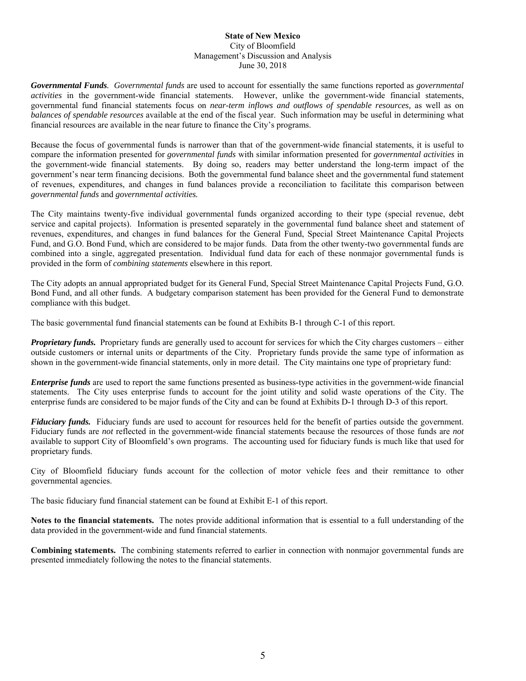*Governmental Funds. Governmental funds* are used to account for essentially the same functions reported as *governmental activities* in the government-wide financial statements. However, unlike the government-wide financial statements, governmental fund financial statements focus on *near-term inflows and outflows of spendable resources,* as well as on *balances of spendable resources* available at the end of the fiscal year. Such information may be useful in determining what financial resources are available in the near future to finance the City's programs.

Because the focus of governmental funds is narrower than that of the government-wide financial statements, it is useful to compare the information presented for *governmental funds* with similar information presented for *governmental activities* in the government-wide financial statements. By doing so, readers may better understand the long-term impact of the government's near term financing decisions. Both the governmental fund balance sheet and the governmental fund statement of revenues, expenditures, and changes in fund balances provide a reconciliation to facilitate this comparison between *governmental funds* and *governmental activities.*

The City maintains twenty-five individual governmental funds organized according to their type (special revenue, debt service and capital projects). Information is presented separately in the governmental fund balance sheet and statement of revenues, expenditures, and changes in fund balances for the General Fund, Special Street Maintenance Capital Projects Fund, and G.O. Bond Fund, which are considered to be major funds. Data from the other twenty-two governmental funds are combined into a single, aggregated presentation. Individual fund data for each of these nonmajor governmental funds is provided in the form of *combining statements* elsewhere in this report.

The City adopts an annual appropriated budget for its General Fund, Special Street Maintenance Capital Projects Fund, G.O. Bond Fund, and all other funds. A budgetary comparison statement has been provided for the General Fund to demonstrate compliance with this budget.

The basic governmental fund financial statements can be found at Exhibits B-1 through C-1 of this report.

*Proprietary funds.* Proprietary funds are generally used to account for services for which the City charges customers – either outside customers or internal units or departments of the City. Proprietary funds provide the same type of information as shown in the government-wide financial statements, only in more detail. The City maintains one type of proprietary fund:

*Enterprise funds* are used to report the same functions presented as business-type activities in the government-wide financial statements. The City uses enterprise funds to account for the joint utility and solid waste operations of the City. The enterprise funds are considered to be major funds of the City and can be found at Exhibits D-1 through D-3 of this report.

*Fiduciary funds.* Fiduciary funds are used to account for resources held for the benefit of parties outside the government. Fiduciary funds are *not* reflected in the government-wide financial statements because the resources of those funds are *not* available to support City of Bloomfield's own programs. The accounting used for fiduciary funds is much like that used for proprietary funds.

City of Bloomfield fiduciary funds account for the collection of motor vehicle fees and their remittance to other governmental agencies.

The basic fiduciary fund financial statement can be found at Exhibit E-1 of this report.

**Notes to the financial statements.** The notes provide additional information that is essential to a full understanding of the data provided in the government-wide and fund financial statements.

**Combining statements.** The combining statements referred to earlier in connection with nonmajor governmental funds are presented immediately following the notes to the financial statements.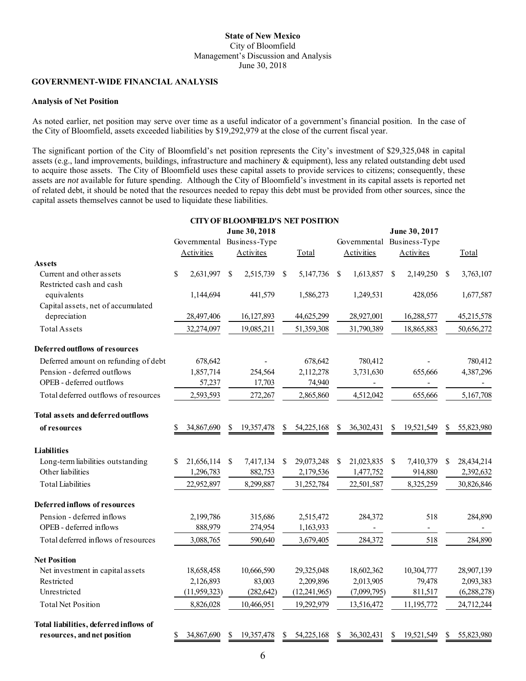#### **GOVERNMENT-WIDE FINANCIAL ANALYSIS**

#### **Analysis of Net Position**

As noted earlier, net position may serve over time as a useful indicator of a government's financial position. In the case of the City of Bloomfield, assets exceeded liabilities by \$19,292,979 at the close of the current fiscal year.

The significant portion of the City of Bloomfield's net position represents the City's investment of \$29,325,048 in capital assets (e.g., land improvements, buildings, infrastructure and machinery & equipment), less any related outstanding debt used to acquire those assets. The City of Bloomfield uses these capital assets to provide services to citizens; consequently, these assets are *not* available for future spending. Although the City of Bloomfield's investment in its capital assets is reported net of related debt, it should be noted that the resources needed to repay this debt must be provided from other sources, since the capital assets themselves cannot be used to liquidate these liabilities.

|                                           |                            |               |               |    | <b>CITY OF BLOOMFIELD'S NET POSITION</b> |               |                            |               |                |    |             |
|-------------------------------------------|----------------------------|---------------|---------------|----|------------------------------------------|---------------|----------------------------|---------------|----------------|----|-------------|
|                                           |                            |               | June 30, 2018 |    |                                          |               |                            | June 30, 2017 |                |    |             |
|                                           | Governmental Business-Type |               |               |    |                                          |               | Governmental Business-Type |               |                |    |             |
|                                           | Activities                 |               | Activites     |    | Total                                    |               | Activities                 |               | Activites      |    | Total       |
| <b>Assets</b>                             |                            |               |               |    |                                          |               |                            |               |                |    |             |
| Current and other assets                  | \$<br>2,631,997            | <sup>\$</sup> | 2,515,739     | -S | 5,147,736                                | - \$          | 1,613,857                  | \$            | 2,149,250      | -S | 3,763,107   |
| Restricted cash and cash                  |                            |               |               |    |                                          |               |                            |               |                |    |             |
| equivalents                               | 1,144,694                  |               | 441,579       |    | 1,586,273                                |               | 1,249,531                  |               | 428,056        |    | 1,677,587   |
| Capital assets, net of accumulated        |                            |               |               |    |                                          |               |                            |               |                |    |             |
| depreciation                              | 28,497,406                 |               | 16,127,893    |    | 44,625,299                               |               | 28,927,001                 |               | 16,288,577     |    | 45,215,578  |
| <b>Total Assets</b>                       | 32,274,097                 |               | 19,085,211    |    | 51,359,308                               |               | 31,790,389                 |               | 18,865,883     |    | 50,656,272  |
| Deferred outflows of resources            |                            |               |               |    |                                          |               |                            |               |                |    |             |
| Deferred amount on refunding of debt      | 678,642                    |               |               |    | 678,642                                  |               | 780,412                    |               |                |    | 780,412     |
| Pension - deferred outflows               | 1,857,714                  |               | 254,564       |    | 2,112,278                                |               | 3,731,630                  |               | 655,666        |    | 4,387,296   |
| OPEB - deferred outflows                  | 57,237                     |               | 17,703        |    | 74,940                                   |               |                            |               |                |    |             |
| Total deferred outflows of resources      | 2,593,593                  |               | 272,267       |    | 2,865,860                                |               | 4,512,042                  |               | 655,666        |    | 5,167,708   |
| <b>Total assets and deferred outflows</b> |                            |               |               |    |                                          |               |                            |               |                |    |             |
| of resources                              | 34,867,690                 | S             | 19,357,478    | \$ | 54,225,168                               | S             | 36, 302, 431               | \$            | 19,521,549     | \$ | 55,823,980  |
| <b>Liabilities</b>                        |                            |               |               |    |                                          |               |                            |               |                |    |             |
| Long-term liabilities outstanding         | 21,656,114<br>\$           | <sup>\$</sup> | 7,417,134     | \$ | 29,073,248                               | <sup>\$</sup> | 21,023,835                 | \$            | 7,410,379      | \$ | 28,434,214  |
| Other liabilities                         | 1,296,783                  |               | 882,753       |    | 2,179,536                                |               | 1,477,752                  |               | 914,880        |    | 2,392,632   |
| <b>Total Liabilities</b>                  | 22,952,897                 |               | 8,299,887     |    | 31,252,784                               |               | 22,501,587                 |               | 8,325,259      |    | 30,826,846  |
| Deferred inflows of resources             |                            |               |               |    |                                          |               |                            |               |                |    |             |
| Pension - deferred inflows                | 2,199,786                  |               | 315,686       |    | 2,515,472                                |               | 284,372                    |               | 518            |    | 284,890     |
| OPEB - deferred inflows                   | 888,979                    |               | 274,954       |    | 1,163,933                                |               |                            |               | $\blacksquare$ |    |             |
| Total deferred inflows of resources       | 3,088,765                  |               | 590,640       |    | 3,679,405                                |               | 284,372                    |               | 518            |    | 284,890     |
| <b>Net Position</b>                       |                            |               |               |    |                                          |               |                            |               |                |    |             |
| Net investment in capital assets          | 18,658,458                 |               | 10,666,590    |    | 29,325,048                               |               | 18,602,362                 |               | 10,304,777     |    | 28,907,139  |
| Restricted                                | 2,126,893                  |               | 83,003        |    | 2,209,896                                |               | 2,013,905                  |               | 79,478         |    | 2,093,383   |
| Unrestricted                              | (11, 959, 323)             |               | (282, 642)    |    | (12, 241, 965)                           |               | (7,099,795)                |               | 811,517        |    | (6,288,278) |
| <b>Total Net Position</b>                 | 8,826,028                  |               | 10,466,951    |    | 19,292,979                               |               | 13,516,472                 |               | 11,195,772     |    | 24,712,244  |
| Total liabilities, deferred inflows of    |                            |               |               |    |                                          |               |                            |               |                |    |             |
| resources, and net position               | 34,867,690                 | S             | 19,357,478    |    | 54, 225, 168                             |               | 36, 302, 431               | S.            | 19,521,549     | S  | 55,823,980  |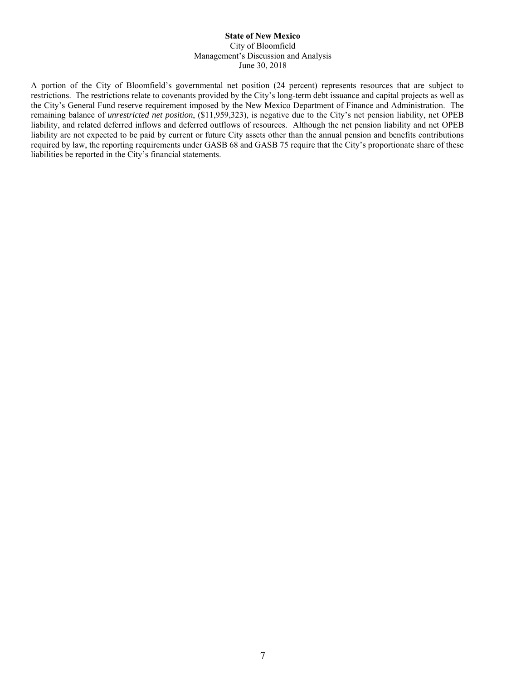A portion of the City of Bloomfield's governmental net position (24 percent) represents resources that are subject to restrictions. The restrictions relate to covenants provided by the City's long-term debt issuance and capital projects as well as the City's General Fund reserve requirement imposed by the New Mexico Department of Finance and Administration. The remaining balance of *unrestricted net position*, (\$11,959,323), is negative due to the City's net pension liability, net OPEB liability, and related deferred inflows and deferred outflows of resources. Although the net pension liability and net OPEB liability are not expected to be paid by current or future City assets other than the annual pension and benefits contributions required by law, the reporting requirements under GASB 68 and GASB 75 require that the City's proportionate share of these liabilities be reported in the City's financial statements.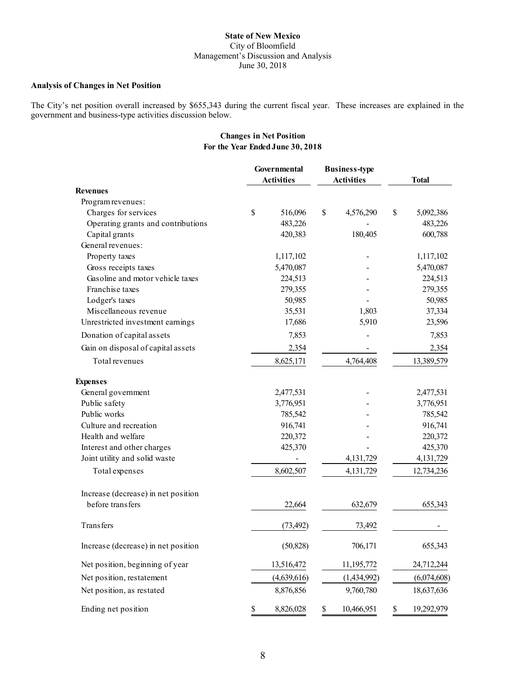#### **Analysis of Changes in Net Position**

The City's net position overall increased by \$655,343 during the current fiscal year. These increases are explained in the government and business-type activities discussion below.

#### **For the Year Ended June 30, 2018 Changes in Net Position**

|                                     | Governmental<br><b>Activities</b> | <b>Business-type</b><br><b>Activities</b> | <b>Total</b>     |  |
|-------------------------------------|-----------------------------------|-------------------------------------------|------------------|--|
| <b>Revenues</b>                     |                                   |                                           |                  |  |
| Program revenues:                   |                                   |                                           |                  |  |
| Charges for services                | \$<br>516,096                     | \$<br>4,576,290                           | \$<br>5,092,386  |  |
| Operating grants and contributions  | 483,226                           |                                           | 483,226          |  |
| Capital grants                      | 420,383                           | 180,405                                   | 600,788          |  |
| General revenues:                   |                                   |                                           |                  |  |
| Property taxes                      | 1,117,102                         |                                           | 1,117,102        |  |
| Gross receipts taxes                | 5,470,087                         |                                           | 5,470,087        |  |
| Gasoline and motor vehicle taxes    | 224,513                           |                                           | 224,513          |  |
| Franchise taxes                     | 279,355                           |                                           | 279,355          |  |
| Lodger's taxes                      | 50,985                            |                                           | 50,985           |  |
| Miscellaneous revenue               | 35,531                            | 1,803                                     | 37,334           |  |
| Unrestricted investment earnings    | 17,686                            | 5,910                                     | 23,596           |  |
| Donation of capital assets          | 7,853                             |                                           | 7,853            |  |
| Gain on disposal of capital assets  | 2,354                             |                                           | 2,354            |  |
| Total revenues                      | 8,625,171                         | 4,764,408                                 | 13,389,579       |  |
| <b>Expenses</b>                     |                                   |                                           |                  |  |
| General government                  | 2,477,531                         |                                           | 2,477,531        |  |
| Public safety                       | 3,776,951                         |                                           | 3,776,951        |  |
| Public works                        | 785,542                           |                                           | 785,542          |  |
| Culture and recreation              | 916,741                           |                                           | 916,741          |  |
| Health and welfare                  | 220,372                           |                                           | 220,372          |  |
| Interest and other charges          | 425,370                           |                                           | 425,370          |  |
| Joint utility and solid waste       |                                   | 4, 131, 729                               | 4, 131, 729      |  |
| Total expenses                      | 8,602,507                         | 4, 131, 729                               | 12,734,236       |  |
| Increase (decrease) in net position |                                   |                                           |                  |  |
| before transfers                    | 22,664                            | 632,679                                   | 655,343          |  |
| <b>Transfers</b>                    | (73, 492)                         | 73,492                                    |                  |  |
| Increase (decrease) in net position | (50, 828)                         | 706,171                                   | 655,343          |  |
| Net position, beginning of year     | 13,516,472                        | 11,195,772                                | 24,712,244       |  |
| Net position, restatement           | (4,639,616)                       | (1,434,992)                               | (6,074,608)      |  |
| Net position, as restated           | 8,876,856                         | 9,760,780                                 | 18,637,636       |  |
| Ending net position                 | \$<br>8,826,028                   | \$<br>10,466,951                          | \$<br>19,292,979 |  |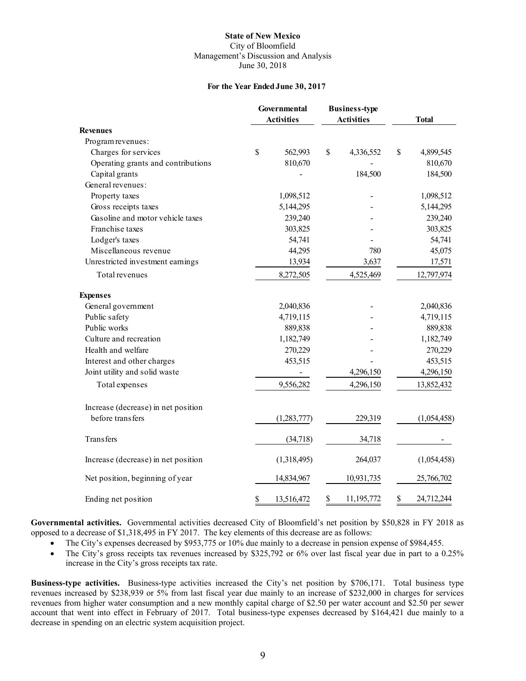#### **For the Year Ended June 30, 2017**

|                                     |              | Governmental<br><b>Activities</b> |              | <b>Business-type</b><br><b>Activities</b> |              | <b>Total</b> |
|-------------------------------------|--------------|-----------------------------------|--------------|-------------------------------------------|--------------|--------------|
| <b>Revenues</b>                     |              |                                   |              |                                           |              |              |
| Program revenues:                   |              |                                   |              |                                           |              |              |
| Charges for services                | $\mathbb{S}$ | 562,993                           | $\mathbb{S}$ | 4,336,552                                 | $\mathbb{S}$ | 4,899,545    |
| Operating grants and contributions  |              | 810,670                           |              |                                           |              | 810,670      |
| Capital grants                      |              |                                   |              | 184,500                                   |              | 184,500      |
| General revenues:                   |              |                                   |              |                                           |              |              |
| Property taxes                      |              | 1,098,512                         |              |                                           |              | 1,098,512    |
| Gross receipts taxes                |              | 5,144,295                         |              |                                           |              | 5,144,295    |
| Gasoline and motor vehicle taxes    |              | 239,240                           |              |                                           |              | 239,240      |
| Franchise taxes                     |              | 303,825                           |              |                                           |              | 303,825      |
| Lodger's taxes                      |              | 54,741                            |              |                                           |              | 54,741       |
| Miscellaneous revenue               |              | 44,295                            |              | 780                                       |              | 45,075       |
| Unrestricted investment earnings    |              | 13,934                            |              | 3,637                                     |              | 17,571       |
| Total revenues                      |              | 8,272,505                         |              | 4,525,469                                 |              | 12,797,974   |
| <b>Expenses</b>                     |              |                                   |              |                                           |              |              |
| General government                  |              | 2,040,836                         |              |                                           |              | 2,040,836    |
| Public safety                       |              | 4,719,115                         |              |                                           |              | 4,719,115    |
| Public works                        |              | 889,838                           |              |                                           |              | 889,838      |
| Culture and recreation              |              | 1,182,749                         |              |                                           |              | 1,182,749    |
| Health and welfare                  |              | 270,229                           |              |                                           |              | 270,229      |
| Interest and other charges          |              | 453,515                           |              |                                           |              | 453,515      |
| Joint utility and solid waste       |              |                                   |              | 4,296,150                                 |              | 4,296,150    |
| Total expenses                      |              | 9,556,282                         |              | 4,296,150                                 |              | 13,852,432   |
| Increase (decrease) in net position |              |                                   |              |                                           |              |              |
| before transfers                    |              | (1,283,777)                       |              | 229,319                                   |              | (1,054,458)  |
| <b>Transfers</b>                    |              | (34, 718)                         |              | 34,718                                    |              |              |
| Increase (decrease) in net position |              | (1,318,495)                       |              | 264,037                                   |              | (1,054,458)  |
| Net position, beginning of year     |              | 14,834,967                        |              | 10,931,735                                |              | 25,766,702   |
| Ending net position                 | \$           | 13,516,472                        | \$           | 11,195,772                                | \$           | 24,712,244   |

**Governmental activities.** Governmental activities decreased City of Bloomfield's net position by \$50,828 in FY 2018 as opposed to a decrease of \$1,318,495 in FY 2017. The key elements of this decrease are as follows:

- The City's expenses decreased by \$953,775 or 10% due mainly to a decrease in pension expense of \$984,455.
- The City's gross receipts tax revenues increased by \$325,792 or 6% over last fiscal year due in part to a 0.25% increase in the City's gross receipts tax rate.

**Business-type activities.** Business-type activities increased the City's net position by \$706,171. Total business type revenues increased by \$238,939 or 5% from last fiscal year due mainly to an increase of \$232,000 in charges for services revenues from higher water consumption and a new monthly capital charge of \$2.50 per water account and \$2.50 per sewer account that went into effect in February of 2017. Total business-type expenses decreased by \$164,421 due mainly to a decrease in spending on an electric system acquisition project.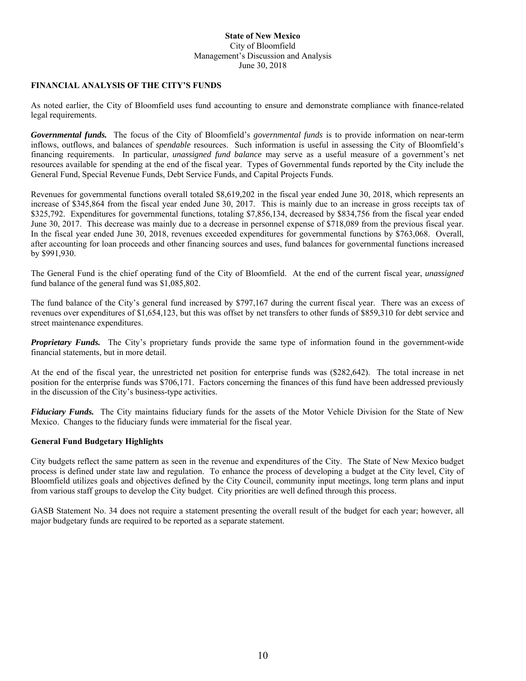#### **FINANCIAL ANALYSIS OF THE CITY'S FUNDS**

As noted earlier, the City of Bloomfield uses fund accounting to ensure and demonstrate compliance with finance-related legal requirements.

*Governmental funds.* The focus of the City of Bloomfield's *governmental funds* is to provide information on near-term inflows, outflows, and balances of *spendable* resources. Such information is useful in assessing the City of Bloomfield's financing requirements. In particular, *unassigned fund balance* may serve as a useful measure of a government's net resources available for spending at the end of the fiscal year. Types of Governmental funds reported by the City include the General Fund, Special Revenue Funds, Debt Service Funds, and Capital Projects Funds.

Revenues for governmental functions overall totaled \$8,619,202 in the fiscal year ended June 30, 2018, which represents an increase of \$345,864 from the fiscal year ended June 30, 2017. This is mainly due to an increase in gross receipts tax of \$325,792. Expenditures for governmental functions, totaling \$7,856,134, decreased by \$834,756 from the fiscal year ended June 30, 2017. This decrease was mainly due to a decrease in personnel expense of \$718,089 from the previous fiscal year. In the fiscal year ended June 30, 2018, revenues exceeded expenditures for governmental functions by \$763,068. Overall, after accounting for loan proceeds and other financing sources and uses, fund balances for governmental functions increased by \$991,930.

The General Fund is the chief operating fund of the City of Bloomfield. At the end of the current fiscal year, *unassigned* fund balance of the general fund was \$1,085,802.

The fund balance of the City's general fund increased by \$797,167 during the current fiscal year. There was an excess of revenues over expenditures of \$1,654,123, but this was offset by net transfers to other funds of \$859,310 for debt service and street maintenance expenditures.

*Proprietary Funds.* The City's proprietary funds provide the same type of information found in the government-wide financial statements, but in more detail.

At the end of the fiscal year, the unrestricted net position for enterprise funds was (\$282,642). The total increase in net position for the enterprise funds was \$706,171. Factors concerning the finances of this fund have been addressed previously in the discussion of the City's business-type activities.

*Fiduciary Funds.* The City maintains fiduciary funds for the assets of the Motor Vehicle Division for the State of New Mexico. Changes to the fiduciary funds were immaterial for the fiscal year.

#### **General Fund Budgetary Highlights**

City budgets reflect the same pattern as seen in the revenue and expenditures of the City. The State of New Mexico budget process is defined under state law and regulation. To enhance the process of developing a budget at the City level, City of Bloomfield utilizes goals and objectives defined by the City Council, community input meetings, long term plans and input from various staff groups to develop the City budget. City priorities are well defined through this process.

GASB Statement No. 34 does not require a statement presenting the overall result of the budget for each year; however, all major budgetary funds are required to be reported as a separate statement.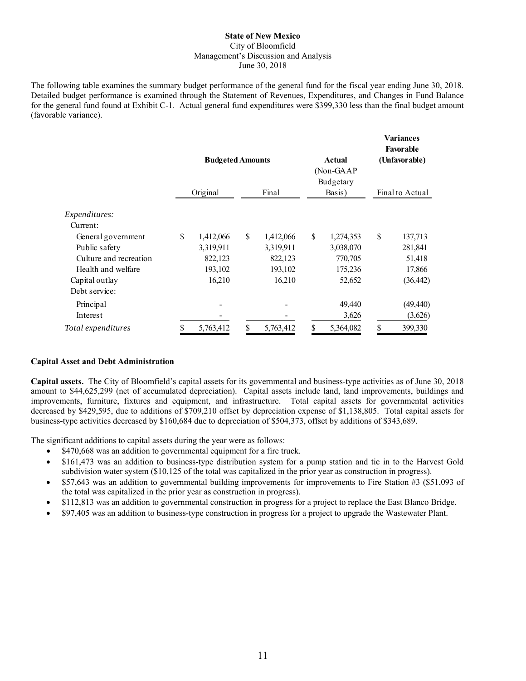The following table examines the summary budget performance of the general fund for the fiscal year ending June 30, 2018. Detailed budget performance is examined through the Statement of Revenues, Expenditures, and Changes in Fund Balance for the general fund found at Exhibit C-1. Actual general fund expenditures were \$399,330 less than the final budget amount (favorable variance).

|                        | <b>Budgeted Amounts</b> |                 | Actual                           |    | <b>Variances</b><br>Favorable<br>(Unfavorable) |  |
|------------------------|-------------------------|-----------------|----------------------------------|----|------------------------------------------------|--|
|                        | Original                | Final           | (Non-GAAP<br>Budgetary<br>Basis) |    | Final to Actual                                |  |
| <i>Expenditures:</i>   |                         |                 |                                  |    |                                                |  |
| Current:               |                         |                 |                                  |    |                                                |  |
| General government     | \$<br>1,412,066         | \$<br>1,412,066 | \$<br>1,274,353                  | \$ | 137,713                                        |  |
| Public safety          | 3,319,911               | 3,319,911       | 3,038,070                        |    | 281,841                                        |  |
| Culture and recreation | 822,123                 | 822,123         | 770,705                          |    | 51,418                                         |  |
| Health and welfare     | 193,102                 | 193,102         | 175,236                          |    | 17,866                                         |  |
| Capital outlay         | 16,210                  | 16,210          | 52,652                           |    | (36, 442)                                      |  |
| Debt service:          |                         |                 |                                  |    |                                                |  |
| Principal              |                         |                 | 49,440                           |    | (49, 440)                                      |  |
| Interest               |                         |                 | 3,626                            |    | (3,626)                                        |  |
| Total expenditures     | \$<br>5,763,412         | \$<br>5,763,412 | \$<br>5,364,082                  | \$ | 399,330                                        |  |

#### **Capital Asset and Debt Administration**

**Capital assets.** The City of Bloomfield's capital assets for its governmental and business-type activities as of June 30, 2018 amount to \$44,625,299 (net of accumulated depreciation). Capital assets include land, land improvements, buildings and improvements, furniture, fixtures and equipment, and infrastructure. Total capital assets for governmental activities decreased by \$429,595, due to additions of \$709,210 offset by depreciation expense of \$1,138,805. Total capital assets for business-type activities decreased by \$160,684 due to depreciation of \$504,373, offset by additions of \$343,689.

The significant additions to capital assets during the year were as follows:

- \$470,668 was an addition to governmental equipment for a fire truck.
- \$161,473 was an addition to business-type distribution system for a pump station and tie in to the Harvest Gold subdivision water system (\$10,125 of the total was capitalized in the prior year as construction in progress).
- \$57,643 was an addition to governmental building improvements for improvements to Fire Station #3 (\$51,093 of the total was capitalized in the prior year as construction in progress).
- \$112,813 was an addition to governmental construction in progress for a project to replace the East Blanco Bridge.
- \$97,405 was an addition to business-type construction in progress for a project to upgrade the Wastewater Plant.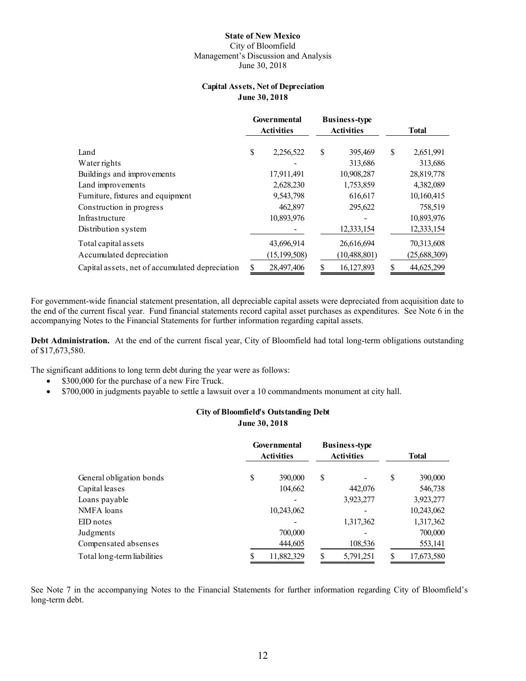#### **June 30, 2018 Capital Assets, Net of Depreciation**

|                                                 |    | Governmental<br><b>Activities</b> |    | <b>Business-type</b><br><b>Activities</b> | <b>Total</b> |              |  |
|-------------------------------------------------|----|-----------------------------------|----|-------------------------------------------|--------------|--------------|--|
| Land                                            | \$ | 2,256,522                         | \$ | 395,469                                   | \$           | 2,651,991    |  |
| Water rights                                    |    |                                   |    | 313,686                                   |              | 313,686      |  |
| Buildings and improvements                      |    | 17,911,491                        |    | 10,908,287                                |              | 28,819,778   |  |
| Land improvements                               |    | 2,628,230                         |    | 1,753,859                                 |              | 4,382,089    |  |
| Furniture, fixtures and equipment               |    | 9,543,798                         |    | 616,617                                   |              | 10,160,415   |  |
| Construction in progress                        |    | 462,897                           |    | 295,622                                   |              | 758,519      |  |
| Infrastructure                                  |    | 10,893,976                        |    |                                           |              | 10,893,976   |  |
| Distribution system                             |    |                                   |    | 12,333,154                                |              | 12,333,154   |  |
| Total capital assets                            |    | 43,696,914                        |    | 26,616,694                                |              | 70,313,608   |  |
| Accumulated depreciation                        |    | (15, 199, 508)                    |    | (10, 488, 801)                            |              | (25,688,309) |  |
| Capital assets, net of accumulated depreciation |    | 28,497,406                        | S  | 16,127,893                                | S            | 44,625,299   |  |

For government-wide financial statement presentation, all depreciable capital assets were depreciated from acquisition date to the end of the current fiscal year. Fund financial statements record capital asset purchases as expenditures. See Note 6 in the accompanying Notes to the Financial Statements for further information regarding capital assets.

**Debt Administration.** At the end of the current fiscal year, City of Bloomfield had total long-term obligations outstanding of \$17,673,580.

The significant additions to long term debt during the year were as follows:

- \$300,000 for the purchase of a new Fire Truck.
- \$700,000 in judgments payable to settle a lawsuit over a 10 commandments monument at city hall.

#### **City of Bloomfield's Outstanding Debt June 30, 2018**

|                             | Governmental<br><b>Activities</b> |    |           | <b>Total</b> |            |  |
|-----------------------------|-----------------------------------|----|-----------|--------------|------------|--|
| General obligation bonds    | \$<br>390,000                     | \$ |           | S            | 390,000    |  |
| Capital leases              | 104,662                           |    | 442,076   |              | 546,738    |  |
| Loans payable               |                                   |    | 3,923,277 |              | 3,923,277  |  |
| NMFA loans                  | 10,243,062                        |    |           |              | 10,243,062 |  |
| EID notes                   |                                   |    | 1,317,362 |              | 1,317,362  |  |
| Judgments                   | 700,000                           |    |           |              | 700,000    |  |
| Compensated absenses        | 444,605                           |    | 108,536   |              | 553,141    |  |
| Total long-term liabilities | 11,882,329                        |    | 5,791,251 | S            | 17,673,580 |  |

See Note 7 in the accompanying Notes to the Financial Statements for further information regarding City of Bloomfield's long-term debt.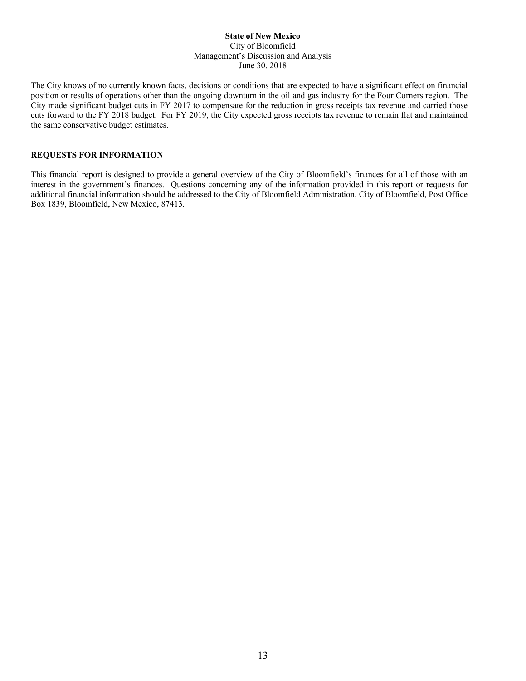The City knows of no currently known facts, decisions or conditions that are expected to have a significant effect on financial position or results of operations other than the ongoing downturn in the oil and gas industry for the Four Corners region. The City made significant budget cuts in FY 2017 to compensate for the reduction in gross receipts tax revenue and carried those cuts forward to the FY 2018 budget. For FY 2019, the City expected gross receipts tax revenue to remain flat and maintained the same conservative budget estimates.

#### **REQUESTS FOR INFORMATION**

This financial report is designed to provide a general overview of the City of Bloomfield's finances for all of those with an interest in the government's finances. Questions concerning any of the information provided in this report or requests for additional financial information should be addressed to the City of Bloomfield Administration, City of Bloomfield, Post Office Box 1839, Bloomfield, New Mexico, 87413.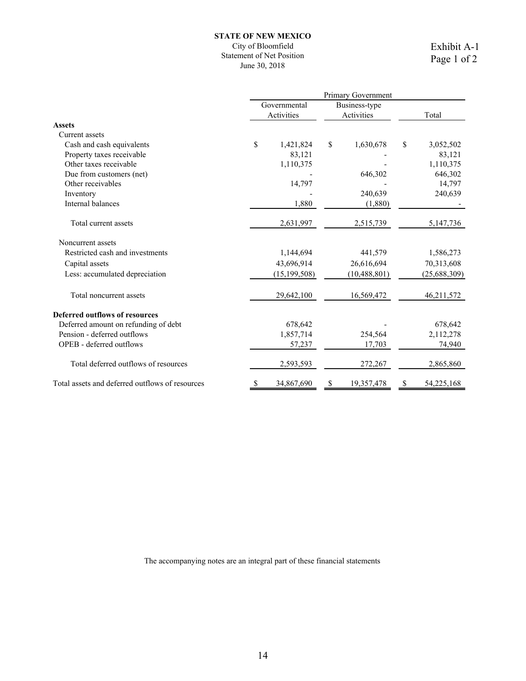#### City of Bloomfield Statement of Net Position June 30, 2018

Exhibit A-1 Page 1 of 2

|                                                 | Primary Government |                |    |                |    |              |
|-------------------------------------------------|--------------------|----------------|----|----------------|----|--------------|
|                                                 |                    | Governmental   |    | Business-type  |    |              |
|                                                 |                    | Activities     |    | Activities     |    | Total        |
| <b>Assets</b>                                   |                    |                |    |                |    |              |
| Current assets                                  |                    |                |    |                |    |              |
| Cash and cash equivalents                       | \$                 | 1,421,824      | \$ | 1,630,678      | \$ | 3,052,502    |
| Property taxes receivable                       |                    | 83,121         |    |                |    | 83,121       |
| Other taxes receivable                          |                    | 1,110,375      |    |                |    | 1,110,375    |
| Due from customers (net)                        |                    |                |    | 646,302        |    | 646,302      |
| Other receivables                               |                    | 14,797         |    |                |    | 14,797       |
| Inventory                                       |                    |                |    | 240,639        |    | 240,639      |
| Internal balances                               |                    | 1,880          |    | (1,880)        |    |              |
| Total current assets                            |                    | 2,631,997      |    | 2,515,739      |    | 5, 147, 736  |
| Noncurrent assets                               |                    |                |    |                |    |              |
| Restricted cash and investments                 |                    | 1,144,694      |    | 441,579        |    | 1,586,273    |
| Capital assets                                  |                    | 43,696,914     |    | 26,616,694     |    | 70,313,608   |
| Less: accumulated depreciation                  |                    | (15, 199, 508) |    | (10, 488, 801) |    | (25,688,309) |
| Total noncurrent assets                         |                    | 29,642,100     |    | 16,569,472     |    | 46, 211, 572 |
| <b>Deferred outflows of resources</b>           |                    |                |    |                |    |              |
| Deferred amount on refunding of debt            |                    | 678,642        |    |                |    | 678,642      |
| Pension - deferred outflows                     |                    | 1,857,714      |    | 254,564        |    | 2,112,278    |
| OPEB - deferred outflows                        |                    | 57,237         |    | 17,703         |    | 74,940       |
| Total deferred outflows of resources            |                    | 2,593,593      |    | 272,267        |    | 2,865,860    |
| Total assets and deferred outflows of resources | <sup>8</sup>       | 34,867,690     | \$ | 19,357,478     |    | 54,225,168   |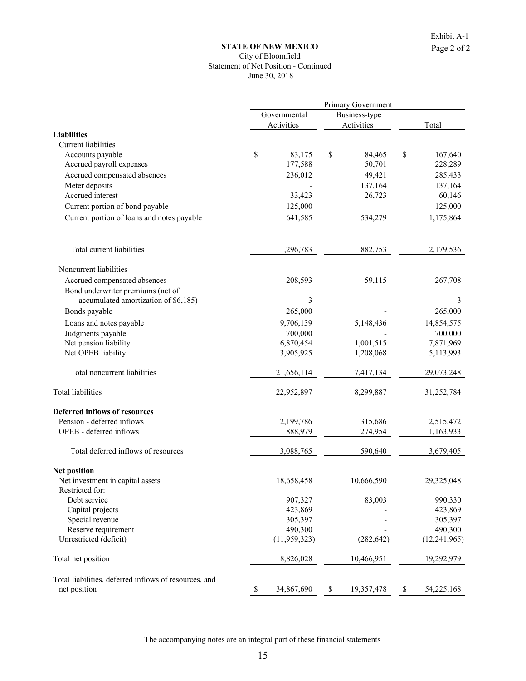#### City of Bloomfield Statement of Net Position - Continued June 30, 2018

|                                                       | Primary Government |                |      |               |    |                |  |
|-------------------------------------------------------|--------------------|----------------|------|---------------|----|----------------|--|
|                                                       |                    | Governmental   |      | Business-type |    |                |  |
|                                                       |                    | Activities     |      | Activities    |    | Total          |  |
| <b>Liabilities</b>                                    |                    |                |      |               |    |                |  |
| <b>Current liabilities</b>                            |                    |                |      |               |    |                |  |
| Accounts payable                                      | \$                 | 83,175         | \$   | 84,465        | \$ | 167,640        |  |
| Accrued payroll expenses                              |                    | 177,588        |      | 50,701        |    | 228,289        |  |
| Accrued compensated absences                          |                    | 236,012        |      | 49,421        |    | 285,433        |  |
| Meter deposits                                        |                    |                |      | 137,164       |    | 137,164        |  |
| Accrued interest                                      |                    | 33,423         |      | 26,723        |    | 60,146         |  |
| Current portion of bond payable                       |                    | 125,000        |      |               |    | 125,000        |  |
| Current portion of loans and notes payable            |                    | 641,585        |      | 534,279       |    | 1,175,864      |  |
| Total current liabilities                             |                    | 1,296,783      |      | 882,753       |    | 2,179,536      |  |
| Noncurrent liabilities                                |                    |                |      |               |    |                |  |
| Accrued compensated absences                          |                    | 208,593        |      | 59,115        |    | 267,708        |  |
| Bond underwriter premiums (net of                     |                    |                |      |               |    |                |  |
| accumulated amortization of \$6,185)                  |                    | 3              |      |               |    | 3              |  |
| Bonds payable                                         |                    | 265,000        |      |               |    | 265,000        |  |
| Loans and notes payable                               |                    | 9,706,139      |      | 5,148,436     |    | 14,854,575     |  |
| Judgments payable                                     |                    | 700,000        |      |               |    | 700,000        |  |
| Net pension liability                                 |                    | 6,870,454      |      | 1,001,515     |    | 7,871,969      |  |
| Net OPEB liability                                    |                    | 3,905,925      |      | 1,208,068     |    | 5,113,993      |  |
| Total noncurrent liabilities                          |                    | 21,656,114     |      | 7,417,134     |    | 29,073,248     |  |
| <b>Total liabilities</b>                              |                    | 22,952,897     |      | 8,299,887     |    | 31,252,784     |  |
| <b>Deferred inflows of resources</b>                  |                    |                |      |               |    |                |  |
| Pension - deferred inflows                            |                    | 2,199,786      |      | 315,686       |    | 2,515,472      |  |
| OPEB - deferred inflows                               |                    | 888,979        |      | 274,954       |    | 1,163,933      |  |
| Total deferred inflows of resources                   |                    | 3,088,765      |      | 590,640       |    | 3,679,405      |  |
| Net position                                          |                    |                |      |               |    |                |  |
| Net investment in capital assets                      |                    | 18,658,458     |      | 10,666,590    |    | 29,325,048     |  |
| Restricted for:                                       |                    |                |      |               |    |                |  |
| Debt service                                          |                    | 907,327        |      | 83,003        |    | 990,330        |  |
| Capital projects                                      |                    | 423,869        |      |               |    | 423,869        |  |
| Special revenue                                       |                    | 305,397        |      |               |    | 305,397        |  |
| Reserve requirement<br>Unrestricted (deficit)         |                    | 490,300        |      |               |    | 490,300        |  |
|                                                       |                    | (11, 959, 323) |      | (282, 642)    |    | (12, 241, 965) |  |
| Total net position                                    |                    | 8,826,028      |      | 10,466,951    |    | 19,292,979     |  |
| Total liabilities, deferred inflows of resources, and |                    |                |      |               |    |                |  |
| net position                                          | \$                 | 34,867,690     | $\$$ | 19,357,478    | \$ | 54,225,168     |  |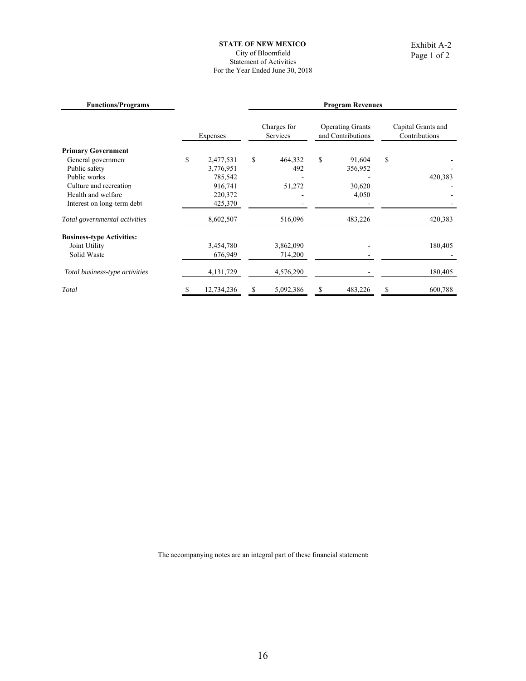#### **STATE OF NEW MEXICO** City of Bloomfield Statement of Activities For the Year Ended June 30, 2018

| <b>Functions/Programs</b>        |                 | <b>Program Revenues</b> |                         |    |                                              |    |                                     |  |  |
|----------------------------------|-----------------|-------------------------|-------------------------|----|----------------------------------------------|----|-------------------------------------|--|--|
|                                  | Expenses        |                         | Charges for<br>Services |    | <b>Operating Grants</b><br>and Contributions |    | Capital Grants and<br>Contributions |  |  |
| <b>Primary Government</b>        |                 |                         |                         |    |                                              |    |                                     |  |  |
| General government               | \$<br>2,477,531 | \$                      | 464,332                 | \$ | 91,604                                       | \$ |                                     |  |  |
| Public safety                    | 3,776,951       |                         | 492                     |    | 356,952                                      |    |                                     |  |  |
| Public works                     | 785,542         |                         |                         |    |                                              |    | 420,383                             |  |  |
| Culture and recreation           | 916,741         |                         | 51,272                  |    | 30,620                                       |    |                                     |  |  |
| Health and welfare               | 220,372         |                         |                         |    | 4,050                                        |    |                                     |  |  |
| Interest on long-term debt       | 425,370         |                         |                         |    |                                              |    |                                     |  |  |
| Total governmental activities    | 8,602,507       |                         | 516,096                 |    | 483,226                                      |    | 420,383                             |  |  |
| <b>Business-type Activities:</b> |                 |                         |                         |    |                                              |    |                                     |  |  |
| Joint Utility                    | 3,454,780       |                         | 3,862,090               |    |                                              |    | 180,405                             |  |  |
| Solid Waste                      | 676,949         |                         | 714,200                 |    |                                              |    |                                     |  |  |
| Total business-type activities   | 4, 131, 729     |                         | 4,576,290               |    |                                              |    | 180,405                             |  |  |
| Total                            | 12,734,236      |                         | 5,092,386               |    | 483,226                                      |    | 600,788                             |  |  |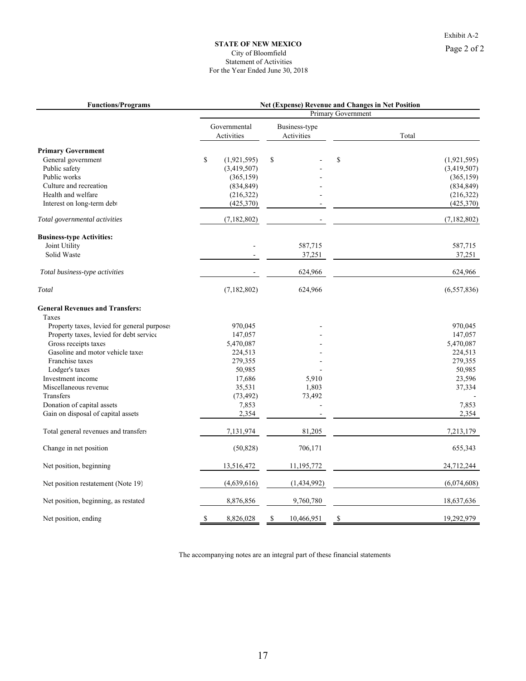#### **STATE OF NEW MEXICO** City of Bloomfield Statement of Activities For the Year Ended June 30, 2018

| <b>Functions/Programs</b>                   | <b>Net (Expense) Revenue and Changes in Net Position</b><br>Primary Government |                             |                   |  |  |  |
|---------------------------------------------|--------------------------------------------------------------------------------|-----------------------------|-------------------|--|--|--|
|                                             | Governmental<br>Activities                                                     | Business-type<br>Activities | Total             |  |  |  |
| <b>Primary Government</b>                   |                                                                                |                             |                   |  |  |  |
| General government                          | \$<br>(1,921,595)                                                              | \$                          | \$<br>(1,921,595) |  |  |  |
| Public safety                               | (3,419,507)                                                                    |                             | (3,419,507)       |  |  |  |
| Public works                                | (365, 159)                                                                     |                             | (365, 159)        |  |  |  |
| Culture and recreation                      | (834, 849)                                                                     |                             | (834, 849)        |  |  |  |
| Health and welfare                          | (216,322)                                                                      |                             | (216, 322)        |  |  |  |
| Interest on long-term debt                  | (425,370)                                                                      |                             | (425,370)         |  |  |  |
| Total governmental activities               | (7, 182, 802)                                                                  |                             | (7, 182, 802)     |  |  |  |
| <b>Business-type Activities:</b>            |                                                                                |                             |                   |  |  |  |
| Joint Utility                               |                                                                                | 587,715                     | 587,715           |  |  |  |
| Solid Waste                                 |                                                                                | 37,251                      | 37,251            |  |  |  |
| Total business-type activities              |                                                                                | 624,966                     | 624,966           |  |  |  |
| Total                                       | (7,182,802)                                                                    | 624,966                     | (6,557,836)       |  |  |  |
| <b>General Revenues and Transfers:</b>      |                                                                                |                             |                   |  |  |  |
| Taxes                                       |                                                                                |                             |                   |  |  |  |
| Property taxes, levied for general purposes | 970,045                                                                        |                             | 970,045           |  |  |  |
| Property taxes, levied for debt service     | 147,057                                                                        |                             | 147,057           |  |  |  |
| Gross receipts taxes                        | 5,470,087                                                                      |                             | 5,470,087         |  |  |  |
| Gasoline and motor vehicle taxes            | 224,513                                                                        |                             | 224,513           |  |  |  |
| Franchise taxes                             | 279,355                                                                        |                             | 279,355           |  |  |  |
| Lodger's taxes                              | 50,985                                                                         |                             | 50,985            |  |  |  |
| Investment income                           | 17,686                                                                         | 5,910                       | 23,596            |  |  |  |
| Miscellaneous revenue                       | 35,531                                                                         | 1,803                       | 37,334            |  |  |  |
| Transfers                                   | (73, 492)                                                                      | 73,492                      |                   |  |  |  |
| Donation of capital assets                  | 7,853                                                                          |                             | 7,853             |  |  |  |
| Gain on disposal of capital assets          | 2,354                                                                          |                             | 2,354             |  |  |  |
| Total general revenues and transfers        | 7,131,974                                                                      | 81,205                      | 7,213,179         |  |  |  |
| Change in net position                      | (50, 828)                                                                      | 706,171                     | 655,343           |  |  |  |
| Net position, beginning                     | 13,516,472                                                                     | 11,195,772                  | 24,712,244        |  |  |  |
| Net position restatement (Note 19)          | (4,639,616)                                                                    | (1,434,992)                 | (6,074,608)       |  |  |  |
| Net position, beginning, as restated        | 8,876,856                                                                      | 9,760,780                   | 18,637,636        |  |  |  |
| Net position, ending                        | 8,826,028<br><sup>\$</sup>                                                     | 10,466,951<br>S             | 19,292,979<br>\$  |  |  |  |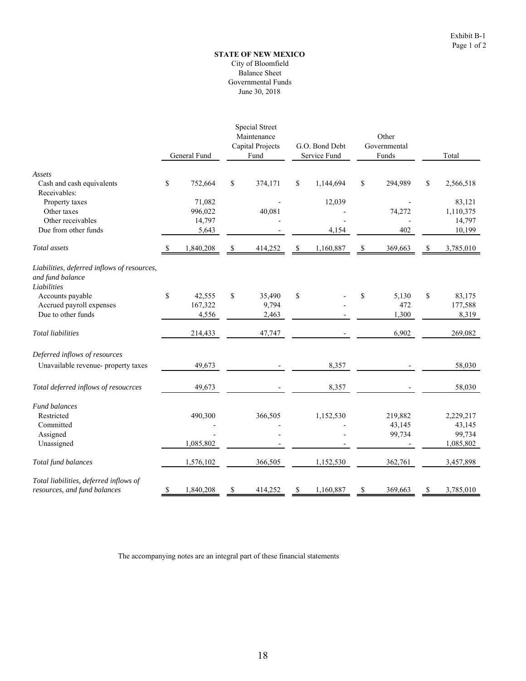#### City of Bloomfield Balance Sheet Governmental Funds June 30, 2018

|                                             |    | General Fund |    | Special Street<br>Maintenance<br>Capital Projects<br>Fund |    | G.O. Bond Debt<br>Service Fund | Other<br>Governmental<br>Funds |              | Total     |
|---------------------------------------------|----|--------------|----|-----------------------------------------------------------|----|--------------------------------|--------------------------------|--------------|-----------|
| Assets                                      |    |              |    |                                                           |    |                                |                                |              |           |
| Cash and cash equivalents<br>Receivables:   | \$ | 752,664      | \$ | 374,171                                                   | \$ | 1,144,694                      | \$<br>294,989                  | \$           | 2,566,518 |
| Property taxes                              |    | 71,082       |    |                                                           |    | 12,039                         |                                |              | 83,121    |
| Other taxes                                 |    | 996,022      |    | 40,081                                                    |    |                                | 74,272                         |              | 1,110,375 |
| Other receivables                           |    | 14,797       |    |                                                           |    |                                |                                |              | 14,797    |
| Due from other funds                        |    | 5,643        |    |                                                           |    | 4,154                          | 402                            |              | 10,199    |
| Total assets                                | -S | 1,840,208    | S. | 414,252                                                   | -S | 1,160,887                      | \$<br>369,663                  | \$           | 3,785,010 |
| Liabilities, deferred inflows of resources, |    |              |    |                                                           |    |                                |                                |              |           |
| and fund balance                            |    |              |    |                                                           |    |                                |                                |              |           |
| Liabilities                                 |    |              |    |                                                           |    |                                |                                |              |           |
| Accounts payable                            | \$ | 42,555       | \$ | 35,490                                                    | \$ |                                | \$<br>5,130                    | $\mathbb{S}$ | 83,175    |
| Accrued payroll expenses                    |    | 167,322      |    | 9,794                                                     |    |                                | 472                            |              | 177,588   |
| Due to other funds                          |    | 4,556        |    | 2,463                                                     |    |                                | 1,300                          |              | 8,319     |
| <b>Total</b> liabilities                    |    | 214,433      |    | 47,747                                                    |    |                                | 6,902                          |              | 269,082   |
| Deferred inflows of resources               |    |              |    |                                                           |    |                                |                                |              |           |
| Unavailable revenue- property taxes         |    | 49,673       |    |                                                           |    | 8,357                          |                                |              | 58,030    |
| Total deferred inflows of resoucrces        |    | 49,673       |    |                                                           |    | 8,357                          |                                |              | 58,030    |
| Fund balances                               |    |              |    |                                                           |    |                                |                                |              |           |
| Restricted                                  |    | 490,300      |    | 366,505                                                   |    | 1,152,530                      | 219,882                        |              | 2,229,217 |
| Committed                                   |    |              |    |                                                           |    |                                | 43,145                         |              | 43,145    |
| Assigned                                    |    |              |    |                                                           |    |                                | 99,734                         |              | 99,734    |
| Unassigned                                  |    | 1,085,802    |    |                                                           |    |                                |                                |              | 1,085,802 |
| Total fund balances                         |    | 1,576,102    |    | 366,505                                                   |    | 1,152,530                      | 362,761                        |              | 3,457,898 |
| Total liabilities, deferred inflows of      |    |              |    |                                                           |    |                                |                                |              |           |
| resources, and fund balances                | \$ | 1,840,208    | \$ | 414,252                                                   | \$ | 1,160,887                      | \$<br>369,663                  | \$           | 3,785,010 |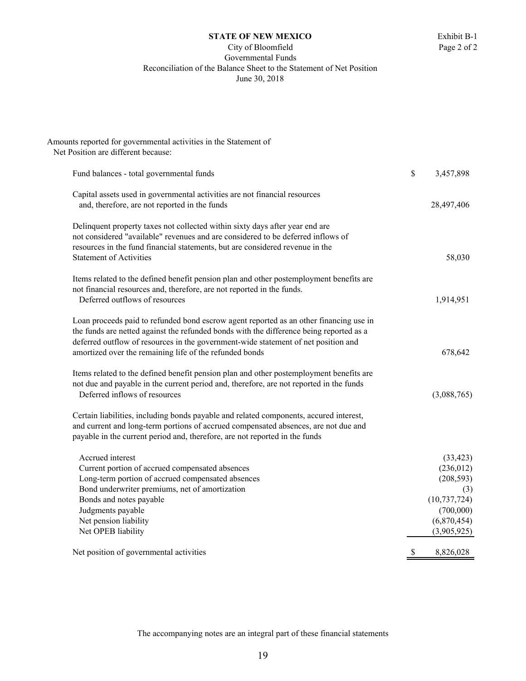#### **STATE OF NEW MEXICO** Exhibit B-1

#### City of Bloomfield Page 2 of 2 Governmental Funds Reconciliation of the Balance Sheet to the Statement of Net Position June 30, 2018

| Amounts reported for governmental activities in the Statement of<br>Net Position are different because:                                                                                                                                                                                                                            |                                                           |
|------------------------------------------------------------------------------------------------------------------------------------------------------------------------------------------------------------------------------------------------------------------------------------------------------------------------------------|-----------------------------------------------------------|
| Fund balances - total governmental funds                                                                                                                                                                                                                                                                                           | \$<br>3,457,898                                           |
| Capital assets used in governmental activities are not financial resources<br>and, therefore, are not reported in the funds                                                                                                                                                                                                        | 28,497,406                                                |
| Delinquent property taxes not collected within sixty days after year end are<br>not considered "available" revenues and are considered to be deferred inflows of<br>resources in the fund financial statements, but are considered revenue in the                                                                                  |                                                           |
| <b>Statement of Activities</b>                                                                                                                                                                                                                                                                                                     | 58,030                                                    |
| Items related to the defined benefit pension plan and other postemployment benefits are<br>not financial resources and, therefore, are not reported in the funds.<br>Deferred outflows of resources                                                                                                                                | 1,914,951                                                 |
| Loan proceeds paid to refunded bond escrow agent reported as an other financing use in<br>the funds are netted against the refunded bonds with the difference being reported as a<br>deferred outflow of resources in the government-wide statement of net position and<br>amortized over the remaining life of the refunded bonds | 678,642                                                   |
| Items related to the defined benefit pension plan and other postemployment benefits are<br>not due and payable in the current period and, therefore, are not reported in the funds<br>Deferred inflows of resources                                                                                                                | (3,088,765)                                               |
| Certain liabilities, including bonds payable and related components, accured interest,<br>and current and long-term portions of accrued compensated absences, are not due and<br>payable in the current period and, therefore, are not reported in the funds                                                                       |                                                           |
| Accrued interest<br>Current portion of accrued compensated absences<br>Long-term portion of accrued compensated absences<br>Bond underwriter premiums, net of amortization                                                                                                                                                         | (33, 423)<br>(236, 012)<br>(208, 593)<br>(3)              |
| Bonds and notes payable<br>Judgments payable<br>Net pension liability<br>Net OPEB liability                                                                                                                                                                                                                                        | (10, 737, 724)<br>(700,000)<br>(6,870,454)<br>(3,905,925) |
| Net position of governmental activities                                                                                                                                                                                                                                                                                            | \$<br>8,826,028                                           |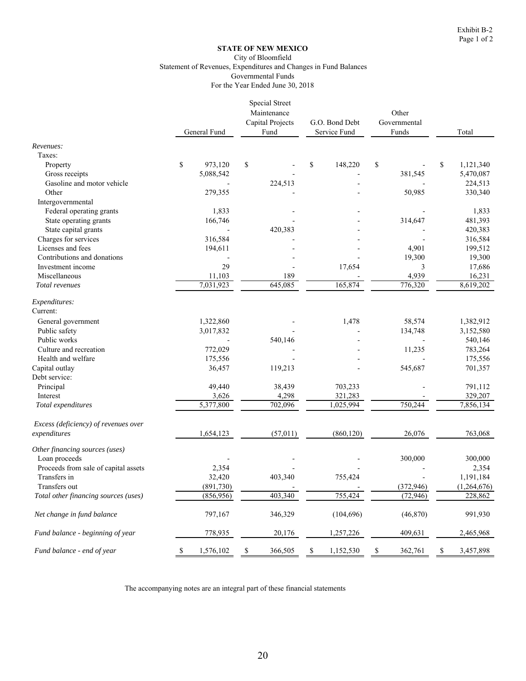#### City of Bloomfield Statement of Revenues, Expenditures and Changes in Fund Balances Governmental Funds For the Year Ended June 30, 2018

|                                      |              |              | Special Street   |               |                |               |                 |
|--------------------------------------|--------------|--------------|------------------|---------------|----------------|---------------|-----------------|
|                                      |              |              | Maintenance      |               |                | Other         |                 |
|                                      |              |              | Capital Projects |               | G.O. Bond Debt | Governmental  |                 |
|                                      |              | General Fund | Fund             |               | Service Fund   | Funds         | Total           |
| Revenues:                            |              |              |                  |               |                |               |                 |
| Taxes:                               |              |              |                  |               |                |               |                 |
| Property                             | $\mathbb{S}$ | 973,120      | \$               | \$            | 148,220        | \$            | \$<br>1,121,340 |
| Gross receipts                       |              | 5,088,542    |                  |               |                | 381,545       | 5,470,087       |
| Gasoline and motor vehicle           |              |              | 224,513          |               |                |               | 224,513         |
| Other                                |              | 279,355      |                  |               |                | 50,985        | 330,340         |
| Intergovernmental                    |              |              |                  |               |                |               |                 |
| Federal operating grants             |              | 1,833        |                  |               |                |               | 1,833           |
| State operating grants               |              | 166,746      |                  |               |                | 314,647       | 481,393         |
| State capital grants                 |              |              | 420,383          |               |                |               | 420,383         |
| Charges for services                 |              | 316,584      |                  |               |                |               | 316,584         |
| Licenses and fees                    |              | 194,611      |                  |               |                | 4,901         | 199,512         |
| Contributions and donations          |              |              |                  |               |                | 19,300        | 19,300          |
| Investment income                    |              | 29           |                  |               | 17,654         | 3             | 17,686          |
| Miscellaneous                        |              | 11,103       | 189              |               |                | 4,939         | 16,231          |
| Total revenues                       |              | 7,031,923    | 645,085          |               | 165,874        | 776,320       | 8,619,202       |
| Expenditures:                        |              |              |                  |               |                |               |                 |
| Current:                             |              |              |                  |               |                |               |                 |
| General government                   |              | 1,322,860    |                  |               | 1,478          | 58,574        | 1,382,912       |
| Public safety                        |              | 3,017,832    |                  |               |                | 134,748       | 3,152,580       |
| Public works                         |              |              | 540,146          |               |                |               | 540,146         |
| Culture and recreation               |              | 772,029      |                  |               |                | 11,235        | 783,264         |
| Health and welfare                   |              | 175,556      |                  |               |                |               | 175,556         |
| Capital outlay                       |              | 36,457       | 119,213          |               |                | 545,687       | 701,357         |
| Debt service:                        |              |              |                  |               |                |               |                 |
| Principal                            |              | 49,440       | 38,439           |               | 703,233        |               | 791,112         |
| Interest                             |              | 3,626        | 4,298            |               | 321,283        |               | 329,207         |
| Total expenditures                   |              | 5,377,800    | 702,096          |               | 1,025,994      | 750,244       | 7,856,134       |
| Excess (deficiency) of revenues over |              |              |                  |               |                |               |                 |
| expenditures                         |              | 1,654,123    | (57, 011)        |               | (860, 120)     | 26,076        | 763,068         |
| Other financing sources (uses)       |              |              |                  |               |                |               |                 |
| Loan proceeds                        |              |              |                  |               |                | 300,000       | 300,000         |
| Proceeds from sale of capital assets |              | 2,354        |                  |               |                |               | 2,354           |
| Transfers in                         |              | 32,420       | 403,340          |               | 755,424        |               | 1,191,184       |
| Transfers out                        |              | (891, 730)   |                  |               |                | (372, 946)    | (1,264,676)     |
| Total other financing sources (uses) |              | (856, 956)   | 403,340          |               | 755,424        | (72, 946)     | 228,862         |
| Net change in fund balance           |              | 797,167      | 346,329          |               | (104, 696)     | (46,870)      | 991,930         |
| Fund balance - beginning of year     |              | 778,935      | 20,176           |               | 1,257,226      | 409,631       | 2,465,968       |
| Fund balance - end of year           | \$           | 1,576,102    | \$<br>366,505    | <sup>\$</sup> | 1,152,530      | \$<br>362,761 | \$<br>3,457,898 |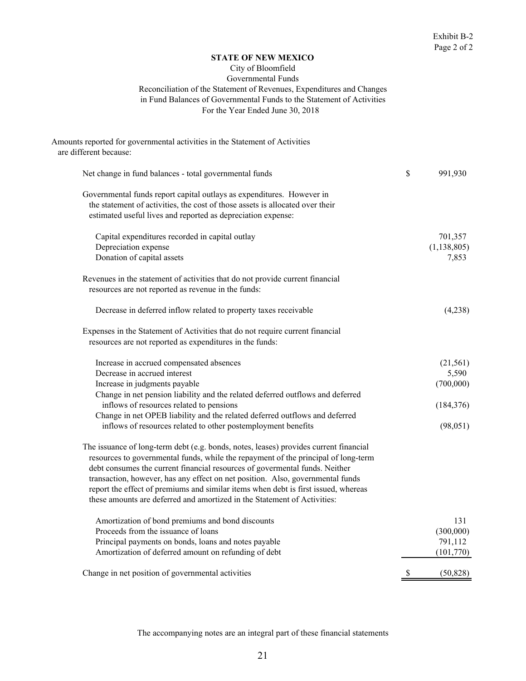City of Bloomfield

#### Governmental Funds Reconciliation of the Statement of Revenues, Expenditures and Changes For the Year Ended June 30, 2018 in Fund Balances of Governmental Funds to the Statement of Activities

| \$<br>991,930<br>Net change in fund balances - total governmental funds<br>Governmental funds report capital outlays as expenditures. However in<br>the statement of activities, the cost of those assets is allocated over their<br>estimated useful lives and reported as depreciation expense:<br>Capital expenditures recorded in capital outlay<br>701,357<br>Depreciation expense<br>(1, 138, 805)<br>Donation of capital assets<br>7,853<br>Revenues in the statement of activities that do not provide current financial<br>resources are not reported as revenue in the funds:<br>Decrease in deferred inflow related to property taxes receivable<br>(4,238)<br>Expenses in the Statement of Activities that do not require current financial<br>resources are not reported as expenditures in the funds:<br>Increase in accrued compensated absences<br>(21, 561)<br>Decrease in accrued interest<br>5,590<br>Increase in judgments payable<br>(700,000)<br>Change in net pension liability and the related deferred outflows and deferred<br>inflows of resources related to pensions<br>(184, 376)<br>Change in net OPEB liability and the related deferred outflows and deferred<br>inflows of resources related to other postemployment benefits<br>(98, 051)<br>The issuance of long-term debt (e.g. bonds, notes, leases) provides current financial<br>resources to governmental funds, while the repayment of the principal of long-term<br>debt consumes the current financial resources of govermental funds. Neither<br>transaction, however, has any effect on net position. Also, governmental funds<br>report the effect of premiums and similar items when debt is first issued, whereas<br>these amounts are deferred and amortized in the Statement of Activities:<br>Amortization of bond premiums and bond discounts<br>131<br>Proceeds from the issuance of loans<br>(300,000)<br>Principal payments on bonds, loans and notes payable<br>791,112<br>Amortization of deferred amount on refunding of debt<br>(101,770)<br>Change in net position of governmental activities<br>(50, 828) | Amounts reported for governmental activities in the Statement of Activities<br>are different because: |  |
|-------------------------------------------------------------------------------------------------------------------------------------------------------------------------------------------------------------------------------------------------------------------------------------------------------------------------------------------------------------------------------------------------------------------------------------------------------------------------------------------------------------------------------------------------------------------------------------------------------------------------------------------------------------------------------------------------------------------------------------------------------------------------------------------------------------------------------------------------------------------------------------------------------------------------------------------------------------------------------------------------------------------------------------------------------------------------------------------------------------------------------------------------------------------------------------------------------------------------------------------------------------------------------------------------------------------------------------------------------------------------------------------------------------------------------------------------------------------------------------------------------------------------------------------------------------------------------------------------------------------------------------------------------------------------------------------------------------------------------------------------------------------------------------------------------------------------------------------------------------------------------------------------------------------------------------------------------------------------------------------------------------------------------------------------------------------------------------------------------------------------|-------------------------------------------------------------------------------------------------------|--|
|                                                                                                                                                                                                                                                                                                                                                                                                                                                                                                                                                                                                                                                                                                                                                                                                                                                                                                                                                                                                                                                                                                                                                                                                                                                                                                                                                                                                                                                                                                                                                                                                                                                                                                                                                                                                                                                                                                                                                                                                                                                                                                                         |                                                                                                       |  |
|                                                                                                                                                                                                                                                                                                                                                                                                                                                                                                                                                                                                                                                                                                                                                                                                                                                                                                                                                                                                                                                                                                                                                                                                                                                                                                                                                                                                                                                                                                                                                                                                                                                                                                                                                                                                                                                                                                                                                                                                                                                                                                                         |                                                                                                       |  |
|                                                                                                                                                                                                                                                                                                                                                                                                                                                                                                                                                                                                                                                                                                                                                                                                                                                                                                                                                                                                                                                                                                                                                                                                                                                                                                                                                                                                                                                                                                                                                                                                                                                                                                                                                                                                                                                                                                                                                                                                                                                                                                                         |                                                                                                       |  |
|                                                                                                                                                                                                                                                                                                                                                                                                                                                                                                                                                                                                                                                                                                                                                                                                                                                                                                                                                                                                                                                                                                                                                                                                                                                                                                                                                                                                                                                                                                                                                                                                                                                                                                                                                                                                                                                                                                                                                                                                                                                                                                                         |                                                                                                       |  |
|                                                                                                                                                                                                                                                                                                                                                                                                                                                                                                                                                                                                                                                                                                                                                                                                                                                                                                                                                                                                                                                                                                                                                                                                                                                                                                                                                                                                                                                                                                                                                                                                                                                                                                                                                                                                                                                                                                                                                                                                                                                                                                                         |                                                                                                       |  |
|                                                                                                                                                                                                                                                                                                                                                                                                                                                                                                                                                                                                                                                                                                                                                                                                                                                                                                                                                                                                                                                                                                                                                                                                                                                                                                                                                                                                                                                                                                                                                                                                                                                                                                                                                                                                                                                                                                                                                                                                                                                                                                                         |                                                                                                       |  |
|                                                                                                                                                                                                                                                                                                                                                                                                                                                                                                                                                                                                                                                                                                                                                                                                                                                                                                                                                                                                                                                                                                                                                                                                                                                                                                                                                                                                                                                                                                                                                                                                                                                                                                                                                                                                                                                                                                                                                                                                                                                                                                                         |                                                                                                       |  |
|                                                                                                                                                                                                                                                                                                                                                                                                                                                                                                                                                                                                                                                                                                                                                                                                                                                                                                                                                                                                                                                                                                                                                                                                                                                                                                                                                                                                                                                                                                                                                                                                                                                                                                                                                                                                                                                                                                                                                                                                                                                                                                                         |                                                                                                       |  |
|                                                                                                                                                                                                                                                                                                                                                                                                                                                                                                                                                                                                                                                                                                                                                                                                                                                                                                                                                                                                                                                                                                                                                                                                                                                                                                                                                                                                                                                                                                                                                                                                                                                                                                                                                                                                                                                                                                                                                                                                                                                                                                                         |                                                                                                       |  |
|                                                                                                                                                                                                                                                                                                                                                                                                                                                                                                                                                                                                                                                                                                                                                                                                                                                                                                                                                                                                                                                                                                                                                                                                                                                                                                                                                                                                                                                                                                                                                                                                                                                                                                                                                                                                                                                                                                                                                                                                                                                                                                                         |                                                                                                       |  |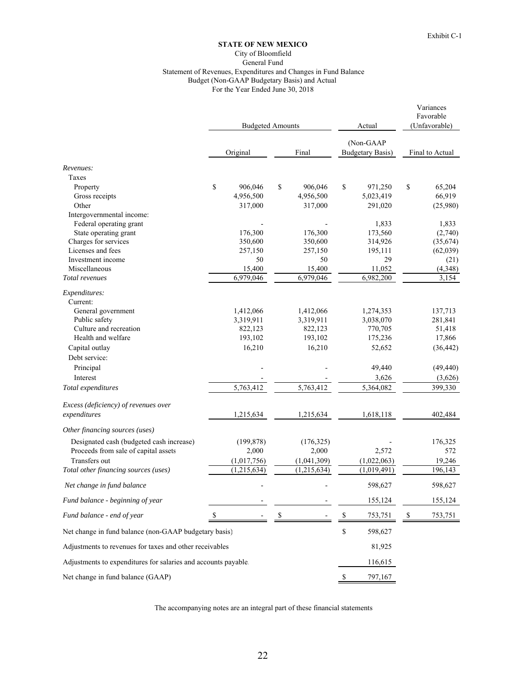#### For the Year Ended June 30, 2018 **STATE OF NEW MEXICO** City of Bloomfield General Fund Statement of Revenues, Expenditures and Changes in Fund Balance Budget (Non-GAAP Budgetary Basis) and Actual

|                                                                |               | <b>Budgeted Amounts</b> | Actual                               | Variances<br>Favorable<br>(Unfavorable) |
|----------------------------------------------------------------|---------------|-------------------------|--------------------------------------|-----------------------------------------|
|                                                                | Original      | Final                   | (Non-GAAP<br><b>Budgetary Basis)</b> | Final to Actual                         |
| Revenues:                                                      |               |                         |                                      |                                         |
| Taxes                                                          |               |                         |                                      |                                         |
| Property                                                       | \$<br>906,046 | $\mathbb{S}$<br>906,046 | \$<br>971,250                        | \$<br>65,204                            |
| Gross receipts                                                 | 4,956,500     | 4,956,500               | 5,023,419                            | 66,919                                  |
| Other                                                          | 317,000       | 317,000                 | 291,020                              | (25,980)                                |
| Intergovernmental income:                                      |               |                         |                                      |                                         |
| Federal operating grant                                        |               |                         | 1,833                                | 1,833                                   |
| State operating grant                                          | 176,300       | 176,300                 | 173,560                              | (2,740)                                 |
| Charges for services<br>Licenses and fees                      | 350,600       | 350,600                 | 314,926                              | (35, 674)                               |
| Investment income                                              | 257,150<br>50 | 257,150<br>50           | 195,111<br>29                        | (62,039)<br>(21)                        |
| Miscellaneous                                                  | 15,400        | 15,400                  | 11,052                               | (4,348)                                 |
| Total revenues                                                 | 6,979,046     | 6,979,046               | 6,982,200                            | 3,154                                   |
| Expenditures:                                                  |               |                         |                                      |                                         |
| Current:                                                       |               |                         |                                      |                                         |
| General government                                             | 1,412,066     | 1,412,066               | 1,274,353                            | 137,713                                 |
| Public safety                                                  | 3,319,911     | 3,319,911               | 3,038,070                            | 281,841                                 |
| Culture and recreation                                         | 822,123       | 822,123                 | 770,705                              | 51,418                                  |
| Health and welfare                                             | 193,102       | 193,102                 | 175,236                              | 17,866                                  |
| Capital outlay                                                 | 16,210        | 16,210                  | 52,652                               | (36, 442)                               |
| Debt service:                                                  |               |                         |                                      |                                         |
| Principal                                                      |               |                         | 49,440                               | (49, 440)                               |
| Interest                                                       |               |                         | 3,626                                | (3,626)                                 |
| Total expenditures                                             | 5,763,412     | 5,763,412               | 5,364,082                            | 399,330                                 |
| Excess (deficiency) of revenues over                           |               |                         |                                      |                                         |
| expenditures                                                   | 1,215,634     | 1,215,634               | 1,618,118                            | 402,484                                 |
| Other financing sources (uses)                                 |               |                         |                                      |                                         |
| Designated cash (budgeted cash increase)                       | (199, 878)    | (176, 325)              |                                      | 176,325                                 |
| Proceeds from sale of capital assets                           | 2,000         | 2,000                   | 2,572                                | 572                                     |
| Transfers out                                                  | (1,017,756)   | (1,041,309)             | (1,022,063)                          | 19,246                                  |
| Total other financing sources (uses)                           | (1,215,634)   | (1,215,634)             | (1,019,491)                          | 196,143                                 |
| Net change in fund balance                                     |               |                         | 598,627                              | 598,627                                 |
| Fund balance - beginning of year                               |               |                         | 155,124                              | 155,124                                 |
| Fund balance - end of year                                     | \$            | \$                      | \$<br>753,751                        | \$<br>753,751                           |
| Net change in fund balance (non-GAAP budgetary basis)          |               |                         | \$<br>598,627                        |                                         |
| Adjustments to revenues for taxes and other receivables        |               |                         | 81,925                               |                                         |
| Adjustments to expenditures for salaries and accounts payable. |               |                         | 116,615                              |                                         |
| Net change in fund balance (GAAP)                              |               |                         | \$<br>797,167                        |                                         |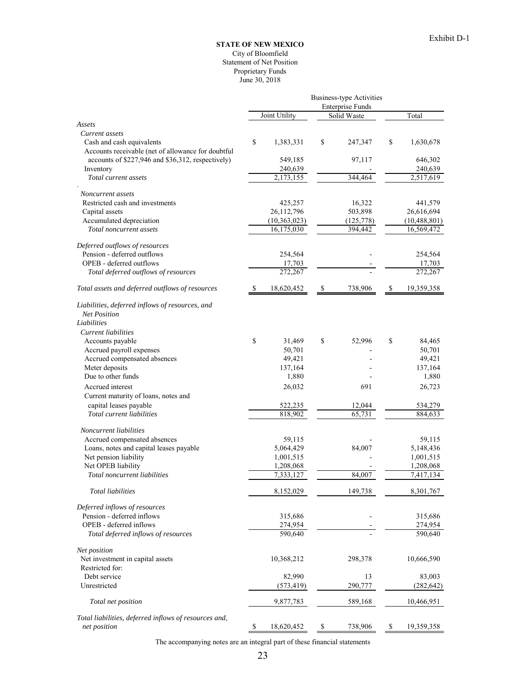#### City of Bloomfield Statement of Net Position Proprietary Funds June 30, 2018

|                                                       | Business-type Activities<br><b>Enterprise Funds</b> |                        |    |             |    |                |
|-------------------------------------------------------|-----------------------------------------------------|------------------------|----|-------------|----|----------------|
|                                                       |                                                     | Joint Utility          |    | Solid Waste |    | Total          |
| Assets                                                |                                                     |                        |    |             |    |                |
| Current assets                                        |                                                     |                        |    |             |    |                |
| Cash and cash equivalents                             | \$                                                  | 1,383,331              | \$ | 247,347     | \$ | 1,630,678      |
| Accounts receivable (net of allowance for doubtful    |                                                     |                        |    |             |    |                |
| accounts of \$227,946 and \$36,312, respectively)     |                                                     | 549,185                |    | 97,117      |    | 646,302        |
| Inventory                                             |                                                     | 240,639                |    |             |    | 240,639        |
| Total current assets                                  |                                                     | $\overline{2,}173,155$ |    | 344,464     |    | 2,517,619      |
| Noncurrent assets                                     |                                                     |                        |    |             |    |                |
| Restricted cash and investments                       |                                                     | 425,257                |    | 16,322      |    | 441,579        |
| Capital assets                                        |                                                     | 26,112,796             |    | 503,898     |    | 26,616,694     |
| Accumulated depreciation                              |                                                     | (10,363,023)           |    | (125, 778)  |    | (10, 488, 801) |
| Total noncurrent assets                               |                                                     | 16,175,030             |    | 394,442     |    | 16,569,472     |
|                                                       |                                                     |                        |    |             |    |                |
| Deferred outflows of resources                        |                                                     |                        |    |             |    |                |
| Pension - deferred outflows                           |                                                     | 254,564                |    |             |    | 254,564        |
| OPEB - deferred outflows                              |                                                     | 17,703                 |    |             |    | 17,703         |
| Total deferred outflows of resources                  |                                                     | 272,267                |    |             |    | 272,267        |
| Total assets and deferred outflows of resources       | - \$                                                | 18,620,452             | \$ | 738,906     | \$ | 19,359,358     |
| Liabilities, deferred inflows of resources, and       |                                                     |                        |    |             |    |                |
| <b>Net Position</b>                                   |                                                     |                        |    |             |    |                |
| Liabilities                                           |                                                     |                        |    |             |    |                |
| Current liabilities                                   |                                                     |                        |    |             |    |                |
| Accounts payable                                      | \$                                                  | 31,469                 | \$ | 52,996      | \$ | 84,465         |
| Accrued payroll expenses                              |                                                     | 50,701                 |    |             |    | 50,701         |
| Accrued compensated absences                          |                                                     | 49,421                 |    |             |    | 49,421         |
| Meter deposits                                        |                                                     | 137,164                |    |             |    | 137,164        |
| Due to other funds                                    |                                                     | 1,880                  |    |             |    | 1,880          |
| Accrued interest                                      |                                                     | 26,032                 |    | 691         |    | 26,723         |
|                                                       |                                                     |                        |    |             |    |                |
| Current maturity of loans, notes and                  |                                                     |                        |    |             |    |                |
| capital leases payable                                |                                                     | 522,235                |    | 12,044      |    | 534,279        |
| Total current liabilities                             |                                                     | 818,902                |    | 65,731      |    | 884,633        |
| Noncurrent liabilities                                |                                                     |                        |    |             |    |                |
| Accrued compensated absences                          |                                                     | 59,115                 |    |             |    | 59,115         |
| Loans, notes and capital leases payable               |                                                     | 5,064,429              |    | 84,007      |    | 5,148,436      |
| Net pension liability                                 |                                                     | 1,001,515              |    |             |    | 1,001,515      |
| Net OPEB liability                                    |                                                     | 1,208,068              |    |             |    | 1,208,068      |
| Total noncurrent liabilities                          |                                                     | 7.333.127              |    | 84,007      |    | 7.417.134      |
| Total liabilities                                     |                                                     | 8,152,029              |    | 149.738     |    | 8,301,767      |
|                                                       |                                                     |                        |    |             |    |                |
| Deferred inflows of resources                         |                                                     |                        |    |             |    |                |
| Pension - deferred inflows                            |                                                     | 315,686                |    |             |    | 315,686        |
| OPEB - deferred inflows                               |                                                     | 274,954                |    |             |    | 274,954        |
| Total deferred inflows of resources                   |                                                     | 590,640                |    |             |    | 590,640        |
| Net position                                          |                                                     |                        |    |             |    |                |
| Net investment in capital assets                      |                                                     | 10,368,212             |    | 298,378     |    | 10,666,590     |
| Restricted for:                                       |                                                     |                        |    |             |    |                |
| Debt service                                          |                                                     | 82,990                 |    | 13          |    | 83,003         |
| Unrestricted                                          |                                                     | (573, 419)             |    | 290,777     |    | (282, 642)     |
| Total net position                                    |                                                     | 9,877,783              |    | 589,168     |    | 10,466,951     |
|                                                       |                                                     |                        |    |             |    |                |
| Total liabilities, deferred inflows of resources and, |                                                     |                        |    |             | \$ |                |
| net position                                          | \$                                                  | 18,620,452             | \$ | 738,906     |    | 19,359,358     |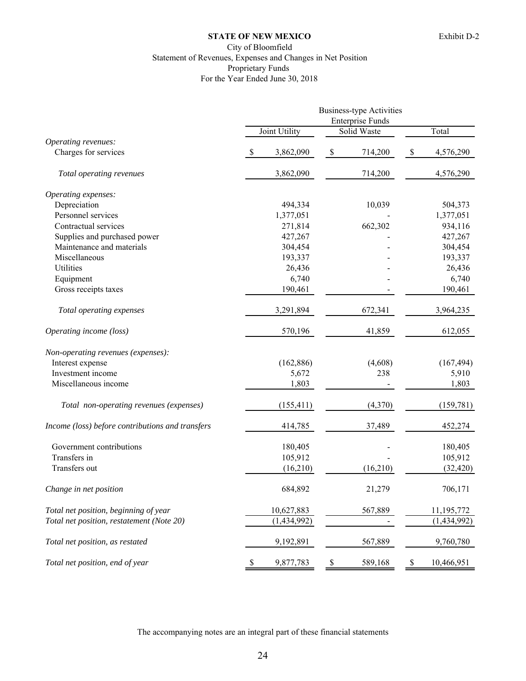#### **STATE OF NEW MEXICO** Exhibit D-2

#### City of Bloomfield Statement of Revenues, Expenses and Changes in Net Position Proprietary Funds For the Year Ended June 30, 2018

|                                                  | <b>Business-type Activities</b> |               |                           |                         |                           |             |  |  |  |
|--------------------------------------------------|---------------------------------|---------------|---------------------------|-------------------------|---------------------------|-------------|--|--|--|
|                                                  |                                 |               |                           | <b>Enterprise Funds</b> |                           |             |  |  |  |
|                                                  |                                 | Joint Utility |                           | Solid Waste             |                           | Total       |  |  |  |
| Operating revenues:                              |                                 |               |                           |                         |                           |             |  |  |  |
| Charges for services                             | $\boldsymbol{\mathsf{S}}$       | 3,862,090     | $\boldsymbol{\mathsf{S}}$ | 714,200                 | $\boldsymbol{\mathsf{S}}$ | 4,576,290   |  |  |  |
| Total operating revenues                         |                                 | 3,862,090     |                           | 714,200                 |                           | 4,576,290   |  |  |  |
| Operating expenses:                              |                                 |               |                           |                         |                           |             |  |  |  |
| Depreciation                                     |                                 | 494,334       |                           | 10,039                  |                           | 504,373     |  |  |  |
| Personnel services                               |                                 | 1,377,051     |                           |                         |                           | 1,377,051   |  |  |  |
| Contractual services                             |                                 | 271,814       |                           | 662,302                 |                           | 934,116     |  |  |  |
| Supplies and purchased power                     |                                 | 427,267       |                           |                         |                           | 427,267     |  |  |  |
| Maintenance and materials                        |                                 | 304,454       |                           |                         |                           | 304,454     |  |  |  |
| Miscellaneous                                    |                                 | 193,337       |                           |                         |                           | 193,337     |  |  |  |
| Utilities                                        |                                 | 26,436        |                           |                         |                           | 26,436      |  |  |  |
| Equipment                                        |                                 | 6,740         |                           |                         |                           | 6,740       |  |  |  |
| Gross receipts taxes                             |                                 | 190,461       |                           |                         |                           | 190,461     |  |  |  |
| Total operating expenses                         |                                 | 3,291,894     |                           | 672,341                 |                           | 3,964,235   |  |  |  |
| Operating income (loss)                          |                                 | 570,196       |                           | 41,859                  |                           | 612,055     |  |  |  |
| Non-operating revenues (expenses):               |                                 |               |                           |                         |                           |             |  |  |  |
| Interest expense                                 |                                 | (162, 886)    |                           | (4,608)                 |                           | (167, 494)  |  |  |  |
| Investment income                                |                                 | 5,672         |                           | 238                     |                           | 5,910       |  |  |  |
| Miscellaneous income                             |                                 | 1,803         |                           |                         |                           | 1,803       |  |  |  |
| Total non-operating revenues (expenses)          |                                 | (155, 411)    |                           | (4,370)                 |                           | (159, 781)  |  |  |  |
| Income (loss) before contributions and transfers |                                 | 414,785       |                           | 37,489                  |                           | 452,274     |  |  |  |
| Government contributions                         |                                 | 180,405       |                           |                         |                           | 180,405     |  |  |  |
| Transfers in                                     |                                 | 105,912       |                           |                         |                           | 105,912     |  |  |  |
| Transfers out                                    |                                 | (16,210)      |                           | (16,210)                |                           | (32, 420)   |  |  |  |
| Change in net position                           |                                 | 684,892       |                           | 21,279                  |                           | 706,171     |  |  |  |
| Total net position, beginning of year            |                                 | 10,627,883    |                           | 567,889                 |                           | 11,195,772  |  |  |  |
| Total net position, restatement (Note 20)        |                                 | (1,434,992)   |                           |                         |                           | (1,434,992) |  |  |  |
| Total net position, as restated                  |                                 | 9,192,891     |                           | 567,889                 |                           | 9,760,780   |  |  |  |
| Total net position, end of year                  | \$                              | 9,877,783     | \$                        | 589,168                 | $\$$                      | 10,466,951  |  |  |  |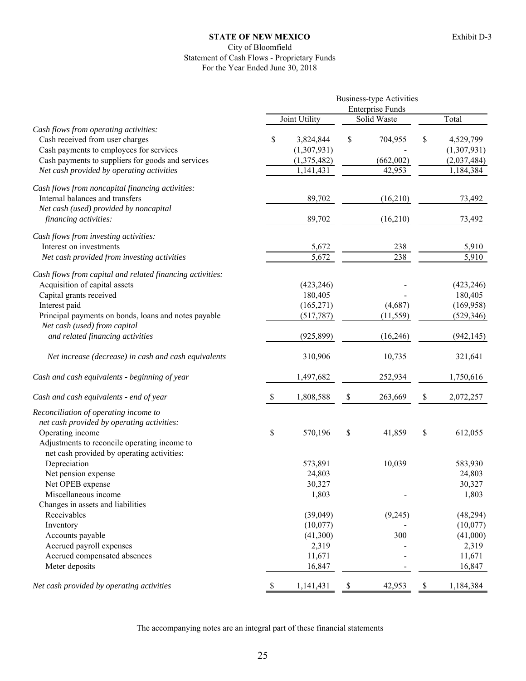## **STATE OF NEW MEXICO** Exhibit D-3

#### City of Bloomfield Statement of Cash Flows - Proprietary Funds For the Year Ended June 30, 2018

|                                                                  | <b>Business-type Activities</b> |                  |                           |             |    |                  |  |
|------------------------------------------------------------------|---------------------------------|------------------|---------------------------|-------------|----|------------------|--|
|                                                                  | <b>Enterprise Funds</b>         |                  |                           |             |    |                  |  |
|                                                                  |                                 | Joint Utility    |                           | Solid Waste |    | Total            |  |
| Cash flows from operating activities:                            |                                 |                  |                           |             |    |                  |  |
| Cash received from user charges                                  | \$                              | 3,824,844        | \$                        | 704,955     | \$ | 4,529,799        |  |
| Cash payments to employees for services                          |                                 | (1,307,931)      |                           |             |    | (1,307,931)      |  |
| Cash payments to suppliers for goods and services                |                                 | (1,375,482)      |                           | (662,002)   |    | (2,037,484)      |  |
| Net cash provided by operating activities                        |                                 | 1,141,431        |                           | 42,953      |    | 1,184,384        |  |
| Cash flows from noncapital financing activities:                 |                                 |                  |                           |             |    |                  |  |
| Internal balances and transfers                                  |                                 | 89,702           |                           | (16,210)    |    | 73,492           |  |
| Net cash (used) provided by noncapital                           |                                 |                  |                           |             |    |                  |  |
| financing activities:                                            |                                 | 89,702           |                           | (16,210)    |    | 73,492           |  |
| Cash flows from investing activities:                            |                                 |                  |                           |             |    |                  |  |
| Interest on investments                                          |                                 | 5,672            |                           | 238         |    | 5,910            |  |
| Net cash provided from investing activities                      |                                 | 5,672            |                           | 238         |    | 5,910            |  |
| Cash flows from capital and related financing activities:        |                                 |                  |                           |             |    |                  |  |
| Acquisition of capital assets                                    |                                 | (423, 246)       |                           |             |    | (423, 246)       |  |
| Capital grants received                                          |                                 | 180,405          |                           |             |    | 180,405          |  |
| Interest paid                                                    |                                 | (165, 271)       |                           | (4,687)     |    | (169, 958)       |  |
| Principal payments on bonds, loans and notes payable             |                                 | (517, 787)       |                           | (11, 559)   |    | (529, 346)       |  |
| Net cash (used) from capital<br>and related financing activities |                                 | (925, 899)       |                           | (16,246)    |    | (942, 145)       |  |
|                                                                  |                                 |                  |                           |             |    |                  |  |
| Net increase (decrease) in cash and cash equivalents             |                                 | 310,906          |                           | 10,735      |    | 321,641          |  |
| Cash and cash equivalents - beginning of year                    |                                 | 1,497,682        |                           | 252,934     |    | 1,750,616        |  |
| Cash and cash equivalents - end of year                          | <sup>8</sup>                    | 1,808,588        | $\boldsymbol{\mathsf{S}}$ | 263,669     | \$ | 2,072,257        |  |
| Reconciliation of operating income to                            |                                 |                  |                           |             |    |                  |  |
| net cash provided by operating activities:                       |                                 |                  |                           |             |    |                  |  |
| Operating income                                                 | \$                              | 570,196          | \$                        | 41,859      | \$ | 612,055          |  |
| Adjustments to reconcile operating income to                     |                                 |                  |                           |             |    |                  |  |
| net cash provided by operating activities:                       |                                 |                  |                           |             |    |                  |  |
| Depreciation                                                     |                                 | 573,891          |                           | 10,039      |    | 583,930          |  |
| Net pension expense                                              |                                 | 24,803           |                           |             |    | 24,803           |  |
| Net OPEB expense                                                 |                                 | 30,327           |                           |             |    | 30,327           |  |
| Miscellaneous income                                             |                                 | 1,803            |                           |             |    | 1,803            |  |
| Changes in assets and liabilities                                |                                 |                  |                           |             |    |                  |  |
| Receivables                                                      |                                 | (39,049)         |                           | (9,245)     |    | (48, 294)        |  |
| Inventory                                                        |                                 | (10,077)         |                           |             |    | (10,077)         |  |
| Accounts payable                                                 |                                 | (41,300)         |                           | 300         |    | (41,000)         |  |
| Accrued payroll expenses                                         |                                 | 2,319            |                           |             |    | 2,319            |  |
| Accrued compensated absences<br>Meter deposits                   |                                 | 11,671<br>16,847 |                           |             |    | 11,671<br>16,847 |  |
|                                                                  |                                 |                  |                           |             |    |                  |  |
| Net cash provided by operating activities                        | \$                              | 1,141,431        | \$                        | 42,953      | \$ | 1,184,384        |  |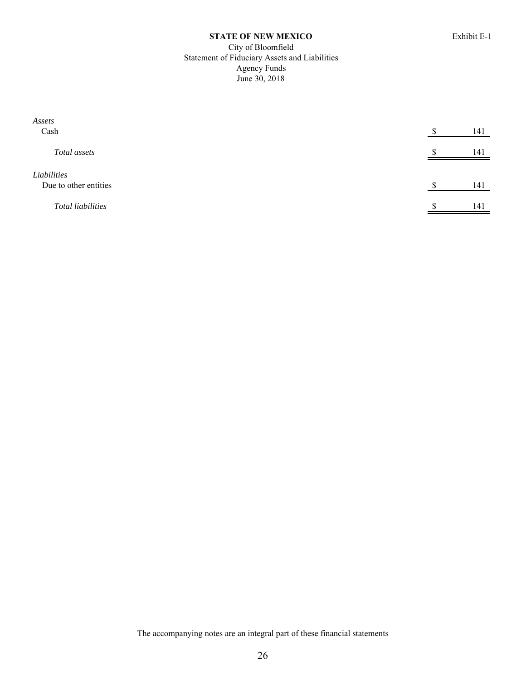## **STATE OF NEW MEXICO** Exhibit E-1

#### City of Bloomfield Statement of Fiduciary Assets and Liabilities Agency Funds June 30, 2018

| Assets                |           |  |
|-----------------------|-----------|--|
| Cash                  | 141<br>c  |  |
| Total assets          | ¢<br>141  |  |
| Liabilities           |           |  |
| Due to other entities | \$<br>141 |  |
| Total liabilities     | S<br>141  |  |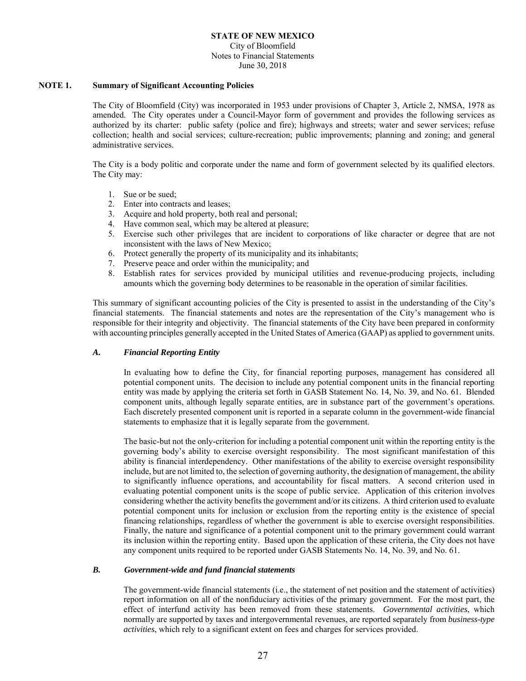#### City of Bloomfield Notes to Financial Statements June 30, 2018

#### **NOTE 1. Summary of Significant Accounting Policies**

The City of Bloomfield (City) was incorporated in 1953 under provisions of Chapter 3, Article 2, NMSA, 1978 as amended. The City operates under a Council-Mayor form of government and provides the following services as authorized by its charter: public safety (police and fire); highways and streets; water and sewer services; refuse collection; health and social services; culture-recreation; public improvements; planning and zoning; and general administrative services.

The City is a body politic and corporate under the name and form of government selected by its qualified electors. The City may:

- 1. Sue or be sued;
- 2. Enter into contracts and leases;
- 3. Acquire and hold property, both real and personal;
- 4. Have common seal, which may be altered at pleasure;
- 5. Exercise such other privileges that are incident to corporations of like character or degree that are not inconsistent with the laws of New Mexico;
- 6. Protect generally the property of its municipality and its inhabitants;
- 7. Preserve peace and order within the municipality; and
- 8. Establish rates for services provided by municipal utilities and revenue-producing projects, including amounts which the governing body determines to be reasonable in the operation of similar facilities.

This summary of significant accounting policies of the City is presented to assist in the understanding of the City's financial statements. The financial statements and notes are the representation of the City's management who is responsible for their integrity and objectivity. The financial statements of the City have been prepared in conformity with accounting principles generally accepted in the United States of America (GAAP) as applied to government units.

#### *A. Financial Reporting Entity*

In evaluating how to define the City, for financial reporting purposes, management has considered all potential component units. The decision to include any potential component units in the financial reporting entity was made by applying the criteria set forth in GASB Statement No. 14, No. 39, and No. 61. Blended component units, although legally separate entities, are in substance part of the government's operations. Each discretely presented component unit is reported in a separate column in the government-wide financial statements to emphasize that it is legally separate from the government.

The basic-but not the only-criterion for including a potential component unit within the reporting entity is the governing body's ability to exercise oversight responsibility. The most significant manifestation of this ability is financial interdependency. Other manifestations of the ability to exercise oversight responsibility include, but are not limited to, the selection of governing authority, the designation of management, the ability to significantly influence operations, and accountability for fiscal matters. A second criterion used in evaluating potential component units is the scope of public service. Application of this criterion involves considering whether the activity benefits the government and/or its citizens. A third criterion used to evaluate potential component units for inclusion or exclusion from the reporting entity is the existence of special financing relationships, regardless of whether the government is able to exercise oversight responsibilities. Finally, the nature and significance of a potential component unit to the primary government could warrant its inclusion within the reporting entity. Based upon the application of these criteria, the City does not have any component units required to be reported under GASB Statements No. 14, No. 39, and No. 61.

#### *B. Government-wide and fund financial statements*

The government-wide financial statements (i.e., the statement of net position and the statement of activities) report information on all of the nonfiduciary activities of the primary government. For the most part, the effect of interfund activity has been removed from these statements. *Governmental activities*, which normally are supported by taxes and intergovernmental revenues, are reported separately from *business-type activities*, which rely to a significant extent on fees and charges for services provided.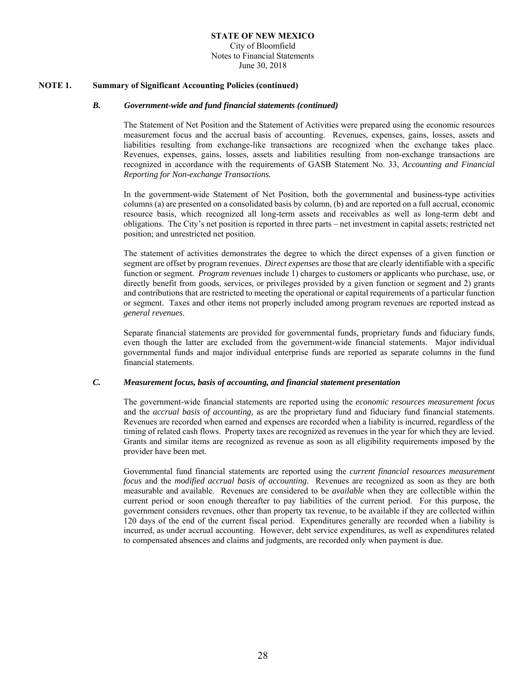#### City of Bloomfield Notes to Financial Statements June 30, 2018

#### **NOTE 1. Summary of Significant Accounting Policies (continued)**

#### *B. Government-wide and fund financial statements (continued)*

The Statement of Net Position and the Statement of Activities were prepared using the economic resources measurement focus and the accrual basis of accounting. Revenues, expenses, gains, losses, assets and liabilities resulting from exchange-like transactions are recognized when the exchange takes place. Revenues, expenses, gains, losses, assets and liabilities resulting from non-exchange transactions are recognized in accordance with the requirements of GASB Statement No. 33, *Accounting and Financial Reporting for Non-exchange Transactions.*

In the government-wide Statement of Net Position, both the governmental and business-type activities columns (a) are presented on a consolidated basis by column, (b) and are reported on a full accrual, economic resource basis, which recognized all long-term assets and receivables as well as long-term debt and obligations. The City's net position is reported in three parts – net investment in capital assets; restricted net position; and unrestricted net position.

The statement of activities demonstrates the degree to which the direct expenses of a given function or segment are offset by program revenues. *Direct expenses* are those that are clearly identifiable with a specific function or segment. *Program revenues* include 1) charges to customers or applicants who purchase, use, or directly benefit from goods, services, or privileges provided by a given function or segment and 2) grants and contributions that are restricted to meeting the operational or capital requirements of a particular function or segment. Taxes and other items not properly included among program revenues are reported instead as *general revenues*.

Separate financial statements are provided for governmental funds, proprietary funds and fiduciary funds, even though the latter are excluded from the government-wide financial statements. Major individual governmental funds and major individual enterprise funds are reported as separate columns in the fund financial statements.

#### *C. Measurement focus, basis of accounting, and financial statement presentation*

The government-wide financial statements are reported using the *economic resources measurement focus* and the *accrual basis of accounting,* as are the proprietary fund and fiduciary fund financial statements. Revenues are recorded when earned and expenses are recorded when a liability is incurred, regardless of the timing of related cash flows. Property taxes are recognized as revenues in the year for which they are levied. Grants and similar items are recognized as revenue as soon as all eligibility requirements imposed by the provider have been met.

Governmental fund financial statements are reported using the *current financial resources measurement focus* and the *modified accrual basis of accounting.* Revenues are recognized as soon as they are both measurable and available. Revenues are considered to be *available* when they are collectible within the current period or soon enough thereafter to pay liabilities of the current period. For this purpose, the government considers revenues, other than property tax revenue, to be available if they are collected within 120 days of the end of the current fiscal period. Expenditures generally are recorded when a liability is incurred, as under accrual accounting. However, debt service expenditures, as well as expenditures related to compensated absences and claims and judgments, are recorded only when payment is due.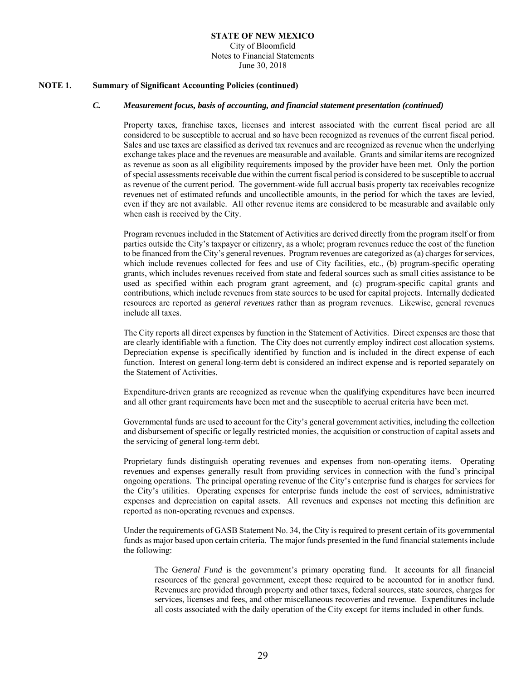#### City of Bloomfield Notes to Financial Statements June 30, 2018

#### **NOTE 1. Summary of Significant Accounting Policies (continued)**

#### *C. Measurement focus, basis of accounting, and financial statement presentation (continued)*

Property taxes, franchise taxes, licenses and interest associated with the current fiscal period are all considered to be susceptible to accrual and so have been recognized as revenues of the current fiscal period. Sales and use taxes are classified as derived tax revenues and are recognized as revenue when the underlying exchange takes place and the revenues are measurable and available. Grants and similar items are recognized as revenue as soon as all eligibility requirements imposed by the provider have been met. Only the portion of special assessments receivable due within the current fiscal period is considered to be susceptible to accrual as revenue of the current period. The government-wide full accrual basis property tax receivables recognize revenues net of estimated refunds and uncollectible amounts, in the period for which the taxes are levied, even if they are not available. All other revenue items are considered to be measurable and available only when cash is received by the City.

Program revenues included in the Statement of Activities are derived directly from the program itself or from parties outside the City's taxpayer or citizenry, as a whole; program revenues reduce the cost of the function to be financed from the City's general revenues. Program revenues are categorized as (a) charges for services, which include revenues collected for fees and use of City facilities, etc., (b) program-specific operating grants, which includes revenues received from state and federal sources such as small cities assistance to be used as specified within each program grant agreement, and (c) program-specific capital grants and contributions, which include revenues from state sources to be used for capital projects. Internally dedicated resources are reported as *general revenues* rather than as program revenues. Likewise, general revenues include all taxes.

The City reports all direct expenses by function in the Statement of Activities. Direct expenses are those that are clearly identifiable with a function. The City does not currently employ indirect cost allocation systems. Depreciation expense is specifically identified by function and is included in the direct expense of each function. Interest on general long-term debt is considered an indirect expense and is reported separately on the Statement of Activities.

Expenditure-driven grants are recognized as revenue when the qualifying expenditures have been incurred and all other grant requirements have been met and the susceptible to accrual criteria have been met.

Governmental funds are used to account for the City's general government activities, including the collection and disbursement of specific or legally restricted monies, the acquisition or construction of capital assets and the servicing of general long-term debt.

Proprietary funds distinguish operating revenues and expenses from non-operating items. Operating revenues and expenses generally result from providing services in connection with the fund's principal ongoing operations. The principal operating revenue of the City's enterprise fund is charges for services for the City's utilities. Operating expenses for enterprise funds include the cost of services, administrative expenses and depreciation on capital assets. All revenues and expenses not meeting this definition are reported as non-operating revenues and expenses.

Under the requirements of GASB Statement No. 34, the City is required to present certain of its governmental funds as major based upon certain criteria. The major funds presented in the fund financial statements include the following:

The G*eneral Fund* is the government's primary operating fund. It accounts for all financial resources of the general government, except those required to be accounted for in another fund. Revenues are provided through property and other taxes, federal sources, state sources, charges for services, licenses and fees, and other miscellaneous recoveries and revenue. Expenditures include all costs associated with the daily operation of the City except for items included in other funds.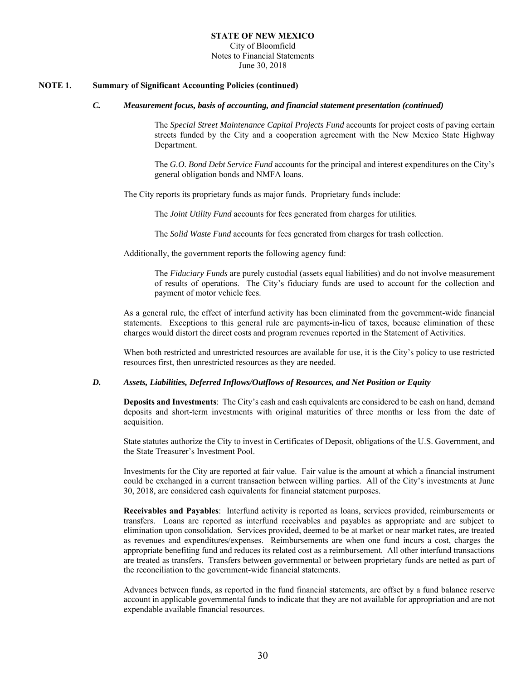City of Bloomfield Notes to Financial Statements June 30, 2018

#### **NOTE 1. Summary of Significant Accounting Policies (continued)**

#### *C. Measurement focus, basis of accounting, and financial statement presentation (continued)*

The *Special Street Maintenance Capital Projects Fund* accounts for project costs of paving certain streets funded by the City and a cooperation agreement with the New Mexico State Highway Department.

The *G.O. Bond Debt Service Fund* accounts for the principal and interest expenditures on the City's general obligation bonds and NMFA loans.

The City reports its proprietary funds as major funds. Proprietary funds include:

The *Joint Utility Fund* accounts for fees generated from charges for utilities.

The *Solid Waste Fund* accounts for fees generated from charges for trash collection.

Additionally, the government reports the following agency fund:

The *Fiduciary Funds* are purely custodial (assets equal liabilities) and do not involve measurement of results of operations. The City's fiduciary funds are used to account for the collection and payment of motor vehicle fees.

As a general rule, the effect of interfund activity has been eliminated from the government-wide financial statements. Exceptions to this general rule are payments-in-lieu of taxes, because elimination of these charges would distort the direct costs and program revenues reported in the Statement of Activities.

When both restricted and unrestricted resources are available for use, it is the City's policy to use restricted resources first, then unrestricted resources as they are needed.

#### *D. Assets, Liabilities, Deferred Inflows/Outflows of Resources, and Net Position or Equity*

**Deposits and Investments**: The City's cash and cash equivalents are considered to be cash on hand, demand deposits and short-term investments with original maturities of three months or less from the date of acquisition.

State statutes authorize the City to invest in Certificates of Deposit, obligations of the U.S. Government, and the State Treasurer's Investment Pool.

Investments for the City are reported at fair value. Fair value is the amount at which a financial instrument could be exchanged in a current transaction between willing parties. All of the City's investments at June 30, 2018, are considered cash equivalents for financial statement purposes.

**Receivables and Payables**: Interfund activity is reported as loans, services provided, reimbursements or transfers. Loans are reported as interfund receivables and payables as appropriate and are subject to elimination upon consolidation. Services provided, deemed to be at market or near market rates, are treated as revenues and expenditures/expenses. Reimbursements are when one fund incurs a cost, charges the appropriate benefiting fund and reduces its related cost as a reimbursement. All other interfund transactions are treated as transfers. Transfers between governmental or between proprietary funds are netted as part of the reconciliation to the government-wide financial statements.

Advances between funds, as reported in the fund financial statements, are offset by a fund balance reserve account in applicable governmental funds to indicate that they are not available for appropriation and are not expendable available financial resources.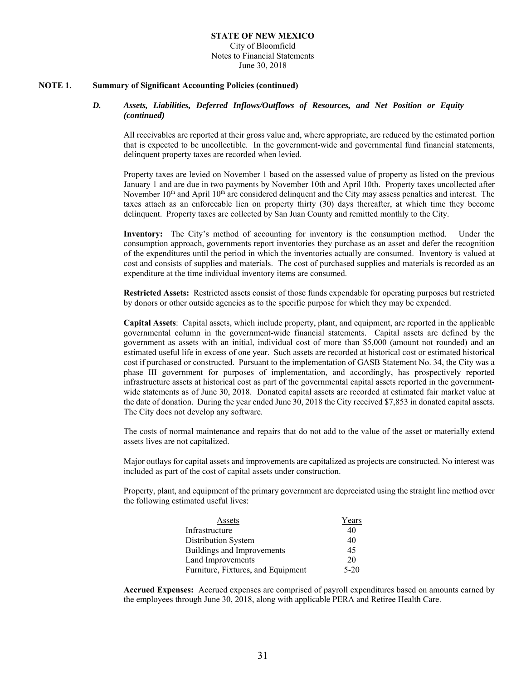City of Bloomfield Notes to Financial Statements June 30, 2018

#### **NOTE 1. Summary of Significant Accounting Policies (continued)**

#### *D. Assets, Liabilities, Deferred Inflows/Outflows of Resources, and Net Position or Equity (continued)*

All receivables are reported at their gross value and, where appropriate, are reduced by the estimated portion that is expected to be uncollectible. In the government-wide and governmental fund financial statements, delinquent property taxes are recorded when levied.

Property taxes are levied on November 1 based on the assessed value of property as listed on the previous January 1 and are due in two payments by November 10th and April 10th. Property taxes uncollected after November 10<sup>th</sup> and April 10<sup>th</sup> are considered delinquent and the City may assess penalties and interest. The taxes attach as an enforceable lien on property thirty (30) days thereafter, at which time they become delinquent. Property taxes are collected by San Juan County and remitted monthly to the City.

**Inventory:** The City's method of accounting for inventory is the consumption method. Under the consumption approach, governments report inventories they purchase as an asset and defer the recognition of the expenditures until the period in which the inventories actually are consumed. Inventory is valued at cost and consists of supplies and materials. The cost of purchased supplies and materials is recorded as an expenditure at the time individual inventory items are consumed.

**Restricted Assets:** Restricted assets consist of those funds expendable for operating purposes but restricted by donors or other outside agencies as to the specific purpose for which they may be expended.

**Capital Assets**: Capital assets, which include property, plant, and equipment, are reported in the applicable governmental column in the government-wide financial statements. Capital assets are defined by the government as assets with an initial, individual cost of more than \$5,000 (amount not rounded) and an estimated useful life in excess of one year. Such assets are recorded at historical cost or estimated historical cost if purchased or constructed. Pursuant to the implementation of GASB Statement No. 34, the City was a phase III government for purposes of implementation, and accordingly, has prospectively reported infrastructure assets at historical cost as part of the governmental capital assets reported in the governmentwide statements as of June 30, 2018. Donated capital assets are recorded at estimated fair market value at the date of donation. During the year ended June 30, 2018 the City received \$7,853 in donated capital assets. The City does not develop any software.

The costs of normal maintenance and repairs that do not add to the value of the asset or materially extend assets lives are not capitalized.

Major outlays for capital assets and improvements are capitalized as projects are constructed. No interest was included as part of the cost of capital assets under construction.

Property, plant, and equipment of the primary government are depreciated using the straight line method over the following estimated useful lives:

| Assets                             | Years  |
|------------------------------------|--------|
| Infrastructure                     | 40     |
| Distribution System                | 40     |
| Buildings and Improvements         | 45     |
| Land Improvements                  | 20     |
| Furniture, Fixtures, and Equipment | $5-20$ |

**Accrued Expenses:** Accrued expenses are comprised of payroll expenditures based on amounts earned by the employees through June 30, 2018, along with applicable PERA and Retiree Health Care.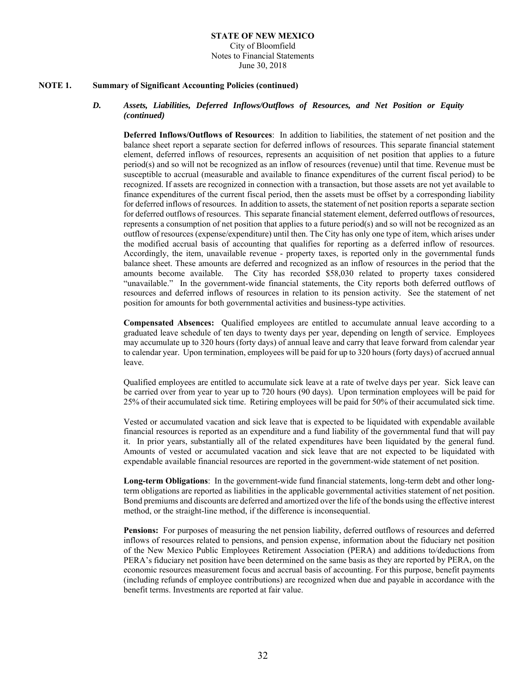City of Bloomfield Notes to Financial Statements June 30, 2018

#### **NOTE 1. Summary of Significant Accounting Policies (continued)**

*D. Assets, Liabilities, Deferred Inflows/Outflows of Resources, and Net Position or Equity (continued)* 

**Deferred Inflows/Outflows of Resources**: In addition to liabilities, the statement of net position and the balance sheet report a separate section for deferred inflows of resources. This separate financial statement element, deferred inflows of resources, represents an acquisition of net position that applies to a future period(s) and so will not be recognized as an inflow of resources (revenue) until that time. Revenue must be susceptible to accrual (measurable and available to finance expenditures of the current fiscal period) to be recognized. If assets are recognized in connection with a transaction, but those assets are not yet available to finance expenditures of the current fiscal period, then the assets must be offset by a corresponding liability for deferred inflows of resources. In addition to assets, the statement of net position reports a separate section for deferred outflows of resources. This separate financial statement element, deferred outflows of resources, represents a consumption of net position that applies to a future period(s) and so will not be recognized as an outflow of resources (expense/expenditure) until then. The City has only one type of item, which arises under the modified accrual basis of accounting that qualifies for reporting as a deferred inflow of resources. Accordingly, the item, unavailable revenue - property taxes, is reported only in the governmental funds balance sheet. These amounts are deferred and recognized as an inflow of resources in the period that the amounts become available. The City has recorded \$58,030 related to property taxes considered "unavailable." In the government-wide financial statements, the City reports both deferred outflows of resources and deferred inflows of resources in relation to its pension activity. See the statement of net position for amounts for both governmental activities and business-type activities.

**Compensated Absences:** Qualified employees are entitled to accumulate annual leave according to a graduated leave schedule of ten days to twenty days per year, depending on length of service. Employees may accumulate up to 320 hours (forty days) of annual leave and carry that leave forward from calendar year to calendar year. Upon termination, employees will be paid for up to 320 hours (forty days) of accrued annual leave.

Qualified employees are entitled to accumulate sick leave at a rate of twelve days per year. Sick leave can be carried over from year to year up to 720 hours (90 days). Upon termination employees will be paid for 25% of their accumulated sick time. Retiring employees will be paid for 50% of their accumulated sick time.

Vested or accumulated vacation and sick leave that is expected to be liquidated with expendable available financial resources is reported as an expenditure and a fund liability of the governmental fund that will pay it. In prior years, substantially all of the related expenditures have been liquidated by the general fund. Amounts of vested or accumulated vacation and sick leave that are not expected to be liquidated with expendable available financial resources are reported in the government-wide statement of net position.

**Long-term Obligations**: In the government-wide fund financial statements, long-term debt and other longterm obligations are reported as liabilities in the applicable governmental activities statement of net position. Bond premiums and discounts are deferred and amortized over the life of the bonds using the effective interest method, or the straight-line method, if the difference is inconsequential.

**Pensions:** For purposes of measuring the net pension liability, deferred outflows of resources and deferred inflows of resources related to pensions, and pension expense, information about the fiduciary net position of the New Mexico Public Employees Retirement Association (PERA) and additions to/deductions from PERA's fiduciary net position have been determined on the same basis as they are reported by PERA, on the economic resources measurement focus and accrual basis of accounting. For this purpose, benefit payments (including refunds of employee contributions) are recognized when due and payable in accordance with the benefit terms. Investments are reported at fair value.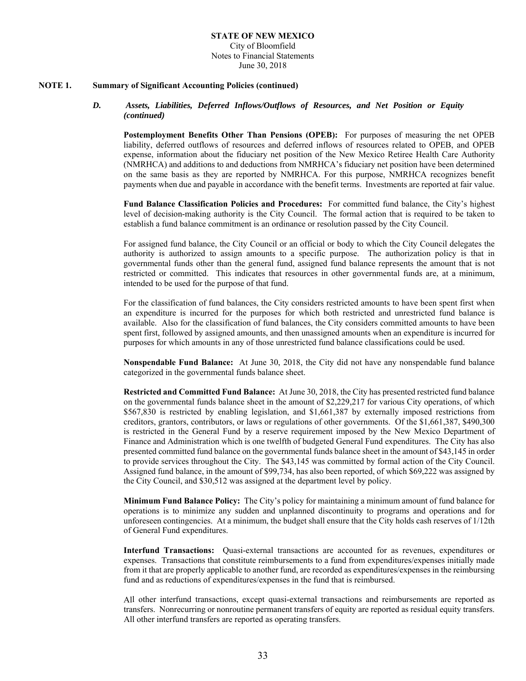#### **STATE OF NEW MEXICO**  City of Bloomfield

Notes to Financial Statements June 30, 2018

#### **NOTE 1. Summary of Significant Accounting Policies (continued)**

#### *D. Assets, Liabilities, Deferred Inflows/Outflows of Resources, and Net Position or Equity (continued)*

**Postemployment Benefits Other Than Pensions (OPEB):** For purposes of measuring the net OPEB liability, deferred outflows of resources and deferred inflows of resources related to OPEB, and OPEB expense, information about the fiduciary net position of the New Mexico Retiree Health Care Authority (NMRHCA) and additions to and deductions from NMRHCA's fiduciary net position have been determined on the same basis as they are reported by NMRHCA. For this purpose, NMRHCA recognizes benefit payments when due and payable in accordance with the benefit terms. Investments are reported at fair value.

**Fund Balance Classification Policies and Procedures:** For committed fund balance, the City's highest level of decision-making authority is the City Council. The formal action that is required to be taken to establish a fund balance commitment is an ordinance or resolution passed by the City Council.

For assigned fund balance, the City Council or an official or body to which the City Council delegates the authority is authorized to assign amounts to a specific purpose. The authorization policy is that in governmental funds other than the general fund, assigned fund balance represents the amount that is not restricted or committed. This indicates that resources in other governmental funds are, at a minimum, intended to be used for the purpose of that fund.

For the classification of fund balances, the City considers restricted amounts to have been spent first when an expenditure is incurred for the purposes for which both restricted and unrestricted fund balance is available. Also for the classification of fund balances, the City considers committed amounts to have been spent first, followed by assigned amounts, and then unassigned amounts when an expenditure is incurred for purposes for which amounts in any of those unrestricted fund balance classifications could be used.

**Nonspendable Fund Balance:** At June 30, 2018, the City did not have any nonspendable fund balance categorized in the governmental funds balance sheet.

**Restricted and Committed Fund Balance:** At June 30, 2018, the City has presented restricted fund balance on the governmental funds balance sheet in the amount of \$2,229,217 for various City operations, of which \$567,830 is restricted by enabling legislation, and \$1,661,387 by externally imposed restrictions from creditors, grantors, contributors, or laws or regulations of other governments. Of the \$1,661,387, \$490,300 is restricted in the General Fund by a reserve requirement imposed by the New Mexico Department of Finance and Administration which is one twelfth of budgeted General Fund expenditures. The City has also presented committed fund balance on the governmental funds balance sheet in the amount of \$43,145 in order to provide services throughout the City. The \$43,145 was committed by formal action of the City Council. Assigned fund balance, in the amount of \$99,734, has also been reported, of which \$69,222 was assigned by the City Council, and \$30,512 was assigned at the department level by policy.

**Minimum Fund Balance Policy:** The City's policy for maintaining a minimum amount of fund balance for operations is to minimize any sudden and unplanned discontinuity to programs and operations and for unforeseen contingencies. At a minimum, the budget shall ensure that the City holds cash reserves of 1/12th of General Fund expenditures.

**Interfund Transactions:** Quasi-external transactions are accounted for as revenues, expenditures or expenses. Transactions that constitute reimbursements to a fund from expenditures/expenses initially made from it that are properly applicable to another fund, are recorded as expenditures/expenses in the reimbursing fund and as reductions of expenditures/expenses in the fund that is reimbursed.

All other interfund transactions, except quasi-external transactions and reimbursements are reported as transfers. Nonrecurring or nonroutine permanent transfers of equity are reported as residual equity transfers. All other interfund transfers are reported as operating transfers.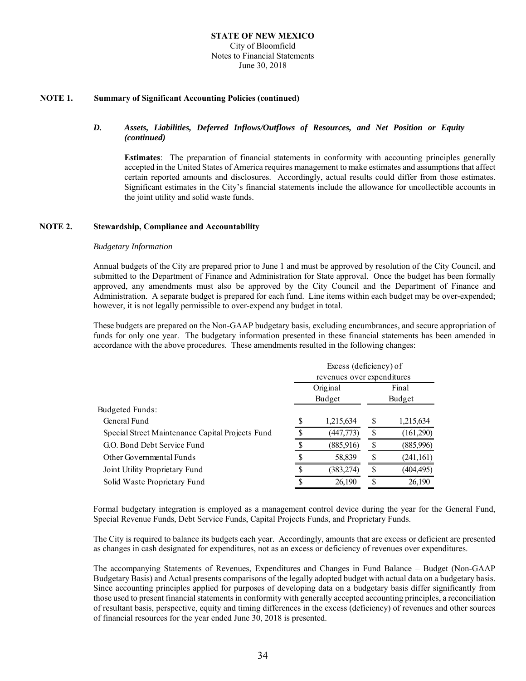June 30, 2018

### **NOTE 1. Summary of Significant Accounting Policies (continued)**

# *D. Assets, Liabilities, Deferred Inflows/Outflows of Resources, and Net Position or Equity (continued)*

**Estimates**: The preparation of financial statements in conformity with accounting principles generally accepted in the United States of America requires management to make estimates and assumptions that affect certain reported amounts and disclosures. Accordingly, actual results could differ from those estimates. Significant estimates in the City's financial statements include the allowance for uncollectible accounts in the joint utility and solid waste funds.

## **NOTE 2. Stewardship, Compliance and Accountability**

#### *Budgetary Information*

Annual budgets of the City are prepared prior to June 1 and must be approved by resolution of the City Council, and submitted to the Department of Finance and Administration for State approval. Once the budget has been formally approved, any amendments must also be approved by the City Council and the Department of Finance and Administration. A separate budget is prepared for each fund. Line items within each budget may be over-expended; however, it is not legally permissible to over-expend any budget in total.

These budgets are prepared on the Non-GAAP budgetary basis, excluding encumbrances, and secure appropriation of funds for only one year. The budgetary information presented in these financial statements has been amended in accordance with the above procedures. These amendments resulted in the following changes:

|                                                  | Excess (deficiency) of     |           |        |            |  |  |
|--------------------------------------------------|----------------------------|-----------|--------|------------|--|--|
|                                                  | revenues over expenditures |           |        |            |  |  |
|                                                  | Original                   | Final     |        |            |  |  |
|                                                  |                            | Budget    | Budget |            |  |  |
| Budgeted Funds:                                  |                            |           |        |            |  |  |
| General Fund                                     |                            | 1,215,634 |        | 1,215,634  |  |  |
| Special Street Maintenance Capital Projects Fund |                            | (447,773) |        | (161, 290) |  |  |
| G.O. Bond Debt Service Fund                      |                            | (885,916) |        | (885,996)  |  |  |
| Other Governmental Funds                         |                            | 58,839    |        | (241,161)  |  |  |
| Joint Utility Proprietary Fund                   |                            | (383,274) |        | (404,495)  |  |  |
| Solid Waste Proprietary Fund                     |                            | 26,190    |        | 26,190     |  |  |

Formal budgetary integration is employed as a management control device during the year for the General Fund, Special Revenue Funds, Debt Service Funds, Capital Projects Funds, and Proprietary Funds.

The City is required to balance its budgets each year. Accordingly, amounts that are excess or deficient are presented as changes in cash designated for expenditures, not as an excess or deficiency of revenues over expenditures.

The accompanying Statements of Revenues, Expenditures and Changes in Fund Balance – Budget (Non-GAAP Budgetary Basis) and Actual presents comparisons of the legally adopted budget with actual data on a budgetary basis. Since accounting principles applied for purposes of developing data on a budgetary basis differ significantly from those used to present financial statements in conformity with generally accepted accounting principles, a reconciliation of resultant basis, perspective, equity and timing differences in the excess (deficiency) of revenues and other sources of financial resources for the year ended June 30, 2018 is presented.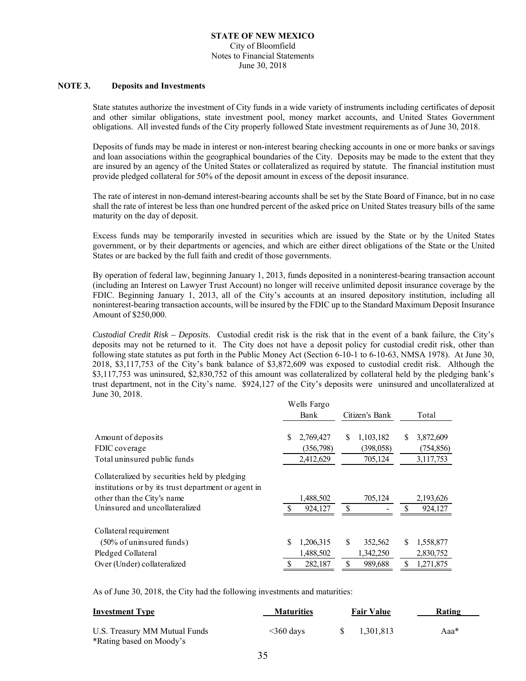June 30, 2018

### **NOTE 3. Deposits and Investments**

State statutes authorize the investment of City funds in a wide variety of instruments including certificates of deposit and other similar obligations, state investment pool, money market accounts, and United States Government obligations. All invested funds of the City properly followed State investment requirements as of June 30, 2018.

Deposits of funds may be made in interest or non-interest bearing checking accounts in one or more banks or savings and loan associations within the geographical boundaries of the City. Deposits may be made to the extent that they are insured by an agency of the United States or collateralized as required by statute. The financial institution must provide pledged collateral for 50% of the deposit amount in excess of the deposit insurance.

The rate of interest in non-demand interest-bearing accounts shall be set by the State Board of Finance, but in no case shall the rate of interest be less than one hundred percent of the asked price on United States treasury bills of the same maturity on the day of deposit.

Excess funds may be temporarily invested in securities which are issued by the State or by the United States government, or by their departments or agencies, and which are either direct obligations of the State or the United States or are backed by the full faith and credit of those governments.

By operation of federal law, beginning January 1, 2013, funds deposited in a noninterest-bearing transaction account (including an Interest on Lawyer Trust Account) no longer will receive unlimited deposit insurance coverage by the FDIC. Beginning January 1, 2013, all of the City's accounts at an insured depository institution, including all noninterest-bearing transaction accounts, will be insured by the FDIC up to the Standard Maximum Deposit Insurance Amount of \$250,000.

*Custodial Credit Risk – Deposits*. Custodial credit risk is the risk that in the event of a bank failure, the City's deposits may not be returned to it. The City does not have a deposit policy for custodial credit risk, other than following state statutes as put forth in the Public Money Act (Section 6-10-1 to 6-10-63, NMSA 1978). At June 30, 2018, \$3,117,753 of the City's bank balance of \$3,872,609 was exposed to custodial credit risk. Although the \$3,117,753 was uninsured, \$2,830,752 of this amount was collateralized by collateral held by the pledging bank's trust department, not in the City's name. \$924,127 of the City's deposits were uninsured and uncollateralized at June 30, 2018.

|                                                                                                      | Wells Fargo            |                       |                          |
|------------------------------------------------------------------------------------------------------|------------------------|-----------------------|--------------------------|
|                                                                                                      | Bank                   | Citizen's Bank        | Total                    |
| Amount of deposits                                                                                   | 2,769,427<br>\$        | \$<br>1,103,182       | 3,872,609<br>S           |
| FDIC coverage<br>Total uninsured public funds                                                        | (356,798)<br>2,412,629 | (398, 058)<br>705,124 | (754, 856)<br>3,117,753  |
| Collateralized by securities held by pledging<br>institutions or by its trust department or agent in |                        |                       |                          |
| other than the City's name                                                                           | 1,488,502              | 705,124               | 2,193,626                |
| Uninsured and uncollateralized                                                                       | 924,127                | \$                    | 924,127<br><sup>\$</sup> |
| Collateral requirement                                                                               |                        |                       |                          |
| $(50\% \text{ of uninsured funds})$                                                                  | \$<br>1,206,315        | \$<br>352,562         | 1,558,877<br>S           |
| Pledged Collateral                                                                                   | 1,488,502              | 1,342,250             | 2,830,752                |
| Over (Under) collateralized                                                                          | \$<br>282,187          | \$<br>989,688         | 1,271,875<br>S           |

As of June 30, 2018, the City had the following investments and maturities:

| <b>Investment Type</b>                                    | <b>Maturities</b> | <b>Fair Value</b> | Rating |
|-----------------------------------------------------------|-------------------|-------------------|--------|
| U.S. Treasury MM Mutual Funds<br>*Rating based on Moody's | $\leq$ 360 days   | 1.301.813         | Aaa*   |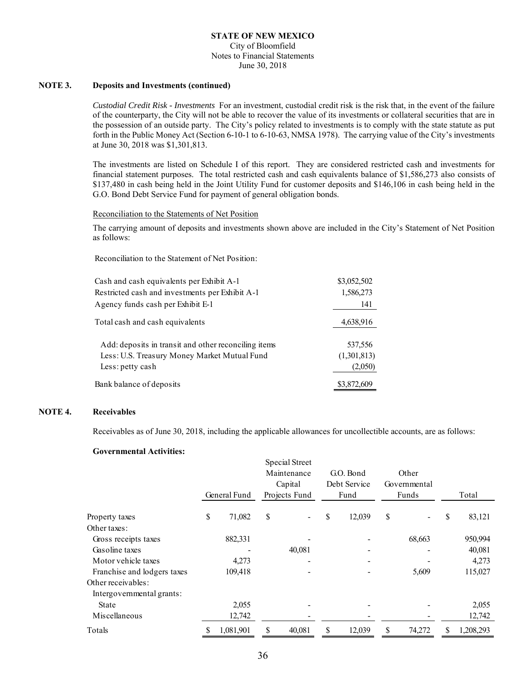#### City of Bloomfield Notes to Financial Statements June 30, 2018

## **NOTE 3. Deposits and Investments (continued)**

*Custodial Credit Risk - Investments* For an investment, custodial credit risk is the risk that, in the event of the failure of the counterparty, the City will not be able to recover the value of its investments or collateral securities that are in the possession of an outside party. The City's policy related to investments is to comply with the state statute as put forth in the Public Money Act (Section 6-10-1 to 6-10-63, NMSA 1978). The carrying value of the City's investments at June 30, 2018 was \$1,301,813.

The investments are listed on Schedule I of this report. They are considered restricted cash and investments for financial statement purposes. The total restricted cash and cash equivalents balance of \$1,586,273 also consists of \$137,480 in cash being held in the Joint Utility Fund for customer deposits and \$146,106 in cash being held in the G.O. Bond Debt Service Fund for payment of general obligation bonds.

#### Reconciliation to the Statements of Net Position

The carrying amount of deposits and investments shown above are included in the City's Statement of Net Position as follows:

Reconciliation to the Statement of Net Position:

| Cash and cash equivalents per Exhibit A-1            | \$3,052,502 |
|------------------------------------------------------|-------------|
| Restricted cash and investments per Exhibit A-1      | 1,586,273   |
| Agency funds cash per Exhibit E-1                    | 141         |
| Total cash and cash equivalents                      | 4,638,916   |
| Add: deposits in transit and other reconciling items | 537,556     |
| Less: U.S. Treasury Money Market Mutual Fund         | (1,301,813) |
| Less: petty cash                                     | (2,050)     |
| Bank balance of deposits                             | \$3,872,609 |

# **NOTE 4. Receivables**

Receivables as of June 30, 2018, including the applicable allowances for uncollectible accounts, are as follows:

#### **Governmental Activities:**

|                             | General Fund | Special Street<br>Maintenance<br>Capital<br>Projects Fund | G.O. Bond<br>Debt Service<br>Fund |    | Other<br>Governmental<br>Funds | Total           |
|-----------------------------|--------------|-----------------------------------------------------------|-----------------------------------|----|--------------------------------|-----------------|
| Property taxes              | \$<br>71,082 | \$                                                        | \$<br>12,039                      | \$ |                                | \$<br>83,121    |
| Other taxes:                |              |                                                           |                                   |    |                                |                 |
| Gross receipts taxes        | 882,331      |                                                           |                                   |    | 68,663                         | 950,994         |
| Gasoline taxes              |              | 40,081                                                    |                                   |    |                                | 40,081          |
| Motor vehicle taxes         | 4,273        |                                                           |                                   |    |                                | 4,273           |
| Franchise and lodgers taxes | 109,418      |                                                           |                                   |    | 5,609                          | 115,027         |
| Other receivables:          |              |                                                           |                                   |    |                                |                 |
| Intergovernmental grants:   |              |                                                           |                                   |    |                                |                 |
| <b>State</b>                | 2,055        |                                                           |                                   |    |                                | 2,055           |
| Miscellaneous               | 12,742       |                                                           |                                   |    |                                | 12,742          |
| Totals                      | 1,081,901    | 40,081                                                    | \$<br>12,039                      | S  | 74,272                         | \$<br>1,208,293 |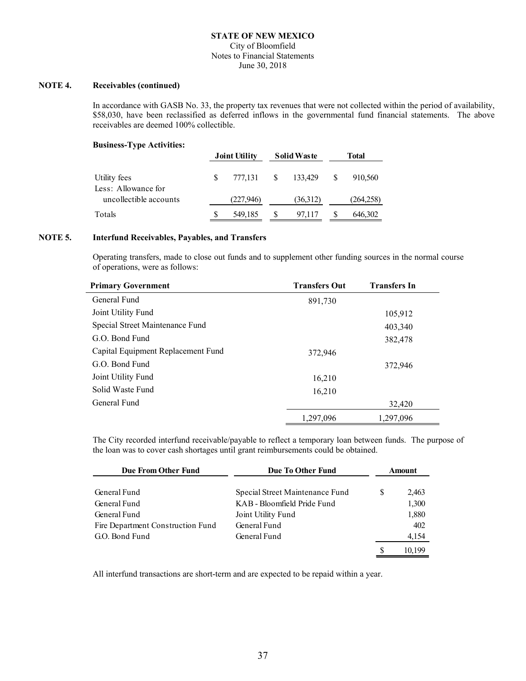#### **NOTE 4. Receivables (continued)**

In accordance with GASB No. 33, the property tax revenues that were not collected within the period of availability, \$58,030, have been reclassified as deferred inflows in the governmental fund financial statements. The above receivables are deemed 100% collectible.

#### **Business-Type Activities:**

|                                               | <b>Joint Utility</b> |           |          | <b>Solid Waste</b> | <b>Total</b> |            |  |
|-----------------------------------------------|----------------------|-----------|----------|--------------------|--------------|------------|--|
| Utility fees                                  |                      | 777.131   | <b>S</b> | 133,429            |              | 910,560    |  |
| Less: Allowance for<br>uncollectible accounts |                      | (227,946) |          | (36,312)           |              | (264, 258) |  |
| Totals                                        |                      | 549,185   |          | 97.117             |              | 646,302    |  |

# **NOTE 5. Interfund Receivables, Payables, and Transfers**

Operating transfers, made to close out funds and to supplement other funding sources in the normal course of operations, were as follows:

| <b>Primary Government</b>          | <b>Transfers Out</b> | <b>Transfers In</b> |
|------------------------------------|----------------------|---------------------|
| General Fund                       | 891,730              |                     |
| Joint Utility Fund                 |                      | 105,912             |
| Special Street Maintenance Fund    |                      | 403,340             |
| G.O. Bond Fund                     |                      | 382,478             |
| Capital Equipment Replacement Fund | 372,946              |                     |
| G.O. Bond Fund                     |                      | 372,946             |
| Joint Utility Fund                 | 16,210               |                     |
| Solid Waste Fund                   | 16,210               |                     |
| General Fund                       |                      | 32,420              |
|                                    | 1,297,096            | 1,297,096           |

The City recorded interfund receivable/payable to reflect a temporary loan between funds. The purpose of the loan was to cover cash shortages until grant reimbursements could be obtained.

| Due From Other Fund               | Due To Other Fund               |   | <b>Amount</b> |  |
|-----------------------------------|---------------------------------|---|---------------|--|
|                                   |                                 |   |               |  |
| General Fund                      | Special Street Maintenance Fund | S | 2,463         |  |
| General Fund                      | KAB - Bloomfield Pride Fund     |   | 1,300         |  |
| General Fund                      | Joint Utility Fund              |   | 1,880         |  |
| Fire Department Construction Fund | General Fund                    |   | 402           |  |
| G.O. Bond Fund                    | General Fund                    |   | 4,154         |  |
|                                   |                                 |   | 10.199        |  |

All interfund transactions are short-term and are expected to be repaid within a year.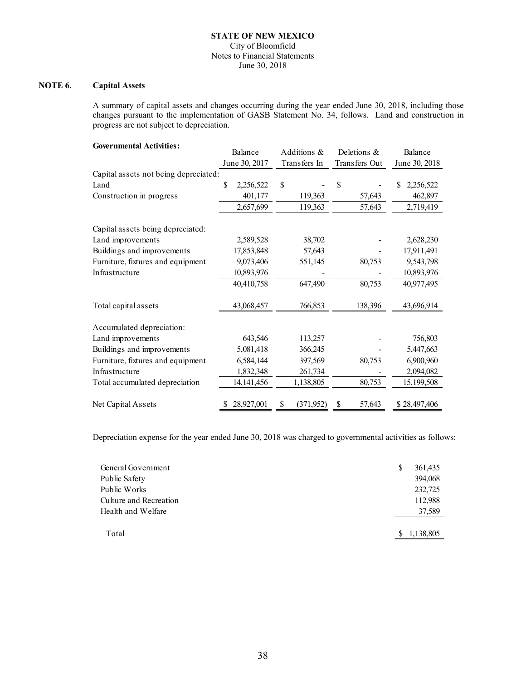# **NOTE 6. Capital Assets**

A summary of capital assets and changes occurring during the year ended June 30, 2018, including those changes pursuant to the implementation of GASB Statement No. 34, follows. Land and construction in progress are not subject to depreciation.

| <b>Governmental Activities:</b>       |    |               |                 |               |                |
|---------------------------------------|----|---------------|-----------------|---------------|----------------|
|                                       |    | Balance       | Additions &     | Deletions &   | Balance        |
|                                       |    | June 30, 2017 | Transfers In    | Transfers Out | June 30, 2018  |
| Capital assets not being depreciated: |    |               |                 |               |                |
| Land                                  | \$ | 2,256,522     | \$              | \$            | 2,256,522<br>S |
| Construction in progress              |    | 401,177       | 119,363         | 57,643        | 462,897        |
|                                       |    | 2,657,699     | 119,363         | 57,643        | 2,719,419      |
| Capital assets being depreciated:     |    |               |                 |               |                |
| Land improvements                     |    | 2,589,528     | 38,702          |               | 2,628,230      |
| Buildings and improvements            |    | 17,853,848    | 57,643          |               | 17,911,491     |
| Furniture, fixtures and equipment     |    | 9,073,406     | 551,145         | 80,753        | 9,543,798      |
| Infrastructure                        |    | 10,893,976    |                 |               | 10,893,976     |
|                                       |    | 40,410,758    | 647,490         | 80,753        | 40,977,495     |
| Total capital assets                  |    | 43,068,457    | 766,853         | 138,396       | 43,696,914     |
| Accumulated depreciation:             |    |               |                 |               |                |
| Land improvements                     |    | 643,546       | 113,257         |               | 756,803        |
| Buildings and improvements            |    | 5,081,418     | 366,245         |               | 5,447,663      |
| Furniture, fixtures and equipment     |    | 6,584,144     | 397,569         | 80,753        | 6,900,960      |
| Infrastructure                        |    | 1,832,348     | 261,734         |               | 2,094,082      |
| Total accumulated depreciation        |    | 14,141,456    | 1,138,805       | 80,753        | 15,199,508     |
| Net Capital Assets                    | S  | 28,927,001    | \$<br>(371,952) | \$<br>57,643  | \$28,497,406   |

Depreciation expense for the year ended June 30, 2018 was charged to governmental activities as follows:

| General Government     | 361,435<br>S |
|------------------------|--------------|
| Public Safety          | 394,068      |
| Public Works           | 232,725      |
| Culture and Recreation | 112,988      |
| Health and Welfare     | 37,589       |
| Total                  | 1,138,805    |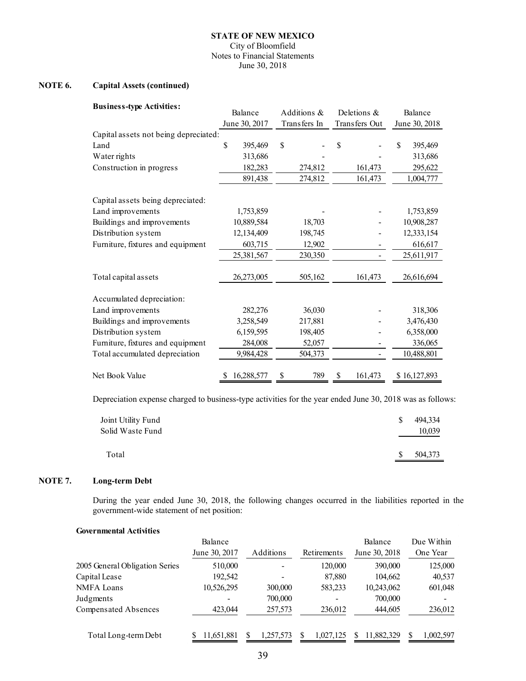# City of Bloomfield Notes to Financial Statements

June 30, 2018

# **NOTE 6. Capital Assets (continued)**

# **Business-type Activities:**

|                                       | Balance          | Additions &  | Deletions &   | Balance<br>June 30, 2018 |  |
|---------------------------------------|------------------|--------------|---------------|--------------------------|--|
|                                       | June 30, 2017    | Transfers In | Transfers Out |                          |  |
| Capital assets not being depreciated: |                  |              |               |                          |  |
| Land                                  | \$<br>395,469    | \$           | \$            | \$<br>395,469            |  |
| Water rights                          | 313,686          |              |               | 313,686                  |  |
| Construction in progress              | 182,283          | 274,812      | 161,473       | 295,622                  |  |
|                                       | 891,438          | 274,812      | 161,473       | 1,004,777                |  |
| Capital assets being depreciated:     |                  |              |               |                          |  |
| Land improvements                     | 1,753,859        |              |               | 1,753,859                |  |
| Buildings and improvements            | 10,889,584       | 18,703       |               | 10,908,287               |  |
| Distribution system                   | 12,134,409       | 198,745      |               | 12,333,154               |  |
| Furniture, fixtures and equipment     | 603,715          | 12,902       |               | 616,617                  |  |
|                                       | 25,381,567       | 230,350      |               | 25,611,917               |  |
| Total capital assets                  | 26,273,005       | 505,162      | 161,473       | 26,616,694               |  |
| Accumulated depreciation:             |                  |              |               |                          |  |
| Land improvements                     | 282,276          | 36,030       |               | 318,306                  |  |
| Buildings and improvements            | 3,258,549        | 217,881      |               | 3,476,430                |  |
| Distribution system                   | 6,159,595        | 198,405      |               | 6,358,000                |  |
| Furniture, fixtures and equipment     | 284,008          | 52,057       |               | 336,065                  |  |
| Total accumulated depreciation        | 9,984,428        | 504,373      |               | 10,488,801               |  |
| Net Book Value                        | 16,288,577<br>\$ | \$<br>789    | \$<br>161,473 | \$16,127,893             |  |

Depreciation expense charged to business-type activities for the year ended June 30, 2018 was as follows:

| Joint Utility Fund<br>Solid Waste Fund | \$<br>494.334<br>10,039 |
|----------------------------------------|-------------------------|
| Total                                  | \$<br>504,373           |

#### **NOTE 7. Long-term Debt**

During the year ended June 30, 2018, the following changes occurred in the liabilities reported in the government-wide statement of net position:

#### **Governmental Activities**

|                                | Balance       |           |                | Balance         | Due Within     |
|--------------------------------|---------------|-----------|----------------|-----------------|----------------|
|                                | June 30, 2017 | Additions | Retirements    | June 30, 2018   | One Year       |
| 2005 General Obligation Series | 510,000       |           | 120,000        | 390,000         | 125,000        |
| Capital Lease                  | 192,542       |           | 87,880         | 104,662         | 40,537         |
| <b>NMFA</b> Loans              | 10,526,295    | 300,000   | 583,233        | 10,243,062      | 601,048        |
| Judgments                      |               | 700,000   | -              | 700,000         |                |
| Compensated Absences           | 423,044       | 257,573   | 236,012        | 444,605         | 236,012        |
| Total Long-term Debt           | 11,651,881    | 1,257,573 | 1,027,125<br>S | 11,882,329<br>S | 1,002,597<br>S |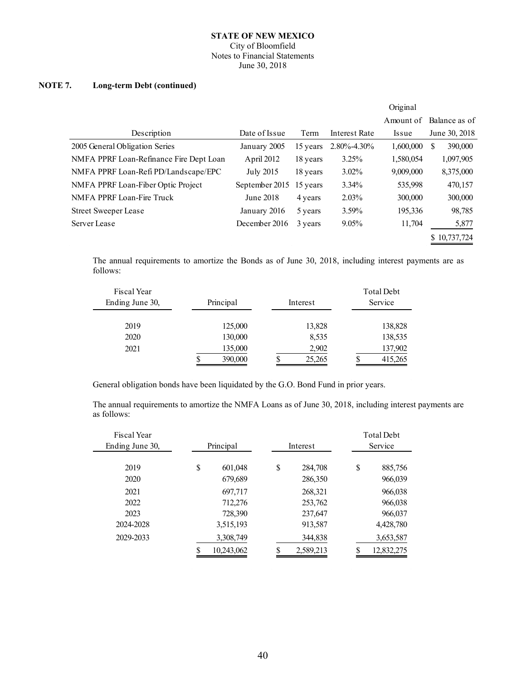#### City of Bloomfield Notes to Financial Statements June 30, 2018

# **NOTE 7. Long-term Debt (continued)**

|                                         |                  |          |                      | Original  |               |
|-----------------------------------------|------------------|----------|----------------------|-----------|---------------|
|                                         |                  |          |                      | Amount of | Balance as of |
| Description                             | Date of Issue    | Term     | <b>Interest Rate</b> | Issue     | June 30, 2018 |
| 2005 General Obligation Series          | January 2005     | 15 years | 2.80%-4.30%          | 1,600,000 | 390,000<br>S  |
| NMFA PPRF Loan-Refinance Fire Dept Loan | April 2012       | 18 years | 3.25%                | 1,580,054 | 1,097,905     |
| NMFA PPRF Loan-Refi PD/Landscape/EPC    | <b>July 2015</b> | 18 years | $3.02\%$             | 9,009,000 | 8,375,000     |
| NMFA PPRF Loan-Fiber Optic Project      | September 2015   | 15 years | $3.34\%$             | 535,998   | 470,157       |
| NMFA PPRF Loan-Fire Truck               | June 2018        | 4 years  | $2.03\%$             | 300,000   | 300,000       |
| <b>Street Sweeper Lease</b>             | January 2016     | 5 years  | 3.59%                | 195,336   | 98,785        |
| Server Lease                            | December 2016    | 3 years  | $9.05\%$             | 11,704    | 5,877         |
|                                         |                  |          |                      |           | \$10,737,724  |

The annual requirements to amortize the Bonds as of June 30, 2018, including interest payments are as follows:

| Fiscal Year<br>Ending June 30, | Principal | Interest     | Total Debt<br>Service |
|--------------------------------|-----------|--------------|-----------------------|
|                                |           |              |                       |
| 2019                           | 125,000   | 13,828       | 138,828               |
| 2020                           | 130,000   | 8,535        | 138,535               |
| 2021                           | 135,000   | 2,902        | 137,902               |
|                                | 390,000   | 25,265<br>\$ | 415,265               |

General obligation bonds have been liquidated by the G.O. Bond Fund in prior years.

The annual requirements to amortize the NMFA Loans as of June 30, 2018, including interest payments are as follows:

| Fiscal Year<br>Ending June 30, | Principal |            |    | Interest  | <b>Total Debt</b><br>Service |            |  |
|--------------------------------|-----------|------------|----|-----------|------------------------------|------------|--|
|                                |           |            |    |           |                              |            |  |
| 2019                           | S         | 601.048    | \$ | 284,708   | S                            | 885,756    |  |
| 2020                           |           | 679,689    |    | 286,350   |                              | 966,039    |  |
| 2021                           |           | 697,717    |    | 268,321   |                              | 966,038    |  |
| 2022                           |           | 712,276    |    | 253,762   |                              | 966,038    |  |
| 2023                           |           | 728,390    |    | 237,647   |                              | 966,037    |  |
| 2024-2028                      |           | 3,515,193  |    | 913,587   |                              | 4,428,780  |  |
| 2029-2033                      |           | 3,308,749  |    | 344,838   |                              | 3,653,587  |  |
|                                | Φ         | 10,243,062 | ¢  | 2,589,213 | S                            | 12,832,275 |  |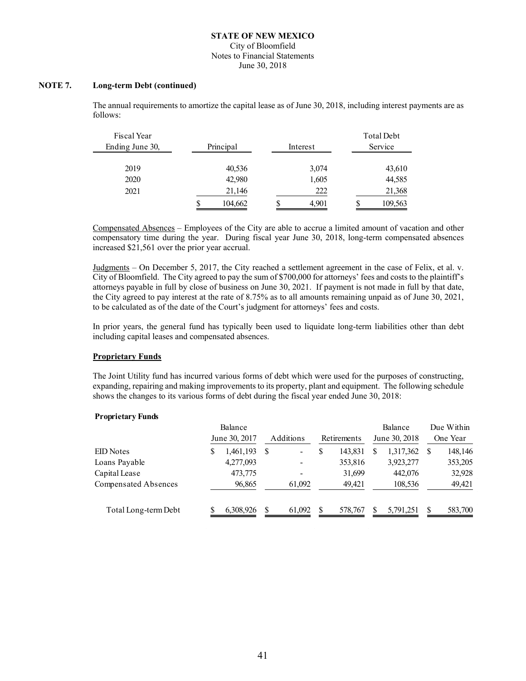#### **NOTE 7. Long-term Debt (continued)**

The annual requirements to amortize the capital lease as of June 30, 2018, including interest payments are as follows:

| Fiscal Year     |   |           |          | Total Debt    |  |  |
|-----------------|---|-----------|----------|---------------|--|--|
| Ending June 30, |   | Principal | Interest | Service       |  |  |
|                 |   |           |          |               |  |  |
| 2019            |   | 40,536    | 3,074    | 43,610        |  |  |
| 2020            |   | 42,980    | 1,605    | 44,585        |  |  |
| 2021            |   | 21,146    | 222      | 21,368        |  |  |
|                 | S | 104,662   | 4,901    | \$<br>109,563 |  |  |

Compensated Absences – Employees of the City are able to accrue a limited amount of vacation and other compensatory time during the year. During fiscal year June 30, 2018, long-term compensated absences increased \$21,561 over the prior year accrual.

Judgments – On December 5, 2017, the City reached a settlement agreement in the case of Felix, et al. v. City of Bloomfield. The City agreed to pay the sum of \$700,000 for attorneys' fees and costs to the plaintiff's attorneys payable in full by close of business on June 30, 2021. If payment is not made in full by that date, the City agreed to pay interest at the rate of 8.75% as to all amounts remaining unpaid as of June 30, 2021, to be calculated as of the date of the Court's judgment for attorneys' fees and costs.

In prior years, the general fund has typically been used to liquidate long-term liabilities other than debt including capital leases and compensated absences.

#### **Proprietary Funds**

The Joint Utility fund has incurred various forms of debt which were used for the purposes of constructing, expanding, repairing and making improvements to its property, plant and equipment. The following schedule shows the changes to its various forms of debt during the fiscal year ended June 30, 2018:

#### **Proprietary Funds**

|                      |   | Balance       |    |                          |   |             |  | Balance       |   | Due Within |  |
|----------------------|---|---------------|----|--------------------------|---|-------------|--|---------------|---|------------|--|
|                      |   | June 30, 2017 |    | Additions                |   | Retirements |  | June 30, 2018 |   | One Year   |  |
| <b>EID</b> Notes     | S | ,461,193      | -S | $\overline{\phantom{a}}$ | S | 143.831     |  | 1,317,362     |   | 148,146    |  |
| Loans Payable        |   | 4,277,093     |    |                          |   | 353,816     |  | 3,923,277     |   | 353,205    |  |
| Capital Lease        |   | 473,775       |    |                          |   | 31,699      |  | 442,076       |   | 32,928     |  |
| Compensated Absences |   | 96,865        |    | 61,092                   |   | 49,421      |  | 108,536       |   | 49,421     |  |
| Total Long-term Debt |   | 6.308.926     |    | 61,092                   |   | 578,767     |  | 5.791.251     | S | 583,700    |  |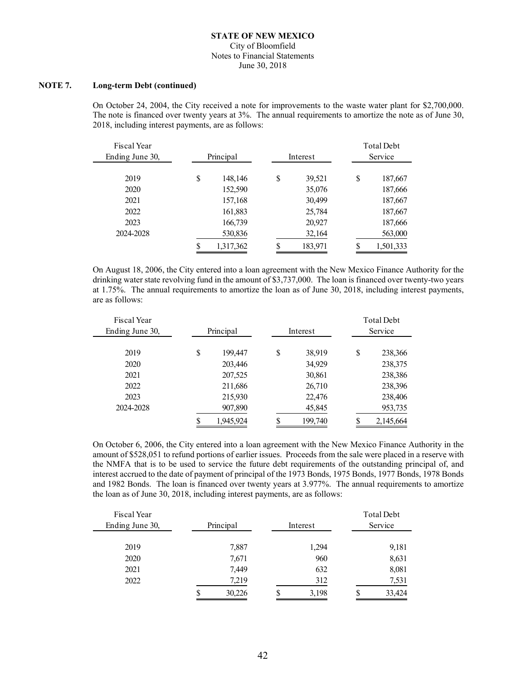#### City of Bloomfield Notes to Financial Statements June 30, 2018

# **NOTE 7. Long-term Debt (continued)**

Ĭ.

On October 24, 2004, the City received a note for improvements to the waste water plant for \$2,700,000. The note is financed over twenty years at 3%. The annual requirements to amortize the note as of June 30, 2018, including interest payments, are as follows:

| Fiscal Year<br>Ending June 30, | Principal |           |     | Interest | <b>Total Debt</b><br>Service |           |  |
|--------------------------------|-----------|-----------|-----|----------|------------------------------|-----------|--|
| 2019                           | \$        | 148,146   | S   | 39,521   | S                            | 187,667   |  |
| 2020                           |           | 152,590   |     | 35,076   |                              | 187,666   |  |
| 2021                           |           | 157,168   |     | 30,499   |                              | 187,667   |  |
| 2022                           |           | 161,883   |     | 25,784   |                              | 187,667   |  |
| 2023                           |           | 166,739   |     | 20,927   |                              | 187,666   |  |
| 2024-2028                      |           | 530,836   |     | 32,164   |                              | 563,000   |  |
|                                | \$        | 1,317,362 | \$. | 183,971  | \$                           | 1,501,333 |  |

On August 18, 2006, the City entered into a loan agreement with the New Mexico Finance Authority for the drinking water state revolving fund in the amount of \$3,737,000. The loan is financed over twenty-two years at 1.75%. The annual requirements to amortize the loan as of June 30, 2018, including interest payments, are as follows:

| Fiscal Year     |           |           |    |          |    | <b>Total Debt</b> |  |  |
|-----------------|-----------|-----------|----|----------|----|-------------------|--|--|
| Ending June 30, | Principal |           |    | Interest |    | Service           |  |  |
| 2019            | S         | 199,447   | \$ | 38,919   | \$ | 238,366           |  |  |
| 2020            |           | 203,446   |    | 34,929   |    | 238,375           |  |  |
| 2021            |           | 207,525   |    | 30,861   |    | 238,386           |  |  |
| 2022            |           | 211,686   |    | 26,710   |    | 238,396           |  |  |
| 2023            |           | 215,930   |    | 22,476   |    | 238,406           |  |  |
| 2024-2028       |           | 907,890   |    | 45,845   |    | 953,735           |  |  |
|                 | \$        | 1,945,924 | \$ | 199,740  | \$ | 2,145,664         |  |  |

On October 6, 2006, the City entered into a loan agreement with the New Mexico Finance Authority in the amount of \$528,051 to refund portions of earlier issues. Proceeds from the sale were placed in a reserve with the NMFA that is to be used to service the future debt requirements of the outstanding principal of, and interest accrued to the date of payment of principal of the 1973 Bonds, 1975 Bonds, 1977 Bonds, 1978 Bonds and 1982 Bonds. The loan is financed over twenty years at 3.977%. The annual requirements to amortize the loan as of June 30, 2018, including interest payments, are as follows:

| Fiscal Year     |   |           |    |          |         | Total Debt |  |
|-----------------|---|-----------|----|----------|---------|------------|--|
| Ending June 30, |   | Principal |    | Interest | Service |            |  |
|                 |   |           |    |          |         |            |  |
| 2019            |   | 7,887     |    | 1,294    |         | 9,181      |  |
| 2020            |   | 7,671     |    | 960      |         | 8,631      |  |
| 2021            |   | 7,449     |    | 632      |         | 8,081      |  |
| 2022            |   | 7,219     |    | 312      |         | 7,531      |  |
|                 | S | 30,226    | J. | 3,198    | S       | 33,424     |  |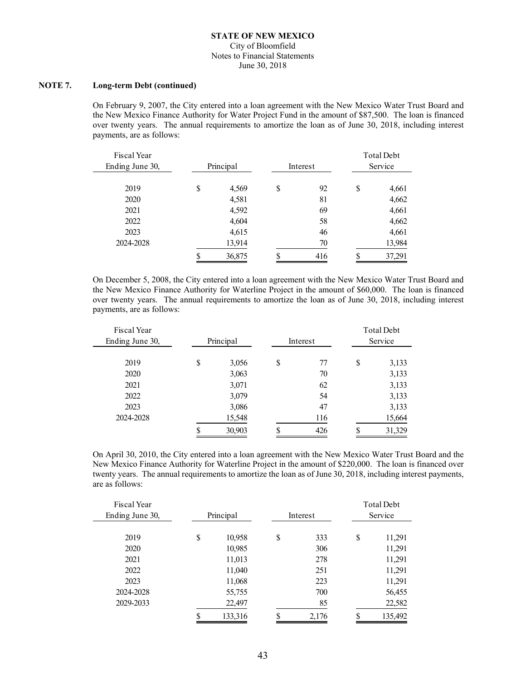## **NOTE 7. Long-term Debt (continued)**

On February 9, 2007, the City entered into a loan agreement with the New Mexico Water Trust Board and the New Mexico Finance Authority for Water Project Fund in the amount of \$87,500. The loan is financed over twenty years. The annual requirements to amortize the loan as of June 30, 2018, including interest payments, are as follows:

| Fiscal Year     |           |        |    |          |         | <b>Total Debt</b> |
|-----------------|-----------|--------|----|----------|---------|-------------------|
| Ending June 30, | Principal |        |    | Interest | Service |                   |
| 2019            | \$        | 4,569  | \$ | 92       | \$      | 4,661             |
| 2020            |           | 4,581  |    | 81       |         | 4,662             |
| 2021            |           | 4,592  |    | 69       |         | 4,661             |
| 2022            |           | 4,604  |    | 58       |         | 4,662             |
| 2023            |           | 4,615  |    | 46       |         | 4,661             |
| 2024-2028       |           | 13,914 |    | 70       |         | 13,984            |
|                 | S         | 36,875 | \$ | 416      | S       | 37,291            |

On December 5, 2008, the City entered into a loan agreement with the New Mexico Water Trust Board and the New Mexico Finance Authority for Waterline Project in the amount of \$60,000. The loan is financed over twenty years. The annual requirements to amortize the loan as of June 30, 2018, including interest payments, are as follows:

|    |        |           |     |          | <b>Total Debt</b> |
|----|--------|-----------|-----|----------|-------------------|
|    |        |           |     | Service  |                   |
|    |        |           |     |          |                   |
| \$ | 3,056  | \$        | 77  | \$       | 3,133             |
|    | 3,063  |           | 70  |          | 3,133             |
|    | 3,071  |           | 62  |          | 3,133             |
|    | 3,079  |           | 54  |          | 3,133             |
|    | 3,086  |           | 47  |          | 3,133             |
|    | 15,548 |           | 116 |          | 15,664            |
| S  | 30,903 | ς         | 426 | ς        | 31,329            |
|    |        | Principal |     | Interest |                   |

On April 30, 2010, the City entered into a loan agreement with the New Mexico Water Trust Board and the New Mexico Finance Authority for Waterline Project in the amount of \$220,000. The loan is financed over twenty years. The annual requirements to amortize the loan as of June 30, 2018, including interest payments, are as follows:

| Fiscal Year<br>Ending June 30, |    | Principal |    | Interest |    | <b>Total Debt</b><br>Service |  |  |
|--------------------------------|----|-----------|----|----------|----|------------------------------|--|--|
|                                |    |           |    |          |    |                              |  |  |
| 2019                           | \$ | 10,958    | \$ | 333      | \$ | 11,291                       |  |  |
| 2020                           |    | 10,985    |    | 306      |    | 11,291                       |  |  |
| 2021                           |    | 11,013    |    | 278      |    | 11,291                       |  |  |
| 2022                           |    | 11,040    |    | 251      |    | 11,291                       |  |  |
| 2023                           |    | 11,068    |    | 223      |    | 11,291                       |  |  |
| 2024-2028                      |    | 55,755    |    | 700      |    | 56,455                       |  |  |
| 2029-2033                      |    | 22,497    |    | 85       |    | 22,582                       |  |  |
|                                | S  | 133,316   | S  | 2,176    | S  | 135,492                      |  |  |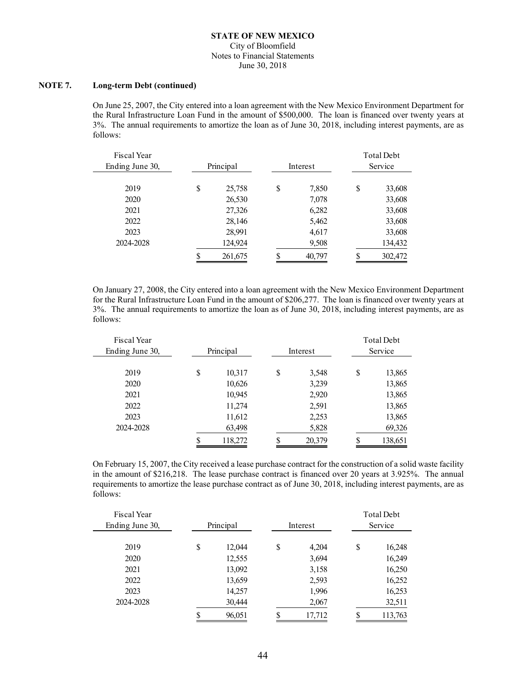## **NOTE 7. Long-term Debt (continued)**

On June 25, 2007, the City entered into a loan agreement with the New Mexico Environment Department for the Rural Infrastructure Loan Fund in the amount of \$500,000. The loan is financed over twenty years at 3%. The annual requirements to amortize the loan as of June 30, 2018, including interest payments, are as follows:

| Fiscal Year     |               |    |          |         | <b>Total Debt</b> |
|-----------------|---------------|----|----------|---------|-------------------|
| Ending June 30, | Principal     |    | Interest | Service |                   |
|                 |               |    |          |         |                   |
| 2019            | \$<br>25,758  | S  | 7,850    | \$      | 33,608            |
| 2020            | 26,530        |    | 7,078    |         | 33,608            |
| 2021            | 27,326        |    | 6,282    |         | 33,608            |
| 2022            | 28,146        |    | 5,462    |         | 33,608            |
| 2023            | 28,991        |    | 4,617    |         | 33,608            |
| 2024-2028       | 124,924       |    | 9,508    |         | 134,432           |
|                 | \$<br>261,675 | \$ | 40,797   | \$      | 302,472           |

On January 27, 2008, the City entered into a loan agreement with the New Mexico Environment Department for the Rural Infrastructure Loan Fund in the amount of \$206,277. The loan is financed over twenty years at 3%. The annual requirements to amortize the loan as of June 30, 2018, including interest payments, are as follows:

| Fiscal Year     |   |           |    |          |    | Total Debt |  |
|-----------------|---|-----------|----|----------|----|------------|--|
| Ending June 30, |   | Principal |    | Interest |    | Service    |  |
|                 |   |           |    |          |    |            |  |
| 2019            | S | 10,317    | \$ | 3,548    | \$ | 13,865     |  |
| 2020            |   | 10,626    |    | 3,239    |    | 13,865     |  |
| 2021            |   | 10,945    |    | 2,920    |    | 13,865     |  |
| 2022            |   | 11,274    |    | 2,591    |    | 13,865     |  |
| 2023            |   | 11,612    |    | 2,253    |    | 13,865     |  |
| 2024-2028       |   | 63,498    |    | 5,828    |    | 69,326     |  |
|                 | S | 118,272   | S  | 20,379   | S  | 138,651    |  |

On February 15, 2007, the City received a lease purchase contract for the construction of a solid waste facility in the amount of \$216,218. The lease purchase contract is financed over 20 years at 3.925%. The annual requirements to amortize the lease purchase contract as of June 30, 2018, including interest payments, are as follows:

| Fiscal Year     |    |                       |    |         | <b>Total Debt</b> |
|-----------------|----|-----------------------|----|---------|-------------------|
| Ending June 30, |    | Principal<br>Interest |    | Service |                   |
| 2019            | \$ | 12,044                | \$ | 4,204   | \$<br>16,248      |
| 2020            |    | 12,555                |    | 3,694   | 16,249            |
| 2021            |    | 13,092                |    | 3,158   | 16,250            |
| 2022            |    | 13,659                |    | 2,593   | 16,252            |
| 2023            |    | 14,257                |    | 1,996   | 16,253            |
| 2024-2028       |    | 30,444                |    | 2,067   | 32,511            |
|                 | S  | 96,051                | S  | 17,712  | \$<br>113,763     |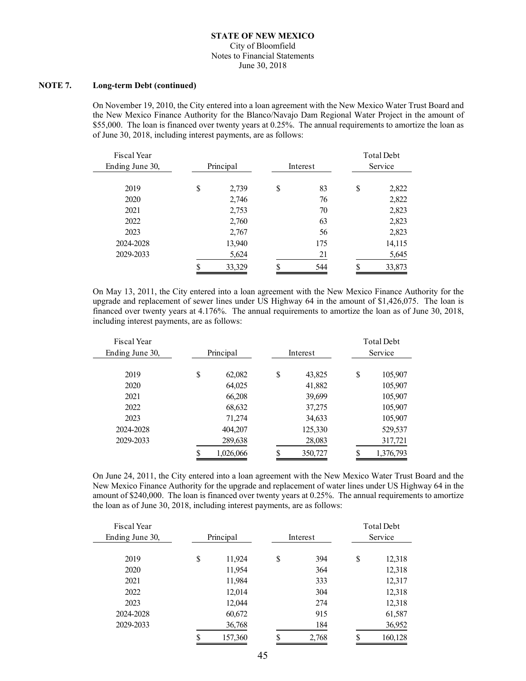# **STATE OF NEW MEXICO**  City of Bloomfield

# Notes to Financial Statements

June 30, 2018

# **NOTE 7. Long-term Debt (continued)**

On November 19, 2010, the City entered into a loan agreement with the New Mexico Water Trust Board and the New Mexico Finance Authority for the Blanco/Navajo Dam Regional Water Project in the amount of \$55,000. The loan is financed over twenty years at 0.25%. The annual requirements to amortize the loan as of June 30, 2018, including interest payments, are as follows:

| Fiscal Year     |    |           |    |          |         | <b>Total Debt</b> |
|-----------------|----|-----------|----|----------|---------|-------------------|
| Ending June 30, |    | Principal |    | Interest | Service |                   |
|                 |    |           |    |          |         |                   |
| 2019            | \$ | 2,739     | \$ | 83       | \$      | 2,822             |
| 2020            |    | 2,746     |    | 76       |         | 2,822             |
| 2021            |    | 2,753     |    | 70       |         | 2,823             |
| 2022            |    | 2,760     |    | 63       |         | 2,823             |
| 2023            |    | 2,767     |    | 56       |         | 2,823             |
| 2024-2028       |    | 13,940    |    | 175      |         | 14,115            |
| 2029-2033       |    | 5,624     |    | 21       |         | 5,645             |
|                 | S  | 33,329    | S  | 544      | S       | 33,873            |

On May 13, 2011, the City entered into a loan agreement with the New Mexico Finance Authority for the upgrade and replacement of sewer lines under US Highway 64 in the amount of \$1,426,075. The loan is financed over twenty years at 4.176%. The annual requirements to amortize the loan as of June 30, 2018, including interest payments, are as follows:

| Fiscal Year     |           |           |          |         |         | <b>Total Debt</b> |
|-----------------|-----------|-----------|----------|---------|---------|-------------------|
| Ending June 30, | Principal |           | Interest |         | Service |                   |
|                 |           |           |          |         |         |                   |
| 2019            | \$        | 62,082    | S        | 43,825  | \$      | 105,907           |
| 2020            |           | 64,025    |          | 41,882  |         | 105,907           |
| 2021            |           | 66,208    |          | 39,699  |         | 105,907           |
| 2022            |           | 68,632    |          | 37,275  |         | 105,907           |
| 2023            |           | 71,274    |          | 34,633  |         | 105,907           |
| 2024-2028       |           | 404,207   |          | 125,330 |         | 529,537           |
| 2029-2033       |           | 289,638   |          | 28,083  |         | 317,721           |
|                 | ς         | 1,026,066 | ¢        | 350,727 | \$      | 1,376,793         |

On June 24, 2011, the City entered into a loan agreement with the New Mexico Water Trust Board and the New Mexico Finance Authority for the upgrade and replacement of water lines under US Highway 64 in the amount of \$240,000. The loan is financed over twenty years at 0.25%. The annual requirements to amortize the loan as of June 30, 2018, including interest payments, are as follows:

| Fiscal Year     |               |          |       |         | <b>Total Debt</b> |
|-----------------|---------------|----------|-------|---------|-------------------|
| Ending June 30, | Principal     | Interest |       | Service |                   |
|                 |               |          |       |         |                   |
| 2019            | \$<br>11,924  | \$       | 394   | \$      | 12,318            |
| 2020            | 11,954        |          | 364   |         | 12,318            |
| 2021            | 11,984        |          | 333   |         | 12,317            |
| 2022            | 12,014        |          | 304   |         | 12,318            |
| 2023            | 12,044        |          | 274   |         | 12,318            |
| 2024-2028       | 60,672        |          | 915   |         | 61,587            |
| 2029-2033       | 36,768        |          | 184   |         | 36,952            |
|                 | \$<br>157,360 | \$       | 2,768 | \$      | 160,128           |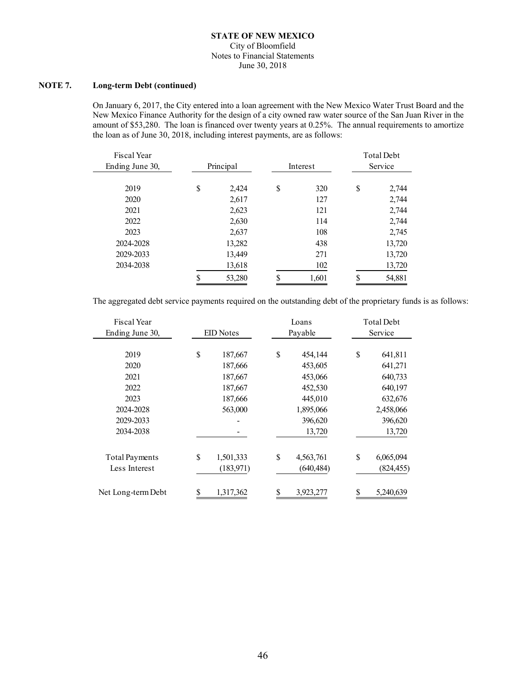#### City of Bloomfield Notes to Financial Statements June 30, 2018

# **NOTE 7. Long-term Debt (continued)**

On January 6, 2017, the City entered into a loan agreement with the New Mexico Water Trust Board and the New Mexico Finance Authority for the design of a city owned raw water source of the San Juan River in the amount of \$53,280. The loan is financed over twenty years at 0.25%. The annual requirements to amortize the loan as of June 30, 2018, including interest payments, are as follows:

| Fiscal Year     |                       |               |         |       |        | <b>Total Debt</b> |
|-----------------|-----------------------|---------------|---------|-------|--------|-------------------|
| Ending June 30, | Principal<br>Interest |               | Service |       |        |                   |
|                 |                       |               |         |       |        |                   |
| 2019            | \$                    | 2,424         | S       | 320   | \$     | 2,744             |
| 2020            |                       | 2,617         |         | 127   |        | 2,744             |
| 2021            |                       | 2,623         |         | 121   |        | 2,744             |
| 2022            |                       | 2,630         |         | 114   |        | 2,744             |
| 2023            |                       | 2,637         |         | 108   |        | 2,745             |
| 2024-2028       |                       | 13,282        |         | 438   |        | 13,720            |
| 2029-2033       |                       | 13,449        |         | 271   |        | 13,720            |
| 2034-2038       |                       | 102<br>13,618 |         |       | 13,720 |                   |
|                 | S                     | 53,280        | ¢       | 1,601 | S      | 54,881            |

The aggregated debt service payments required on the outstanding debt of the proprietary funds is as follows:

| Fiscal Year           |                             |    | Loans      |    | <b>Total Debt</b> |
|-----------------------|-----------------------------|----|------------|----|-------------------|
| Ending June 30,       | <b>EID</b> Notes<br>Payable |    |            |    | Service           |
|                       |                             |    |            |    |                   |
| 2019                  | \$<br>187,667               | \$ | 454,144    | \$ | 641,811           |
| 2020                  | 187,666                     |    | 453,605    |    | 641,271           |
| 2021                  | 187,667                     |    | 453,066    |    | 640,733           |
| 2022                  | 187,667                     |    | 452,530    |    | 640,197           |
| 2023                  | 187,666                     |    | 445,010    |    | 632,676           |
| 2024-2028             | 563,000                     |    | 1,895,066  |    | 2,458,066         |
| 2029-2033             |                             |    | 396,620    |    | 396,620           |
| 2034-2038             |                             |    | 13,720     |    | 13,720            |
| <b>Total Payments</b> | \$<br>1,501,333             | \$ | 4,563,761  | \$ | 6,065,094         |
| Less Interest         | (183, 971)                  |    | (640, 484) |    | (824, 455)        |
| Net Long-term Debt    | \$<br>1,317,362             | \$ | 3,923,277  | \$ | 5,240,639         |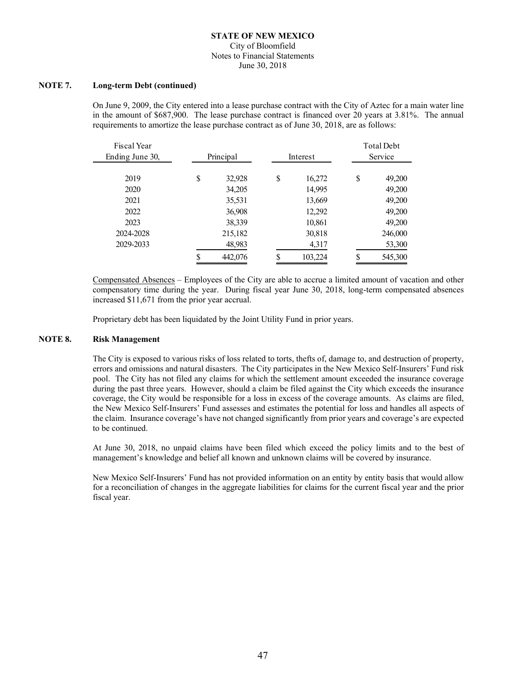#### **STATE OF NEW MEXICO**  City of Bloomfield

# Notes to Financial Statements June 30, 2018

### **NOTE 7. Long-term Debt (continued)**

On June 9, 2009, the City entered into a lease purchase contract with the City of Aztec for a main water line in the amount of \$687,900. The lease purchase contract is financed over 20 years at 3.81%. The annual requirements to amortize the lease purchase contract as of June 30, 2018, are as follows:

| Fiscal Year     |   |           |    |          |   | <b>Total Debt</b> |  |
|-----------------|---|-----------|----|----------|---|-------------------|--|
| Ending June 30, |   | Principal |    | Interest |   | Service           |  |
| 2019            | S | 32,928    | \$ | 16,272   | S | 49,200            |  |
| 2020            |   | 34,205    |    | 14,995   |   | 49,200            |  |
| 2021            |   | 35,531    |    | 13,669   |   | 49,200            |  |
| 2022            |   | 36,908    |    | 12,292   |   | 49,200            |  |
| 2023            |   | 38,339    |    | 10,861   |   | 49,200            |  |
| 2024-2028       |   | 215,182   |    | 30,818   |   | 246,000           |  |
| 2029-2033       |   | 48,983    |    | 4,317    |   | 53,300            |  |
|                 |   | 442,076   |    | 103,224  |   | 545,300           |  |

Compensated Absences – Employees of the City are able to accrue a limited amount of vacation and other compensatory time during the year. During fiscal year June 30, 2018, long-term compensated absences increased \$11,671 from the prior year accrual.

Proprietary debt has been liquidated by the Joint Utility Fund in prior years.

### **NOTE 8. Risk Management**

The City is exposed to various risks of loss related to torts, thefts of, damage to, and destruction of property, errors and omissions and natural disasters. The City participates in the New Mexico Self-Insurers' Fund risk pool. The City has not filed any claims for which the settlement amount exceeded the insurance coverage during the past three years. However, should a claim be filed against the City which exceeds the insurance coverage, the City would be responsible for a loss in excess of the coverage amounts. As claims are filed, the New Mexico Self-Insurers' Fund assesses and estimates the potential for loss and handles all aspects of the claim. Insurance coverage's have not changed significantly from prior years and coverage's are expected to be continued.

 At June 30, 2018, no unpaid claims have been filed which exceed the policy limits and to the best of management's knowledge and belief all known and unknown claims will be covered by insurance.

New Mexico Self-Insurers' Fund has not provided information on an entity by entity basis that would allow for a reconciliation of changes in the aggregate liabilities for claims for the current fiscal year and the prior fiscal year.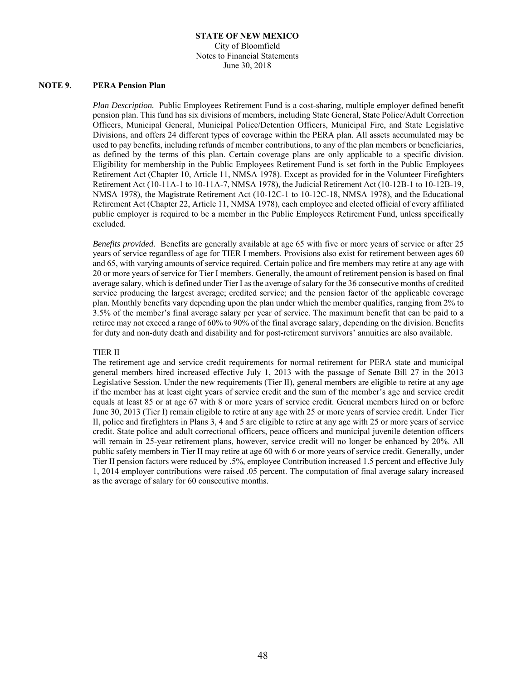#### **NOTE 9. PERA Pension Plan**

*Plan Description.* Public Employees Retirement Fund is a cost-sharing, multiple employer defined benefit pension plan. This fund has six divisions of members, including State General, State Police/Adult Correction Officers, Municipal General, Municipal Police/Detention Officers, Municipal Fire, and State Legislative Divisions, and offers 24 different types of coverage within the PERA plan. All assets accumulated may be used to pay benefits, including refunds of member contributions, to any of the plan members or beneficiaries, as defined by the terms of this plan. Certain coverage plans are only applicable to a specific division. Eligibility for membership in the Public Employees Retirement Fund is set forth in the Public Employees Retirement Act (Chapter 10, Article 11, NMSA 1978). Except as provided for in the Volunteer Firefighters Retirement Act (10-11A-1 to 10-11A-7, NMSA 1978), the Judicial Retirement Act (10-12B-1 to 10-12B-19, NMSA 1978), the Magistrate Retirement Act (10-12C-1 to 10-12C-18, NMSA 1978), and the Educational Retirement Act (Chapter 22, Article 11, NMSA 1978), each employee and elected official of every affiliated public employer is required to be a member in the Public Employees Retirement Fund, unless specifically excluded.

*Benefits provided.* Benefits are generally available at age 65 with five or more years of service or after 25 years of service regardless of age for TIER I members. Provisions also exist for retirement between ages 60 and 65, with varying amounts of service required. Certain police and fire members may retire at any age with 20 or more years of service for Tier I members. Generally, the amount of retirement pension is based on final average salary, which is defined under Tier I as the average of salary for the 36 consecutive months of credited service producing the largest average; credited service; and the pension factor of the applicable coverage plan. Monthly benefits vary depending upon the plan under which the member qualifies, ranging from 2% to 3.5% of the member's final average salary per year of service. The maximum benefit that can be paid to a retiree may not exceed a range of 60% to 90% of the final average salary, depending on the division. Benefits for duty and non-duty death and disability and for post-retirement survivors' annuities are also available.

#### TIER II

The retirement age and service credit requirements for normal retirement for PERA state and municipal general members hired increased effective July 1, 2013 with the passage of Senate Bill 27 in the 2013 Legislative Session. Under the new requirements (Tier II), general members are eligible to retire at any age if the member has at least eight years of service credit and the sum of the member's age and service credit equals at least 85 or at age 67 with 8 or more years of service credit. General members hired on or before June 30, 2013 (Tier I) remain eligible to retire at any age with 25 or more years of service credit. Under Tier II, police and firefighters in Plans 3, 4 and 5 are eligible to retire at any age with 25 or more years of service credit. State police and adult correctional officers, peace officers and municipal juvenile detention officers will remain in 25-year retirement plans, however, service credit will no longer be enhanced by 20%. All public safety members in Tier II may retire at age 60 with 6 or more years of service credit. Generally, under Tier II pension factors were reduced by .5%, employee Contribution increased 1.5 percent and effective July 1, 2014 employer contributions were raised .05 percent. The computation of final average salary increased as the average of salary for 60 consecutive months.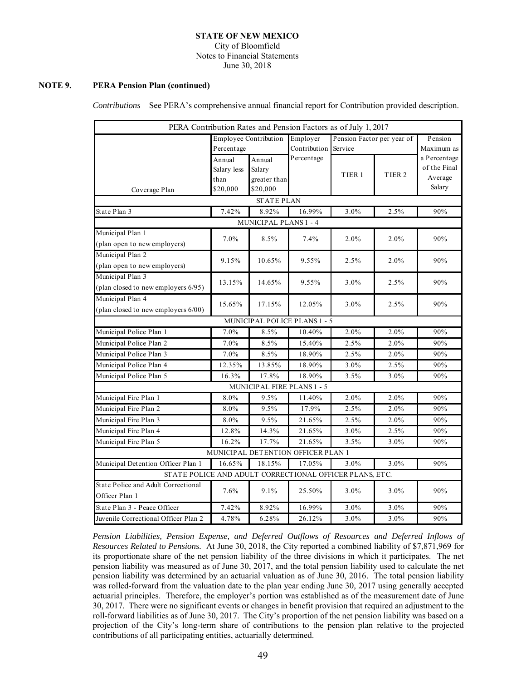## **NOTE 9. PERA Pension Plan (continued)**

*Contributions* – See PERA's comprehensive annual financial report for Contribution provided description.

|                                                         |                                           |                                              |                                    | PERA Contribution Rates and Pension Factors as of July 1, 2017 |                   |                                                   |
|---------------------------------------------------------|-------------------------------------------|----------------------------------------------|------------------------------------|----------------------------------------------------------------|-------------------|---------------------------------------------------|
|                                                         | Percentage                                | <b>Employee Contribution</b>                 | Employer<br>Contribution           | Pension Factor per year of<br>Service                          |                   | Pension<br>Maximum as                             |
| Coverage Plan                                           | Annual<br>Salary less<br>than<br>\$20,000 | Annual<br>Salary<br>greater than<br>\$20,000 | Percentage                         | TIER <sub>1</sub>                                              | TIER <sub>2</sub> | a Percentage<br>of the Final<br>Average<br>Salary |
|                                                         |                                           | <b>STATE PLAN</b>                            |                                    |                                                                |                   |                                                   |
| State Plan 3                                            | 7.42%                                     | 8.92%                                        | 16.99%                             | 3.0%                                                           | 2.5%              | 90%                                               |
|                                                         |                                           | MUNICIPAL PLANS 1 - 4                        |                                    |                                                                |                   |                                                   |
| Municipal Plan 1<br>(plan open to new employers)        | 7.0%                                      | 8.5%                                         | 7.4%                               | 2.0%                                                           | 2.0%              | 90%                                               |
| Municipal Plan 2<br>(plan open to new employers)        | 9.15%                                     | 10.65%                                       | 9.55%                              | 2.5%                                                           | 2.0%              | 90%                                               |
| Municipal Plan 3<br>(plan closed to new employers 6/95) | 13.15%                                    | 14.65%                                       | 9.55%                              | $3.0\%$                                                        | 2.5%              | 90%                                               |
| Municipal Plan 4<br>(plan closed to new employers 6/00) | 15.65%                                    | 17.15%                                       | 12.05%                             | $3.0\%$                                                        | 2.5%              | 90%                                               |
|                                                         |                                           |                                              | MUNICIPAL POLICE PLANS 1 - 5       |                                                                |                   |                                                   |
| Municipal Police Plan 1                                 | 7.0%                                      | 8.5%                                         | 10.40%                             | 2.0%                                                           | 2.0%              | 90%                                               |
| Municipal Police Plan 2                                 | 7.0%                                      | 8.5%                                         | 15.40%                             | 2.5%                                                           | 2.0%              | 90%                                               |
| Municipal Police Plan 3                                 | 7.0%                                      | 8.5%                                         | 18.90%                             | 2.5%                                                           | 2.0%              | 90%                                               |
| Municipal Police Plan 4                                 | 12.35%                                    | 13.85%                                       | 18.90%                             | 3.0%                                                           | 2.5%              | 90%                                               |
| Municipal Police Plan 5                                 | 16.3%                                     | 17.8%                                        | 18.90%                             | 3.5%                                                           | 3.0%              | 90%                                               |
|                                                         |                                           |                                              | MUNICIPAL FIRE PLANS 1 - 5         |                                                                |                   |                                                   |
| Municipal Fire Plan 1                                   | 8.0%                                      | 9.5%                                         | 11.40%                             | 2.0%                                                           | 2.0%              | 90%                                               |
| Municipal Fire Plan 2                                   | 8.0%                                      | 9.5%                                         | 17.9%                              | 2.5%                                                           | 2.0%              | 90%                                               |
| Municipal Fire Plan 3                                   | 8.0%                                      | 9.5%                                         | 21.65%                             | 2.5%                                                           | 2.0%              | 90%                                               |
| Municipal Fire Plan 4                                   | 12.8%                                     | 14.3%                                        | 21.65%                             | 3.0%                                                           | 2.5%              | 90%                                               |
| Municipal Fire Plan 5                                   | 16.2%                                     | 17.7%                                        | 21.65%                             | 3.5%                                                           | 3.0%              | 90%                                               |
|                                                         |                                           |                                              | MUNICIPAL DETENTION OFFICER PLAN 1 |                                                                |                   |                                                   |
| Municipal Detention Officer Plan 1                      | $16.65\%$                                 | 18.15%                                       | 17.05%                             | 3.0%                                                           | 3.0%              | 90%                                               |
| STATE POLICE AND ADULT CORRECTIONAL OFFICER PLANS, ETC. |                                           |                                              |                                    |                                                                |                   |                                                   |
| State Police and Adult Correctional<br>Officer Plan 1   | 7.6%                                      | 9.1%                                         | 25.50%                             | 3.0%                                                           | 3.0%              | 90%                                               |
| State Plan 3 - Peace Officer                            | 7.42%                                     | 8.92%                                        | 16.99%                             | 3.0%                                                           | 3.0%              | 90%                                               |
| Juvenile Correctional Officer Plan 2                    | 4.78%                                     | 6.28%                                        | 26.12%                             | 3.0%                                                           | 3.0%              | 90%                                               |

*Pension Liabilities, Pension Expense, and Deferred Outflows of Resources and Deferred Inflows of Resources Related to Pensions.* At June 30, 2018, the City reported a combined liability of \$7,871,969 for its proportionate share of the net pension liability of the three divisions in which it participates. The net pension liability was measured as of June 30, 2017, and the total pension liability used to calculate the net pension liability was determined by an actuarial valuation as of June 30, 2016. The total pension liability was rolled-forward from the valuation date to the plan year ending June 30, 2017 using generally accepted actuarial principles. Therefore, the employer's portion was established as of the measurement date of June 30, 2017. There were no significant events or changes in benefit provision that required an adjustment to the roll-forward liabilities as of June 30, 2017. The City's proportion of the net pension liability was based on a projection of the City's long-term share of contributions to the pension plan relative to the projected contributions of all participating entities, actuarially determined.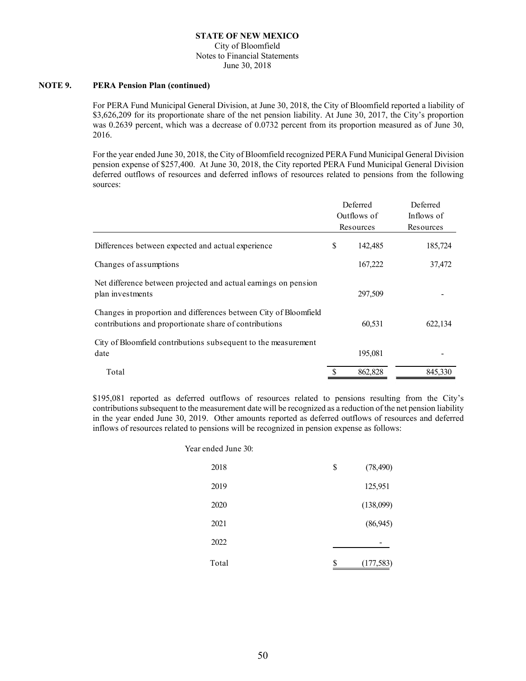#### City of Bloomfield Notes to Financial Statements June 30, 2018

# **NOTE 9. PERA Pension Plan (continued)**

For PERA Fund Municipal General Division, at June 30, 2018, the City of Bloomfield reported a liability of \$3,626,209 for its proportionate share of the net pension liability. At June 30, 2017, the City's proportion was 0.2639 percent, which was a decrease of 0.0732 percent from its proportion measured as of June 30, 2016.

For the year ended June 30, 2018, the City of Bloomfield recognized PERA Fund Municipal General Division pension expense of \$257,400. At June 30, 2018, the City reported PERA Fund Municipal General Division deferred outflows of resources and deferred inflows of resources related to pensions from the following sources:

|                                                                                                                            | Deferred<br>Outflows of<br>Resources | Deferred<br>Inflows of<br>Resources |
|----------------------------------------------------------------------------------------------------------------------------|--------------------------------------|-------------------------------------|
| Differences between expected and actual experience                                                                         | \$<br>142,485                        | 185,724                             |
| Changes of assumptions                                                                                                     | 167,222                              | 37,472                              |
| Net difference between projected and actual earnings on pension<br>plan investments                                        | 297,509                              |                                     |
| Changes in proportion and differences between City of Bloomfield<br>contributions and proportionate share of contributions | 60,531                               | 622,134                             |
| City of Bloomfield contributions subsequent to the measurement<br>date                                                     | 195,081                              |                                     |
| Total                                                                                                                      | 862,828                              | 845,330                             |

\$195,081 reported as deferred outflows of resources related to pensions resulting from the City's contributions subsequent to the measurement date will be recognized as a reduction of the net pension liability in the year ended June 30, 2019. Other amounts reported as deferred outflows of resources and deferred inflows of resources related to pensions will be recognized in pension expense as follows:

| Year ended June 30: |    |            |
|---------------------|----|------------|
| 2018                | \$ | (78, 490)  |
| 2019                |    | 125,951    |
| 2020                |    | (138,099)  |
| 2021                |    | (86,945)   |
| 2022                |    |            |
| Total               | S  | (177, 583) |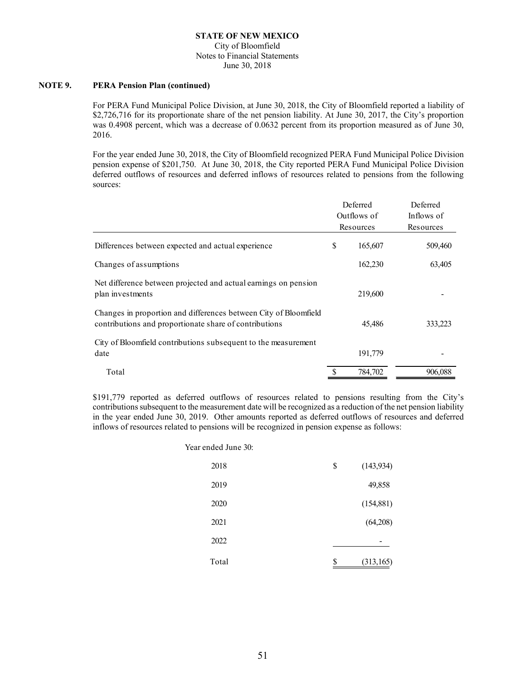#### City of Bloomfield Notes to Financial Statements June 30, 2018

# **NOTE 9. PERA Pension Plan (continued)**

For PERA Fund Municipal Police Division, at June 30, 2018, the City of Bloomfield reported a liability of \$2,726,716 for its proportionate share of the net pension liability. At June 30, 2017, the City's proportion was 0.4908 percent, which was a decrease of 0.0632 percent from its proportion measured as of June 30, 2016.

For the year ended June 30, 2018, the City of Bloomfield recognized PERA Fund Municipal Police Division pension expense of \$201,750. At June 30, 2018, the City reported PERA Fund Municipal Police Division deferred outflows of resources and deferred inflows of resources related to pensions from the following sources:

|                                                                                                                            |   | Deferred<br>Outflows of<br>Resources | Deferred<br>Inflows of<br>Resources |
|----------------------------------------------------------------------------------------------------------------------------|---|--------------------------------------|-------------------------------------|
| Differences between expected and actual experience                                                                         | S | 165,607                              | 509,460                             |
| Changes of assumptions                                                                                                     |   | 162,230                              | 63,405                              |
| Net difference between projected and actual earnings on pension<br>plan investments                                        |   | 219,600                              |                                     |
| Changes in proportion and differences between City of Bloomfield<br>contributions and proportionate share of contributions |   | 45,486                               | 333,223                             |
| City of Bloomfield contributions subsequent to the measurement<br>date                                                     |   | 191,779                              |                                     |
| Total                                                                                                                      |   | 784,702                              | 906.088                             |

\$191,779 reported as deferred outflows of resources related to pensions resulting from the City's contributions subsequent to the measurement date will be recognized as a reduction of the net pension liability in the year ended June 30, 2019. Other amounts reported as deferred outflows of resources and deferred inflows of resources related to pensions will be recognized in pension expense as follows:

| Year ended June 30: |    |            |
|---------------------|----|------------|
| 2018                | \$ | (143, 934) |
| 2019                |    | 49,858     |
| 2020                |    | (154, 881) |
| 2021                |    | (64,208)   |
| 2022                |    |            |
| Total               | S  | (313, 165) |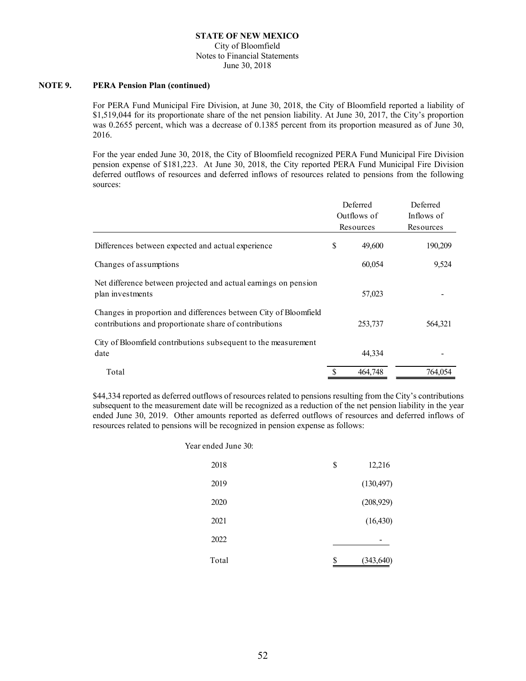## **STATE OF NEW MEXICO**  City of Bloomfield

# Notes to Financial Statements

June 30, 2018

# **NOTE 9. PERA Pension Plan (continued)**

For PERA Fund Municipal Fire Division, at June 30, 2018, the City of Bloomfield reported a liability of \$1,519,044 for its proportionate share of the net pension liability. At June 30, 2017, the City's proportion was 0.2655 percent, which was a decrease of 0.1385 percent from its proportion measured as of June 30, 2016.

For the year ended June 30, 2018, the City of Bloomfield recognized PERA Fund Municipal Fire Division pension expense of \$181,223. At June 30, 2018, the City reported PERA Fund Municipal Fire Division deferred outflows of resources and deferred inflows of resources related to pensions from the following sources:

|                                                                                                                            |   | Deferred<br>Outflows of<br>Resources | Deferred<br>Inflows of<br>Resources |
|----------------------------------------------------------------------------------------------------------------------------|---|--------------------------------------|-------------------------------------|
| Differences between expected and actual experience                                                                         | S | 49,600                               | 190,209                             |
| Changes of assumptions                                                                                                     |   | 60,054                               | 9,524                               |
| Net difference between projected and actual earnings on pension<br>plan investments                                        |   | 57,023                               |                                     |
| Changes in proportion and differences between City of Bloomfield<br>contributions and proportionate share of contributions |   | 253,737                              | 564,321                             |
| City of Bloomfield contributions subsequent to the measurement<br>date                                                     |   | 44.334                               |                                     |
| Total                                                                                                                      |   | 464,748                              | 764,054                             |

\$44,334 reported as deferred outflows of resources related to pensions resulting from the City's contributions subsequent to the measurement date will be recognized as a reduction of the net pension liability in the year ended June 30, 2019. Other amounts reported as deferred outflows of resources and deferred inflows of resources related to pensions will be recognized in pension expense as follows:

| Year ended June 30: |                  |
|---------------------|------------------|
| 2018                | \$<br>12,216     |
| 2019                | (130, 497)       |
| 2020                | (208, 929)       |
| 2021                | (16, 430)        |
| 2022                |                  |
| Total               | \$<br>(343, 640) |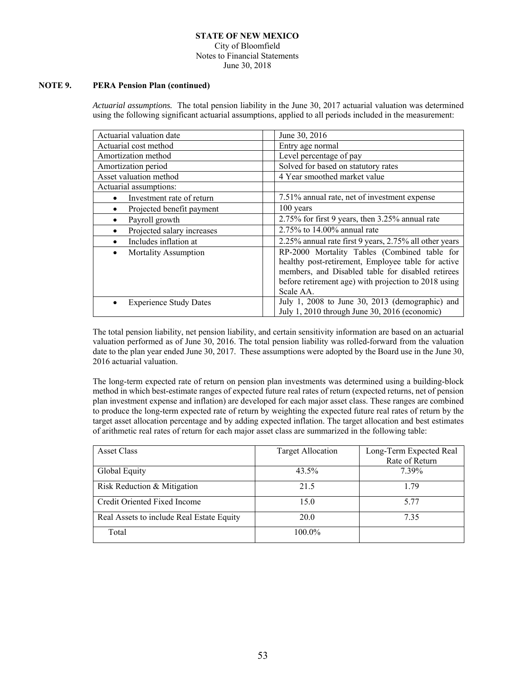# **NOTE 9. PERA Pension Plan (continued)**

*Actuarial assumptions.* The total pension liability in the June 30, 2017 actuarial valuation was determined using the following significant actuarial assumptions, applied to all periods included in the measurement:

| Actuarial valuation date                 | June 30, 2016                                          |
|------------------------------------------|--------------------------------------------------------|
| Actuarial cost method                    | Entry age normal                                       |
| Amortization method                      | Level percentage of pay                                |
| Amortization period                      | Solved for based on statutory rates                    |
| Asset valuation method                   | 4 Year smoothed market value                           |
| Actuarial assumptions:                   |                                                        |
| Investment rate of return                | 7.51% annual rate, net of investment expense           |
| Projected benefit payment<br>$\bullet$   | 100 years                                              |
| Payroll growth<br>$\bullet$              | 2.75% for first 9 years, then 3.25% annual rate        |
| Projected salary increases<br>$\bullet$  | $2.75\%$ to 14.00% annual rate                         |
| Includes inflation at<br>$\bullet$       | 2.25% annual rate first 9 years, 2.75% all other years |
| <b>Mortality Assumption</b><br>$\bullet$ | RP-2000 Mortality Tables (Combined table for           |
|                                          | healthy post-retirement, Employee table for active     |
|                                          | members, and Disabled table for disabled retirees      |
|                                          | before retirement age) with projection to 2018 using   |
|                                          | Scale AA.                                              |
| <b>Experience Study Dates</b>            | July 1, 2008 to June 30, 2013 (demographic) and        |
|                                          | July 1, 2010 through June 30, 2016 (economic)          |

The total pension liability, net pension liability, and certain sensitivity information are based on an actuarial valuation performed as of June 30, 2016. The total pension liability was rolled-forward from the valuation date to the plan year ended June 30, 2017. These assumptions were adopted by the Board use in the June 30, 2016 actuarial valuation.

The long-term expected rate of return on pension plan investments was determined using a building-block method in which best-estimate ranges of expected future real rates of return (expected returns, net of pension plan investment expense and inflation) are developed for each major asset class. These ranges are combined to produce the long-term expected rate of return by weighting the expected future real rates of return by the target asset allocation percentage and by adding expected inflation. The target allocation and best estimates of arithmetic real rates of return for each major asset class are summarized in the following table:

| Asset Class                               | <b>Target Allocation</b> | Long-Term Expected Real |
|-------------------------------------------|--------------------------|-------------------------|
|                                           |                          | Rate of Return          |
| Global Equity                             | 43.5%                    | 7.39%                   |
| Risk Reduction & Mitigation               | 21.5                     | 1.79                    |
| Credit Oriented Fixed Income              | 15.0                     | 5.77                    |
| Real Assets to include Real Estate Equity | 20.0                     | 7.35                    |
| Total                                     | $100.0\%$                |                         |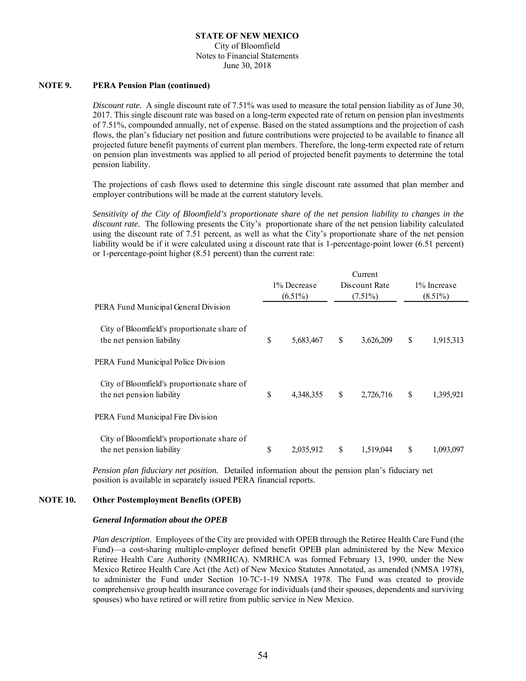#### City of Bloomfield Notes to Financial Statements June 30, 2018

### **NOTE 9. PERA Pension Plan (continued)**

*Discount rate.* A single discount rate of 7.51% was used to measure the total pension liability as of June 30, 2017. This single discount rate was based on a long-term expected rate of return on pension plan investments of 7.51%, compounded annually, net of expense. Based on the stated assumptions and the projection of cash flows, the plan's fiduciary net position and future contributions were projected to be available to finance all projected future benefit payments of current plan members. Therefore, the long-term expected rate of return on pension plan investments was applied to all period of projected benefit payments to determine the total pension liability.

The projections of cash flows used to determine this single discount rate assumed that plan member and employer contributions will be made at the current statutory levels.

*Sensitivity of the City of Bloomfield's proportionate share of the net pension liability to changes in the discount rate.* The following presents the City's proportionate share of the net pension liability calculated using the discount rate of 7.51 percent, as well as what the City's proportionate share of the net pension liability would be if it were calculated using a discount rate that is 1-percentage-point lower (6.51 percent) or 1-percentage-point higher (8.51 percent) than the current rate:

|                                                                          |                           |    | Current                     |    |                           |
|--------------------------------------------------------------------------|---------------------------|----|-----------------------------|----|---------------------------|
|                                                                          | 1% Decrease<br>$(6.51\%)$ |    | Discount Rate<br>$(7.51\%)$ |    | 1% Increase<br>$(8.51\%)$ |
| PERA Fund Municipal General Division                                     |                           |    |                             |    |                           |
| City of Bloomfield's proportionate share of<br>the net pension liability | \$<br>5,683,467           | S  | 3,626,209                   | \$ | 1,915,313                 |
| PERA Fund Municipal Police Division                                      |                           |    |                             |    |                           |
| City of Bloomfield's proportionate share of<br>the net pension liability | \$<br>4,348,355           | S  | 2,726,716                   | \$ | 1,395,921                 |
| PERA Fund Municipal Fire Division                                        |                           |    |                             |    |                           |
| City of Bloomfield's proportionate share of<br>the net pension liability | \$<br>2,035,912           | \$ | 1,519,044                   | S  | 1,093,097                 |

*Pension plan fiduciary net position.* Detailed information about the pension plan's fiduciary net position is available in separately issued PERA financial reports.

#### **NOTE 10. Other Postemployment Benefits (OPEB)**

#### *General Information about the OPEB*

*Plan description*. Employees of the City are provided with OPEB through the Retiree Health Care Fund (the Fund)—a cost-sharing multiple-employer defined benefit OPEB plan administered by the New Mexico Retiree Health Care Authority (NMRHCA). NMRHCA was formed February 13, 1990, under the New Mexico Retiree Health Care Act (the Act) of New Mexico Statutes Annotated, as amended (NMSA 1978), to administer the Fund under Section 10-7C-1-19 NMSA 1978. The Fund was created to provide comprehensive group health insurance coverage for individuals (and their spouses, dependents and surviving spouses) who have retired or will retire from public service in New Mexico.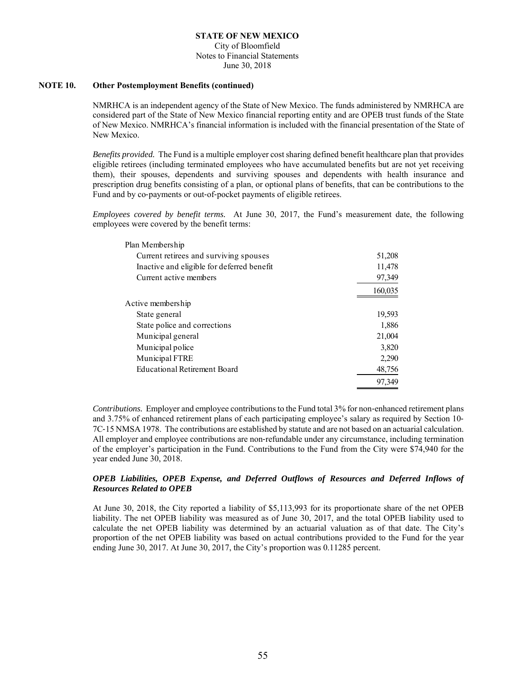#### City of Bloomfield Notes to Financial Statements June 30, 2018

#### **NOTE 10. Other Postemployment Benefits (continued)**

NMRHCA is an independent agency of the State of New Mexico. The funds administered by NMRHCA are considered part of the State of New Mexico financial reporting entity and are OPEB trust funds of the State of New Mexico. NMRHCA's financial information is included with the financial presentation of the State of New Mexico.

*Benefits provided.* The Fund is a multiple employer cost sharing defined benefit healthcare plan that provides eligible retirees (including terminated employees who have accumulated benefits but are not yet receiving them), their spouses, dependents and surviving spouses and dependents with health insurance and prescription drug benefits consisting of a plan, or optional plans of benefits, that can be contributions to the Fund and by co-payments or out-of-pocket payments of eligible retirees.

*Employees covered by benefit terms.* At June 30, 2017, the Fund's measurement date, the following employees were covered by the benefit terms:

| Plan Membership                            |         |
|--------------------------------------------|---------|
| Current retirees and surviving spouses     | 51,208  |
| Inactive and eligible for deferred benefit | 11,478  |
| Current active members                     | 97,349  |
|                                            | 160,035 |
| Active membership                          |         |
| State general                              | 19,593  |
| State police and corrections               | 1,886   |
| Municipal general                          | 21,004  |
| Municipal police                           | 3,820   |
| Municipal FTRE                             | 2,290   |
| <b>Educational Retirement Board</b>        | 48,756  |
|                                            | 97,349  |

*Contributions.* Employer and employee contributions to the Fund total 3% for non-enhanced retirement plans and 3.75% of enhanced retirement plans of each participating employee's salary as required by Section 10- 7C-15 NMSA 1978. The contributions are established by statute and are not based on an actuarial calculation. All employer and employee contributions are non-refundable under any circumstance, including termination of the employer's participation in the Fund. Contributions to the Fund from the City were \$74,940 for the year ended June 30, 2018.

#### *OPEB Liabilities, OPEB Expense, and Deferred Outflows of Resources and Deferred Inflows of Resources Related to OPEB*

At June 30, 2018, the City reported a liability of \$5,113,993 for its proportionate share of the net OPEB liability. The net OPEB liability was measured as of June 30, 2017, and the total OPEB liability used to calculate the net OPEB liability was determined by an actuarial valuation as of that date. The City's proportion of the net OPEB liability was based on actual contributions provided to the Fund for the year ending June 30, 2017. At June 30, 2017, the City's proportion was 0.11285 percent.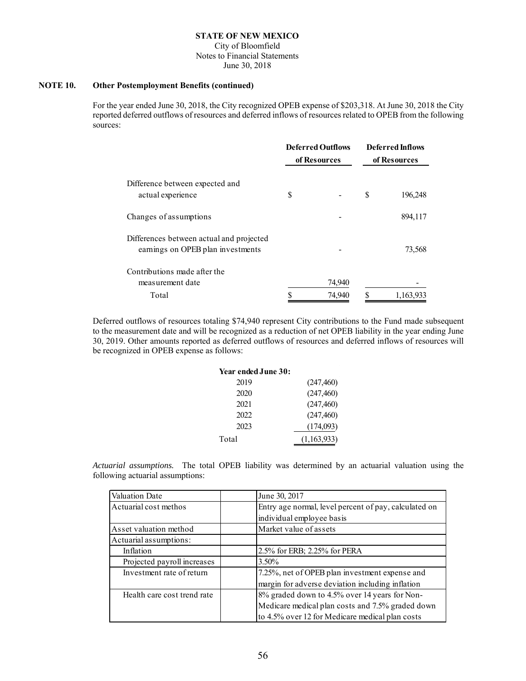### City of Bloomfield Notes to Financial Statements June 30, 2018

## **NOTE 10. Other Postemployment Benefits (continued)**

For the year ended June 30, 2018, the City recognized OPEB expense of \$203,318. At June 30, 2018 the City reported deferred outflows of resources and deferred inflows of resources related to OPEB from the following sources:

|                                                                               |              | <b>Deferred Outflows</b> |              | <b>Deferred Inflows</b> |
|-------------------------------------------------------------------------------|--------------|--------------------------|--------------|-------------------------|
|                                                                               | of Resources |                          | of Resources |                         |
| Difference between expected and<br>actual experience                          | \$           |                          | S            | 196,248                 |
| Changes of assumptions                                                        |              |                          |              | 894,117                 |
| Differences between actual and projected<br>earnings on OPEB plan investments |              |                          |              | 73,568                  |
| Contributions made after the<br>measurement date                              |              | 74,940                   |              |                         |
| Total                                                                         | S            | 74,940                   | S            | 1,163,933               |

Deferred outflows of resources totaling \$74,940 represent City contributions to the Fund made subsequent to the measurement date and will be recognized as a reduction of net OPEB liability in the year ending June 30, 2019. Other amounts reported as deferred outflows of resources and deferred inflows of resources will be recognized in OPEB expense as follows:

| <b>Year ended June 30:</b> |             |
|----------------------------|-------------|
| 2019                       | (247, 460)  |
| 2020                       | (247, 460)  |
| 2021                       | (247, 460)  |
| 2022                       | (247, 460)  |
| 2023                       | (174,093)   |
| Total                      | (1,163,933) |

*Actuarial assumptions.* The total OPEB liability was determined by an actuarial valuation using the following actuarial assumptions:

| Valuation Date              | June 30, 2017                                         |
|-----------------------------|-------------------------------------------------------|
| Actuarial cost methos       | Entry age normal, level percent of pay, calculated on |
|                             | individual employee basis                             |
| Asset valuation method      | Market value of assets                                |
| Actuarial assumptions:      |                                                       |
| Inflation                   | 2.5% for ERB; 2.25% for PERA                          |
| Projected payroll increases | $3.50\%$                                              |
| Investment rate of return   | 7.25%, net of OPEB plan investment expense and        |
|                             | margin for adverse deviation including inflation      |
| Health care cost trend rate | 8% graded down to 4.5% over 14 years for Non-         |
|                             | Medicare medical plan costs and 7.5% graded down      |
|                             | to 4.5% over 12 for Medicare medical plan costs       |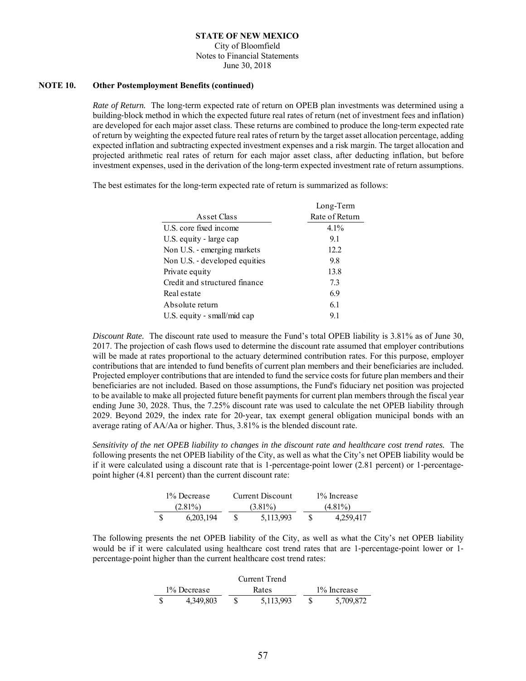#### City of Bloomfield Notes to Financial Statements June 30, 2018

#### **NOTE 10. Other Postemployment Benefits (continued)**

*Rate of Return.* The long-term expected rate of return on OPEB plan investments was determined using a building-block method in which the expected future real rates of return (net of investment fees and inflation) are developed for each major asset class. These returns are combined to produce the long-term expected rate of return by weighting the expected future real rates of return by the target asset allocation percentage, adding expected inflation and subtracting expected investment expenses and a risk margin. The target allocation and projected arithmetic real rates of return for each major asset class, after deducting inflation, but before investment expenses, used in the derivation of the long-term expected investment rate of return assumptions.

The best estimates for the long-term expected rate of return is summarized as follows:

|                               | Long-Term      |
|-------------------------------|----------------|
| Asset Class                   | Rate of Return |
| U.S. core fixed income        | $4.1\%$        |
| U.S. equity - large cap       | 9.1            |
| Non U.S. - emerging markets   | 12.2           |
| Non U.S. - developed equities | 9.8            |
| Private equity                | 13.8           |
| Credit and structured finance | 7.3            |
| Real estate                   | 6.9            |
| Absolute return               | 6.1            |
| U.S. equity - small/mid cap   | 9.1            |
|                               |                |

*Discount Rate.* The discount rate used to measure the Fund's total OPEB liability is 3.81% as of June 30, 2017. The projection of cash flows used to determine the discount rate assumed that employer contributions will be made at rates proportional to the actuary determined contribution rates. For this purpose, employer contributions that are intended to fund benefits of current plan members and their beneficiaries are included. Projected employer contributions that are intended to fund the service costs for future plan members and their beneficiaries are not included. Based on those assumptions, the Fund's fiduciary net position was projected to be available to make all projected future benefit payments for current plan members through the fiscal year ending June 30, 2028. Thus, the 7.25% discount rate was used to calculate the net OPEB liability through 2029. Beyond 2029, the index rate for 20-year, tax exempt general obligation municipal bonds with an average rating of AA/Aa or higher. Thus, 3.81% is the blended discount rate.

*Sensitivity of the net OPEB liability to changes in the discount rate and healthcare cost trend rates.* The following presents the net OPEB liability of the City, as well as what the City's net OPEB liability would be if it were calculated using a discount rate that is 1-percentage-point lower (2.81 percent) or 1-percentagepoint higher (4.81 percent) than the current discount rate:

| 1% Decrease |            | Current Discount | 1% Increase |           |  |  |  |  |  |
|-------------|------------|------------------|-------------|-----------|--|--|--|--|--|
|             | $(2.81\%)$ | $(3.81\%)$       | $(4.81\%)$  |           |  |  |  |  |  |
|             | 6.203.194  | 5.113.993        |             | 4.259.417 |  |  |  |  |  |

The following presents the net OPEB liability of the City, as well as what the City's net OPEB liability would be if it were calculated using healthcare cost trend rates that are 1-percentage-point lower or 1 percentage-point higher than the current healthcare cost trend rates:

| Current Trend |           |  |           |             |           |  |  |  |  |  |
|---------------|-----------|--|-----------|-------------|-----------|--|--|--|--|--|
| 1% Decrease   |           |  | Rates     | 1% Increase |           |  |  |  |  |  |
|               | 4.349.803 |  | 5.113.993 |             | 5,709,872 |  |  |  |  |  |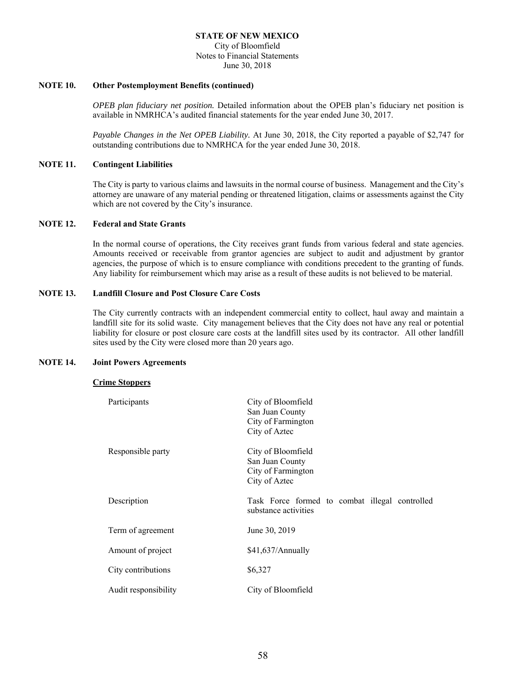#### City of Bloomfield Notes to Financial Statements June 30, 2018

## **NOTE 10. Other Postemployment Benefits (continued)**

*OPEB plan fiduciary net position.* Detailed information about the OPEB plan's fiduciary net position is available in NMRHCA's audited financial statements for the year ended June 30, 2017.

*Payable Changes in the Net OPEB Liability.* At June 30, 2018, the City reported a payable of \$2,747 for outstanding contributions due to NMRHCA for the year ended June 30, 2018.

#### **NOTE 11. Contingent Liabilities**

The City is party to various claims and lawsuits in the normal course of business. Management and the City's attorney are unaware of any material pending or threatened litigation, claims or assessments against the City which are not covered by the City's insurance.

#### **NOTE 12. Federal and State Grants**

In the normal course of operations, the City receives grant funds from various federal and state agencies. Amounts received or receivable from grantor agencies are subject to audit and adjustment by grantor agencies, the purpose of which is to ensure compliance with conditions precedent to the granting of funds. Any liability for reimbursement which may arise as a result of these audits is not believed to be material.

#### **NOTE 13. Landfill Closure and Post Closure Care Costs**

The City currently contracts with an independent commercial entity to collect, haul away and maintain a landfill site for its solid waste. City management believes that the City does not have any real or potential liability for closure or post closure care costs at the landfill sites used by its contractor. All other landfill sites used by the City were closed more than 20 years ago.

### **NOTE 14. Joint Powers Agreements**

#### **Crime Stoppers**

| Participants         | City of Bloomfield<br>San Juan County<br>City of Farmington<br>City of Aztec |
|----------------------|------------------------------------------------------------------------------|
| Responsible party    | City of Bloomfield<br>San Juan County<br>City of Farmington<br>City of Aztec |
| Description          | Task Force formed to combat illegal controlled<br>substance activities       |
| Term of agreement    | June 30, 2019                                                                |
| Amount of project    | $$41,637/A$ nnually                                                          |
| City contributions   | \$6,327                                                                      |
| Audit responsibility | City of Bloomfield                                                           |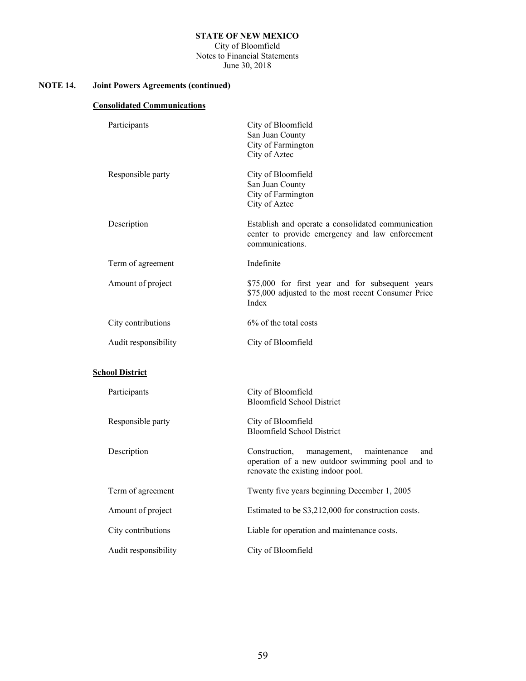#### City of Bloomfield Notes to Financial Statements June 30, 2018

# **NOTE 14. Joint Powers Agreements (continued)**

# **Consolidated Communications**

| Participants           | City of Bloomfield<br>San Juan County<br>City of Farmington<br>City of Aztec                                             |
|------------------------|--------------------------------------------------------------------------------------------------------------------------|
| Responsible party      | City of Bloomfield<br>San Juan County<br>City of Farmington<br>City of Aztec                                             |
| Description            | Establish and operate a consolidated communication<br>center to provide emergency and law enforcement<br>communications. |
| Term of agreement      | Indefinite                                                                                                               |
| Amount of project      | \$75,000 for first year and for subsequent years<br>\$75,000 adjusted to the most recent Consumer Price<br>Index         |
| City contributions     | $6\%$ of the total costs                                                                                                 |
| Audit responsibility   | City of Bloomfield                                                                                                       |
| <b>School District</b> |                                                                                                                          |
| Participants           | City of Bloomfield<br><b>Bloomfield School District</b>                                                                  |

Responsible party City of Bloomfield Bloomfield School District

Description Construction, management, maintenance and operation of a new outdoor swimming pool and to renovate the existing indoor pool. Term of agreement Twenty five years beginning December 1, 2005 Amount of project Estimated to be \$3,212,000 for construction costs. City contributions Liable for operation and maintenance costs. Audit responsibility City of Bloomfield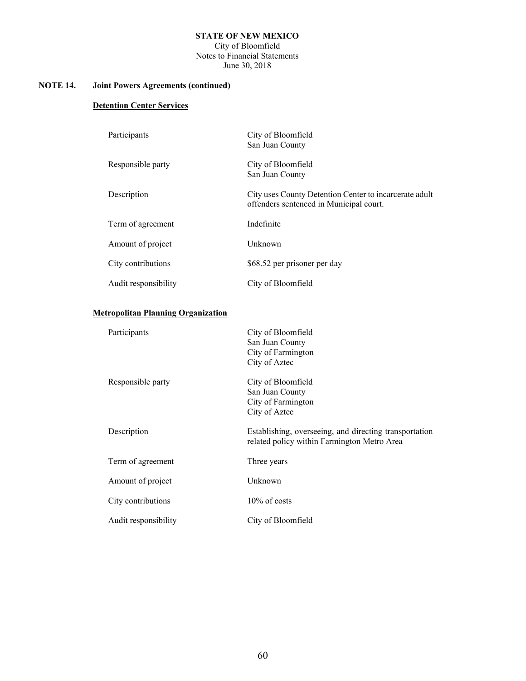## City of Bloomfield Notes to Financial Statements June 30, 2018

# **NOTE 14. Joint Powers Agreements (continued)**

# **Detention Center Services**

| Participants         | City of Bloomfield<br>San Juan County                                                             |
|----------------------|---------------------------------------------------------------------------------------------------|
| Responsible party    | City of Bloomfield<br>San Juan County                                                             |
| Description          | City uses County Detention Center to incarcerate adult<br>offenders sentenced in Municipal court. |
| Term of agreement    | Indefinite                                                                                        |
| Amount of project    | Unknown                                                                                           |
| City contributions   | \$68.52 per prisoner per day                                                                      |
| Audit responsibility | City of Bloomfield                                                                                |

# **Metropolitan Planning Organization**

| Participants         | City of Bloomfield<br>San Juan County<br>City of Farmington<br>City of Aztec                          |
|----------------------|-------------------------------------------------------------------------------------------------------|
| Responsible party    | City of Bloomfield<br>San Juan County<br>City of Farmington<br>City of Aztec                          |
| Description          | Establishing, overseeing, and directing transportation<br>related policy within Farmington Metro Area |
| Term of agreement    | Three years                                                                                           |
| Amount of project    | Unknown                                                                                               |
| City contributions   | $10\%$ of costs                                                                                       |
| Audit responsibility | City of Bloomfield                                                                                    |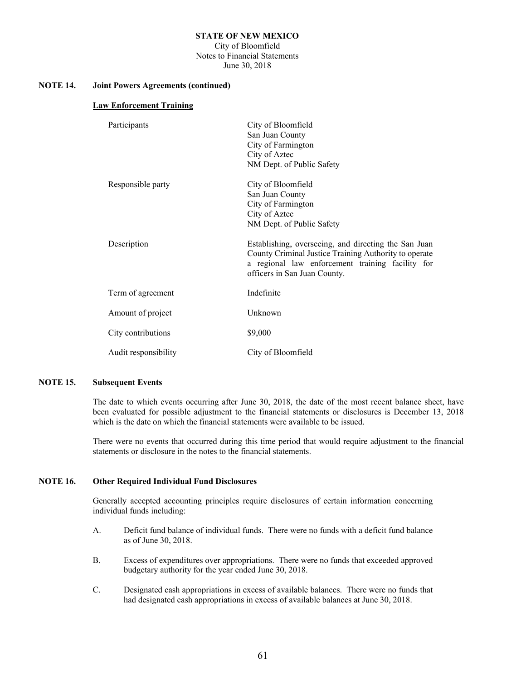## City of Bloomfield Notes to Financial Statements June 30, 2018

### **NOTE 14. Joint Powers Agreements (continued)**

#### **Law Enforcement Training**

| Participants         | City of Bloomfield<br>San Juan County<br>City of Farmington<br>City of Aztec<br>NM Dept. of Public Safety                                                                                         |
|----------------------|---------------------------------------------------------------------------------------------------------------------------------------------------------------------------------------------------|
| Responsible party    | City of Bloomfield<br>San Juan County<br>City of Farmington<br>City of Aztec<br>NM Dept. of Public Safety                                                                                         |
| Description          | Establishing, overseeing, and directing the San Juan<br>County Criminal Justice Training Authority to operate<br>a regional law enforcement training facility for<br>officers in San Juan County. |
| Term of agreement    | Indefinite                                                                                                                                                                                        |
| Amount of project    | Unknown                                                                                                                                                                                           |
| City contributions   | \$9,000                                                                                                                                                                                           |
| Audit responsibility | City of Bloomfield                                                                                                                                                                                |

#### **NOTE 15. Subsequent Events**

The date to which events occurring after June 30, 2018, the date of the most recent balance sheet, have been evaluated for possible adjustment to the financial statements or disclosures is December 13, 2018 which is the date on which the financial statements were available to be issued.

There were no events that occurred during this time period that would require adjustment to the financial statements or disclosure in the notes to the financial statements.

#### **NOTE 16. Other Required Individual Fund Disclosures**

Generally accepted accounting principles require disclosures of certain information concerning individual funds including:

- A. Deficit fund balance of individual funds. There were no funds with a deficit fund balance as of June 30, 2018.
- B. Excess of expenditures over appropriations. There were no funds that exceeded approved budgetary authority for the year ended June 30, 2018.
- C. Designated cash appropriations in excess of available balances. There were no funds that had designated cash appropriations in excess of available balances at June 30, 2018.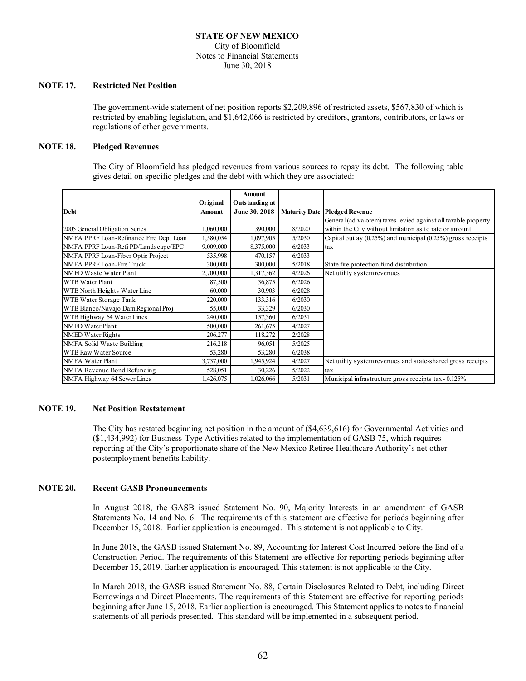#### City of Bloomfield Notes to Financial Statements June 30, 2018

#### **NOTE 17. Restricted Net Position**

The government-wide statement of net position reports \$2,209,896 of restricted assets, \$567,830 of which is restricted by enabling legislation, and \$1,642,066 is restricted by creditors, grantors, contributors, or laws or regulations of other governments.

### **NOTE 18. Pledged Revenues**

The City of Bloomfield has pledged revenues from various sources to repay its debt. The following table gives detail on specific pledges and the debt with which they are associated:

|                                         |           | <b>Amount</b>  |        |                                                                   |
|-----------------------------------------|-----------|----------------|--------|-------------------------------------------------------------------|
|                                         | Original  | Outstanding at |        |                                                                   |
| Debt                                    | Amount    | June 30, 2018  |        | <b>Maturity Date Pledged Revenue</b>                              |
|                                         |           |                |        | General (ad valorem) taxes levied against all taxable property    |
| 2005 General Obligation Series          | ,060,000  | 390,000        | 8/2020 | within the City without limitation as to rate or amount           |
| NMFA PPRF Loan-Refinance Fire Dept Loan | 1,580,054 | 1,097,905      | 5/2030 | Capital outlay $(0.25\%)$ and municipal $(0.25\%)$ gross receipts |
| NMFA PPRF Loan-Refi PD/Landscape/EPC    | 9,009,000 | 8,375,000      | 6/2033 | tax                                                               |
| NMFA PPRF Loan-Fiber Optic Project      | 535,998   | 470,157        | 6/2033 |                                                                   |
| NMFA PPRF Loan-Fire Truck               | 300,000   | 300,000        | 5/2018 | State fire protection fund distribution                           |
| NMED Waste Water Plant                  | 2,700,000 | 1,317,362      | 4/2026 | Net utility system revenues                                       |
| WTB Water Plant                         | 87,500    | 36,875         | 6/2026 |                                                                   |
| WTB North Heights Water Line            | 60,000    | 30,903         | 6/2028 |                                                                   |
| WTB Water Storage Tank                  | 220,000   | 133,316        | 6/2030 |                                                                   |
| WTB Blanco/Navajo Dam Regional Proj     | 55,000    | 33,329         | 6/2030 |                                                                   |
| WTB Highway 64 Water Lines              | 240,000   | 157,360        | 6/2031 |                                                                   |
| <b>NMED</b> Water Plant                 | 500,000   | 261,675        | 4/2027 |                                                                   |
| <b>NMED</b> Water Rights                | 206,277   | 118,272        | 2/2028 |                                                                   |
| NMFA Solid Waste Building               | 216,218   | 96,051         | 5/2025 |                                                                   |
| WTB Raw Water Source                    | 53,280    | 53,280         | 6/2038 |                                                                   |
| NMFA Water Plant                        | 3,737,000 | 1.945.924      | 4/2027 | Net utility system revenues and state-shared gross receipts       |
| NMFA Revenue Bond Refunding             | 528,051   | 30,226         | 5/2022 | tax                                                               |
| NMFA Highway 64 Sewer Lines             | ,426,075  | 1,026,066      | 5/2031 | Municipal infrastructure gross receipts tax - 0.125%              |

## **NOTE 19.** Net Position Restatement

The City has restated beginning net position in the amount of (\$4,639,616) for Governmental Activities and (\$1,434,992) for Business-Type Activities related to the implementation of GASB 75, which requires reporting of the City's proportionate share of the New Mexico Retiree Healthcare Authority's net other postemployment benefits liability.

#### **NOTE 20. Recent GASB Pronouncements**

In August 2018, the GASB issued Statement No. 90, Majority Interests in an amendment of GASB Statements No. 14 and No. 6. The requirements of this statement are effective for periods beginning after December 15, 2018. Earlier application is encouraged. This statement is not applicable to City.

In June 2018, the GASB issued Statement No. 89, Accounting for Interest Cost Incurred before the End of a Construction Period. The requirements of this Statement are effective for reporting periods beginning after December 15, 2019. Earlier application is encouraged. This statement is not applicable to the City.

In March 2018, the GASB issued Statement No. 88, Certain Disclosures Related to Debt, including Direct Borrowings and Direct Placements. The requirements of this Statement are effective for reporting periods beginning after June 15, 2018. Earlier application is encouraged. This Statement applies to notes to financial statements of all periods presented. This standard will be implemented in a subsequent period.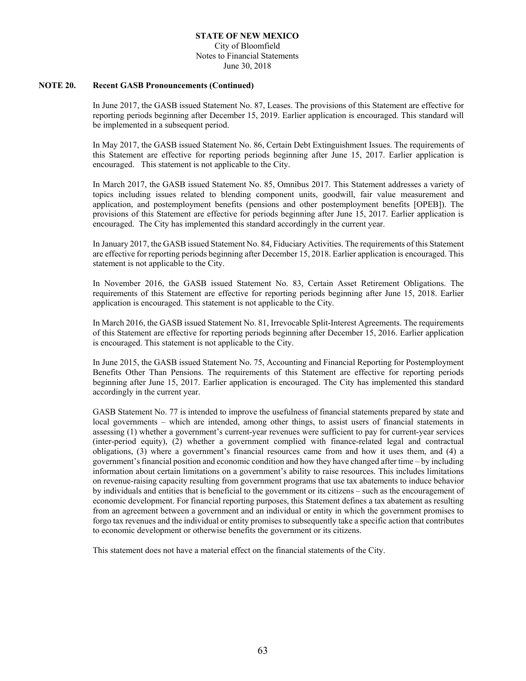#### **STATE OF NEW MEXICO**  City of Bloomfield

# Notes to Financial Statements June 30, 2018

#### **NOTE 20. Recent GASB Pronouncements (Continued)**

In June 2017, the GASB issued Statement No. 87, Leases. The provisions of this Statement are effective for reporting periods beginning after December 15, 2019. Earlier application is encouraged. This standard will be implemented in a subsequent period.

In May 2017, the GASB issued Statement No. 86, Certain Debt Extinguishment Issues. The requirements of this Statement are effective for reporting periods beginning after June 15, 2017. Earlier application is encouraged. This statement is not applicable to the City.

In March 2017, the GASB issued Statement No. 85, Omnibus 2017. This Statement addresses a variety of topics including issues related to blending component units, goodwill, fair value measurement and application, and postemployment benefits (pensions and other postemployment benefits [OPEB]). The provisions of this Statement are effective for periods beginning after June 15, 2017. Earlier application is encouraged. The City has implemented this standard accordingly in the current year.

In January 2017, the GASB issued Statement No. 84, Fiduciary Activities. The requirements of this Statement are effective for reporting periods beginning after December 15, 2018. Earlier application is encouraged. This statement is not applicable to the City.

In November 2016, the GASB issued Statement No. 83, Certain Asset Retirement Obligations. The requirements of this Statement are effective for reporting periods beginning after June 15, 2018. Earlier application is encouraged. This statement is not applicable to the City.

In March 2016, the GASB issued Statement No. 81, Irrevocable Split-Interest Agreements. The requirements of this Statement are effective for reporting periods beginning after December 15, 2016. Earlier application is encouraged. This statement is not applicable to the City.

In June 2015, the GASB issued Statement No. 75, Accounting and Financial Reporting for Postemployment Benefits Other Than Pensions. The requirements of this Statement are effective for reporting periods beginning after June 15, 2017. Earlier application is encouraged. The City has implemented this standard accordingly in the current year.

GASB Statement No. 77 is intended to improve the usefulness of financial statements prepared by state and local governments – which are intended, among other things, to assist users of financial statements in assessing (1) whether a government's current-year revenues were sufficient to pay for current-year services (inter-period equity), (2) whether a government complied with finance-related legal and contractual obligations, (3) where a government's financial resources came from and how it uses them, and (4) a government's financial position and economic condition and how they have changed after time – by including information about certain limitations on a government's ability to raise resources. This includes limitations on revenue-raising capacity resulting from government programs that use tax abatements to induce behavior by individuals and entities that is beneficial to the government or its citizens – such as the encouragement of economic development. For financial reporting purposes, this Statement defines a tax abatement as resulting from an agreement between a government and an individual or entity in which the government promises to forgo tax revenues and the individual or entity promises to subsequently take a specific action that contributes to economic development or otherwise benefits the government or its citizens.

This statement does not have a material effect on the financial statements of the City.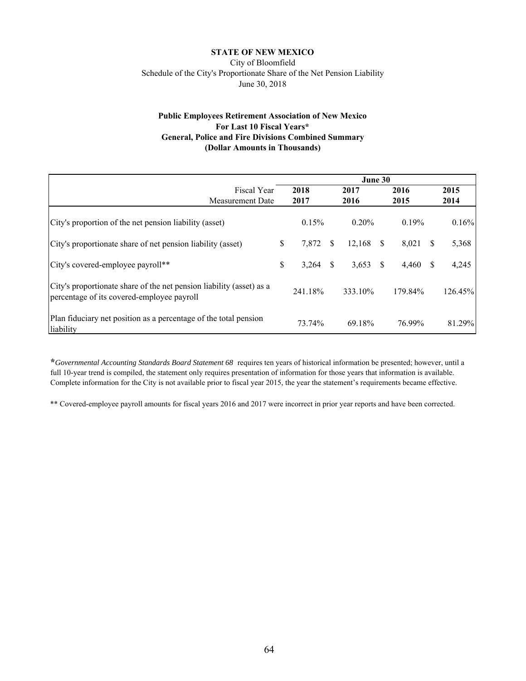June 30, 2018 Schedule of the City's Proportionate Share of the Net Pension Liability City of Bloomfield

# **General, Police and Fire Divisions Combined Summary Public Employees Retirement Association of New Mexico For Last 10 Fiscal Years\* (Dollar Amounts in Thousands)**

|                                                                                                                    | June 30     |     |          |               |         |          |         |
|--------------------------------------------------------------------------------------------------------------------|-------------|-----|----------|---------------|---------|----------|---------|
| Fiscal Year                                                                                                        | 2018        |     | 2017     |               | 2016    |          | 2015    |
| Measurement Date                                                                                                   | 2017        |     | 2016     |               | 2015    |          | 2014    |
| City's proportion of the net pension liability (asset)                                                             | 0.15%       |     | $0.20\%$ |               | 0.19%   |          | 0.16%   |
| City's proportionate share of net pension liability (asset)                                                        | \$<br>7.872 | \$  | 12,168   | S             | 8,021   | <b>S</b> | 5,368   |
| City's covered-employee payroll**                                                                                  | \$<br>3.264 | \$. | 3,653    | <sup>\$</sup> | 4,460   |          | 4,245   |
| City's proportionate share of the net pension liability (asset) as a<br>percentage of its covered-employee payroll | 241.18%     |     | 333.10%  |               | 179.84% |          | 126.45% |
| Plan fiduciary net position as a percentage of the total pension<br>liability                                      | 73.74%      |     | 69.18%   |               | 76.99%  |          | 81.29%  |

**\****Governmental Accounting Standards Board Statement 68* requires ten years of historical information be presented; however, until a full 10-year trend is compiled, the statement only requires presentation of information for those years that information is available. Complete information for the City is not available prior to fiscal year 2015, the year the statement's requirements became effective.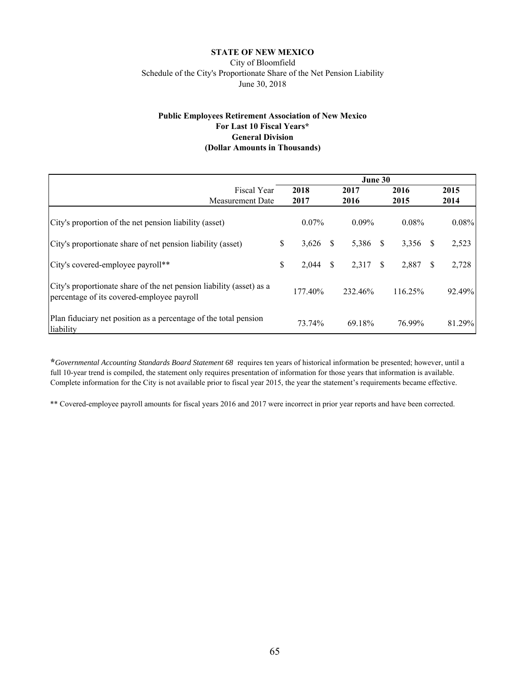# City of Bloomfield Schedule of the City's Proportionate Share of the Net Pension Liability June 30, 2018

# **(Dollar Amounts in Thousands) General Division Public Employees Retirement Association of New Mexico For Last 10 Fiscal Years\***

|                                                                                                                    | June 30 |         |          |          |               |         |  |        |
|--------------------------------------------------------------------------------------------------------------------|---------|---------|----------|----------|---------------|---------|--|--------|
| Fiscal Year                                                                                                        |         | 2018    |          | 2017     |               | 2016    |  | 2015   |
| Measurement Date                                                                                                   |         | 2017    |          | 2016     |               | 2015    |  | 2014   |
| City's proportion of the net pension liability (asset)                                                             |         | 0.07%   |          | $0.09\%$ |               | 0.08%   |  | 0.08%  |
| City's proportionate share of net pension liability (asset)                                                        | S       | 3,626   | <b>S</b> | 5,386    | <sup>\$</sup> | 3,356   |  | 2,523  |
| City's covered-employee payroll**                                                                                  | \$      | 2.044   | \$       | 2.317    | S             | 2,887   |  | 2,728  |
| City's proportionate share of the net pension liability (asset) as a<br>percentage of its covered-employee payroll |         | 177.40% |          | 232.46%  |               | 116.25% |  | 92.49% |
| Plan fiduciary net position as a percentage of the total pension<br>liability                                      |         | 73.74%  |          | 69.18%   |               | 76.99%  |  | 81.29% |

**\****Governmental Accounting Standards Board Statement 68* requires ten years of historical information be presented; however, until a full 10-year trend is compiled, the statement only requires presentation of information for those years that information is available. Complete information for the City is not available prior to fiscal year 2015, the year the statement's requirements became effective.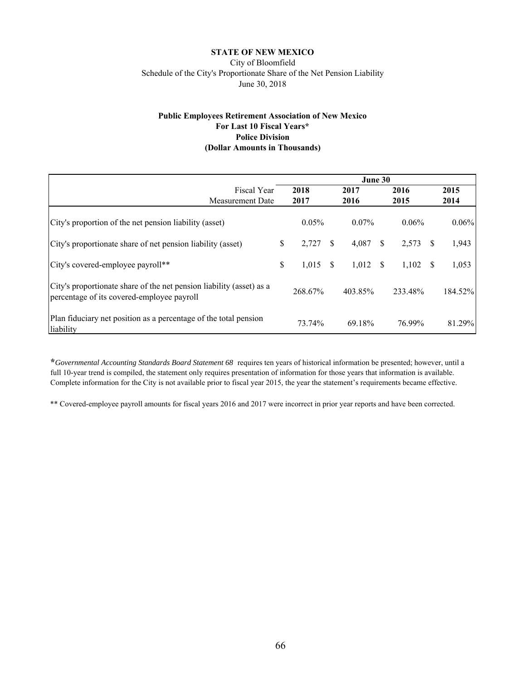# City of Bloomfield Schedule of the City's Proportionate Share of the Net Pension Liability June 30, 2018

# **(Dollar Amounts in Thousands) Police Division Public Employees Retirement Association of New Mexico For Last 10 Fiscal Years\***

|                                                                                                                    | June 30     |     |         |               |         |      |         |
|--------------------------------------------------------------------------------------------------------------------|-------------|-----|---------|---------------|---------|------|---------|
| Fiscal Year                                                                                                        | 2018        |     | 2017    |               | 2016    |      | 2015    |
| Measurement Date                                                                                                   | 2017        |     | 2016    |               | 2015    |      | 2014    |
| City's proportion of the net pension liability (asset)                                                             | 0.05%       |     | 0.07%   |               | 0.06%   |      | 0.06%   |
| City's proportionate share of net pension liability (asset)                                                        | \$<br>2,727 | \$  | 4.087   | \$            | 2,573   | - S  | 1,943   |
| City's covered-employee payroll**                                                                                  | \$<br>1.015 | \$. | 1,012   | <sup>\$</sup> | 1,102   | - \$ | 1,053   |
| City's proportionate share of the net pension liability (asset) as a<br>percentage of its covered-employee payroll | 268.67%     |     | 403.85% |               | 233.48% |      | 184.52% |
| Plan fiduciary net position as a percentage of the total pension<br>liability                                      | 73.74%      |     | 69.18%  |               | 76.99%  |      | 81.29%  |

**\****Governmental Accounting Standards Board Statement 68* requires ten years of historical information be presented; however, until a full 10-year trend is compiled, the statement only requires presentation of information for those years that information is available. Complete information for the City is not available prior to fiscal year 2015, the year the statement's requirements became effective.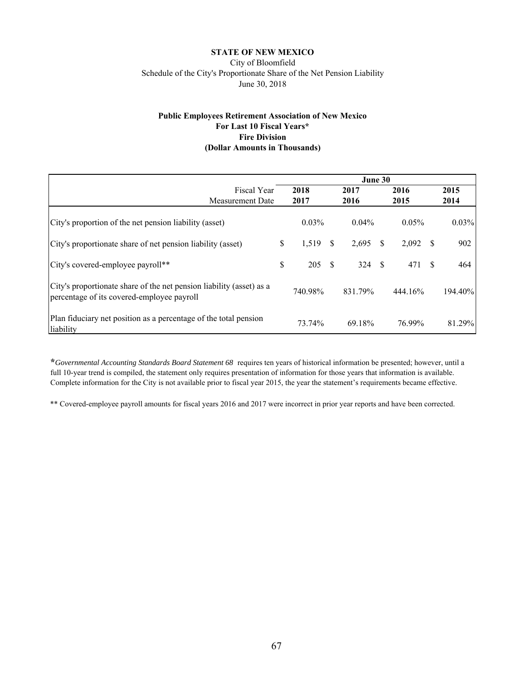# City of Bloomfield Schedule of the City's Proportionate Share of the Net Pension Liability June 30, 2018

# **(Dollar Amounts in Thousands) Fire Division Public Employees Retirement Association of New Mexico For Last 10 Fiscal Years\***

|                                                                                                                    | June 30       |         |     |          |     |          |     |         |
|--------------------------------------------------------------------------------------------------------------------|---------------|---------|-----|----------|-----|----------|-----|---------|
| Fiscal Year                                                                                                        |               | 2018    |     | 2017     |     | 2016     |     | 2015    |
| Measurement Date                                                                                                   |               | 2017    |     | 2016     |     | 2015     |     | 2014    |
| City's proportion of the net pension liability (asset)                                                             |               | 0.03%   |     | $0.04\%$ |     | $0.05\%$ |     | 0.03%   |
| City's proportionate share of net pension liability (asset)                                                        | <sup>\$</sup> | 1,519   | \$. | 2,695    | \$. | 2,092    | - S | 902     |
| City's covered-employee payroll**                                                                                  | \$            | 205     | \$. | 324 \$   |     | 471      |     | 464     |
| City's proportionate share of the net pension liability (asset) as a<br>percentage of its covered-employee payroll |               | 740.98% |     | 831.79%  |     | 444.16%  |     | 194.40% |
| Plan fiduciary net position as a percentage of the total pension<br>liability                                      |               | 73.74%  |     | 69.18%   |     | 76.99%   |     | 81.29%  |

**\****Governmental Accounting Standards Board Statement 68* requires ten years of historical information be presented; however, until a full 10-year trend is compiled, the statement only requires presentation of information for those years that information is available. Complete information for the City is not available prior to fiscal year 2015, the year the statement's requirements became effective.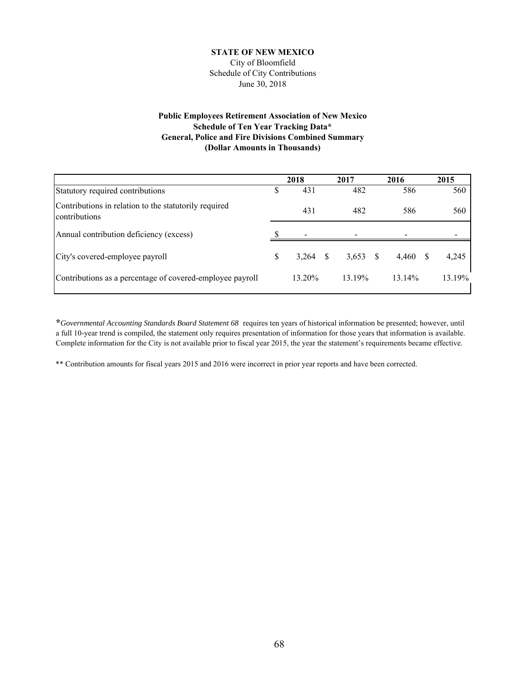June 30, 2018 Schedule of City Contributions City of Bloomfield

# **General, Police and Fire Divisions Combined Summary Public Employees Retirement Association of New Mexico Schedule of Ten Year Tracking Data\* (Dollar Amounts in Thousands)**

|                                                                        |     | 2018          | 2017   | 2016   | 2015   |
|------------------------------------------------------------------------|-----|---------------|--------|--------|--------|
| Statutory required contributions                                       |     | 431           | 482    | 586    | 560    |
| Contributions in relation to the statutorily required<br>contributions |     | 431           | 482    | 586    | 560    |
| Annual contribution deficiency (excess)                                |     |               |        |        |        |
| City's covered-employee payroll                                        | \$. | - \$<br>3.264 | 3.653  | 4.460  | 4,245  |
| Contributions as a percentage of covered-employee payroll              |     | 13.20%        | 13.19% | 13.14% | 13.19% |

**\****Governmental Accounting Standards Board Statement 68* requires ten years of historical information be presented; however, until a full 10-year trend is compiled, the statement only requires presentation of information for those years that information is available. Complete information for the City is not available prior to fiscal year 2015, the year the statement's requirements became effective.

\*\* Contribution amounts for fiscal years 2015 and 2016 were incorrect in prior year reports and have been corrected.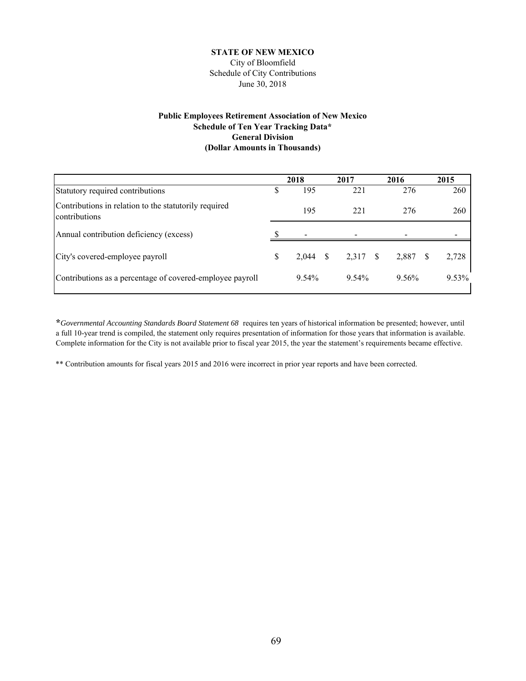City of Bloomfield Schedule of City Contributions June 30, 2018

# **General Division (Dollar Amounts in Thousands) Public Employees Retirement Association of New Mexico Schedule of Ten Year Tracking Data\***

|                                                                        |     | 2018                  | 2017                  | 2016     | 2015     |
|------------------------------------------------------------------------|-----|-----------------------|-----------------------|----------|----------|
| Statutory required contributions                                       |     | 195                   | 221                   | 276      | 260      |
| Contributions in relation to the statutorily required<br>contributions |     | 195                   | 221                   | 276      | 260      |
| Annual contribution deficiency (excess)                                |     |                       |                       |          |          |
| City's covered-employee payroll                                        | \$. | $\mathbf{s}$<br>2.044 | 2.317<br><sup>S</sup> | 2,887    | 2,728    |
| Contributions as a percentage of covered-employee payroll              |     | 9.54%                 | 9.54%                 | $9.56\%$ | $9.53\%$ |

**\****Governmental Accounting Standards Board Statement 68* requires ten years of historical information be presented; however, until a full 10-year trend is compiled, the statement only requires presentation of information for those years that information is available. Complete information for the City is not available prior to fiscal year 2015, the year the statement's requirements became effective.

\*\* Contribution amounts for fiscal years 2015 and 2016 were incorrect in prior year reports and have been corrected.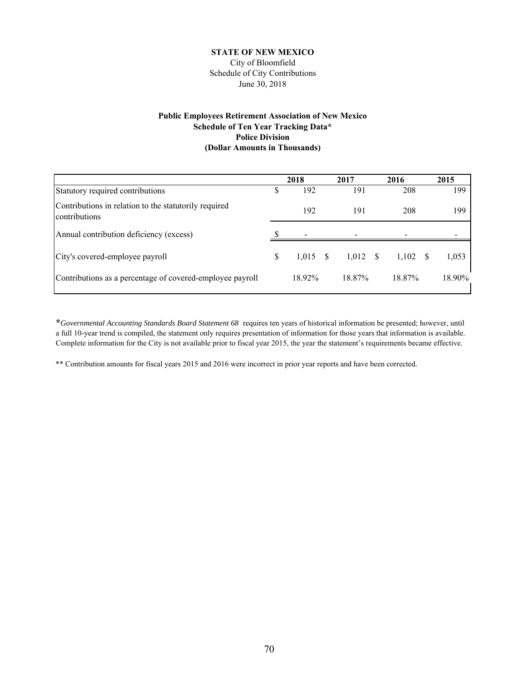City of Bloomfield Schedule of City Contributions June 30, 2018

# **Police Division (Dollar Amounts in Thousands) Public Employees Retirement Association of New Mexico Schedule of Ten Year Tracking Data\***

|                                                                        |     | 2018             | 2017       | 2016   | 2015   |
|------------------------------------------------------------------------|-----|------------------|------------|--------|--------|
| Statutory required contributions                                       |     | 192              | 191        | 208    | 199    |
| Contributions in relation to the statutorily required<br>contributions |     | 192              | 191        | 208    | 199    |
| Annual contribution deficiency (excess)                                |     |                  |            |        |        |
| City's covered-employee payroll                                        | \$. | $1.015 \quad$ \$ | $1,012$ \$ | 1,102  | 1,053  |
| Contributions as a percentage of covered-employee payroll              |     | 18.92%           | 18.87%     | 18.87% | 18.90% |

**\****Governmental Accounting Standards Board Statement 68* requires ten years of historical information be presented; however, until a full 10-year trend is compiled, the statement only requires presentation of information for those years that information is available. Complete information for the City is not available prior to fiscal year 2015, the year the statement's requirements became effective.

\*\* Contribution amounts for fiscal years 2015 and 2016 were incorrect in prior year reports and have been corrected.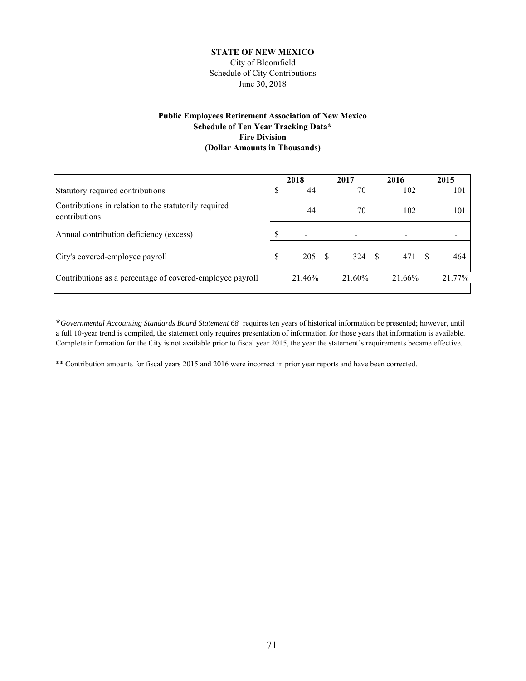City of Bloomfield Schedule of City Contributions June 30, 2018

# **Fire Division (Dollar Amounts in Thousands) Public Employees Retirement Association of New Mexico Schedule of Ten Year Tracking Data\***

|                                                                        |    | 2018   | 2017   | 2016        | 2015   |
|------------------------------------------------------------------------|----|--------|--------|-------------|--------|
| Statutory required contributions                                       | ۰Δ | 44     | 70     | 102         | 101    |
| Contributions in relation to the statutorily required<br>contributions |    | 44     | 70     | 102         | 101    |
| Annual contribution deficiency (excess)                                |    |        |        |             |        |
| City's covered-employee payroll                                        | S  | 205 \$ | 324    | - \$<br>471 | 464    |
| Contributions as a percentage of covered-employee payroll              |    | 21.46% | 21.60% | 21.66%      | 21.77% |

**\****Governmental Accounting Standards Board Statement 68* requires ten years of historical information be presented; however, until a full 10-year trend is compiled, the statement only requires presentation of information for those years that information is available. Complete information for the City is not available prior to fiscal year 2015, the year the statement's requirements became effective.

\*\* Contribution amounts for fiscal years 2015 and 2016 were incorrect in prior year reports and have been corrected.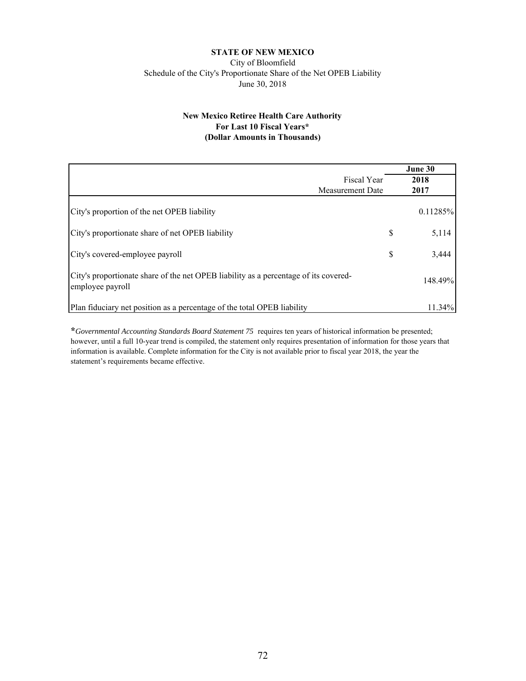# June 30, 2018 Schedule of the City's Proportionate Share of the Net OPEB Liability City of Bloomfield

# **New Mexico Retiree Health Care Authority For Last 10 Fiscal Years\* (Dollar Amounts in Thousands)**

|                                                                                                          |    | June 30  |
|----------------------------------------------------------------------------------------------------------|----|----------|
| Fiscal Year                                                                                              |    | 2018     |
| Measurement Date                                                                                         |    | 2017     |
| City's proportion of the net OPEB liability                                                              |    | 0.11285% |
| City's proportionate share of net OPEB liability                                                         | \$ | 5,114    |
| City's covered-employee payroll                                                                          | S  | 3,444    |
| City's proportionate share of the net OPEB liability as a percentage of its covered-<br>employee payroll |    | 148.49%  |
| Plan fiduciary net position as a percentage of the total OPEB liability                                  |    | 11.34%   |

**\****Governmental Accounting Standards Board Statement 75* requires ten years of historical information be presented; however, until a full 10-year trend is compiled, the statement only requires presentation of information for those years that information is available. Complete information for the City is not available prior to fiscal year 2018, the year the statement's requirements became effective.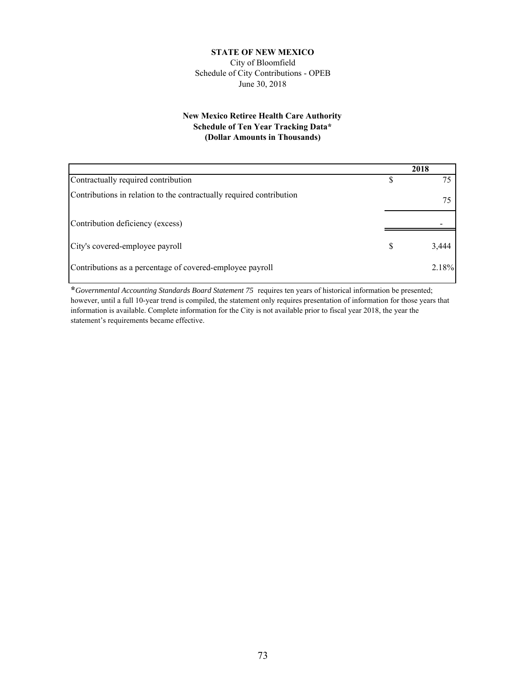June 30, 2018 Schedule of City Contributions - OPEB City of Bloomfield

# **New Mexico Retiree Health Care Authority Schedule of Ten Year Tracking Data\* (Dollar Amounts in Thousands)**

|                                                                      |   | 2018  |
|----------------------------------------------------------------------|---|-------|
| Contractually required contribution                                  | S |       |
| Contributions in relation to the contractually required contribution |   |       |
| Contribution deficiency (excess)                                     |   |       |
| City's covered-employee payroll                                      | S | 3.444 |
| Contributions as a percentage of covered-employee payroll            |   | 2.18% |

**\****Governmental Accounting Standards Board Statement 75* requires ten years of historical information be presented; however, until a full 10-year trend is compiled, the statement only requires presentation of information for those years that information is available. Complete information for the City is not available prior to fiscal year 2018, the year the statement's requirements became effective.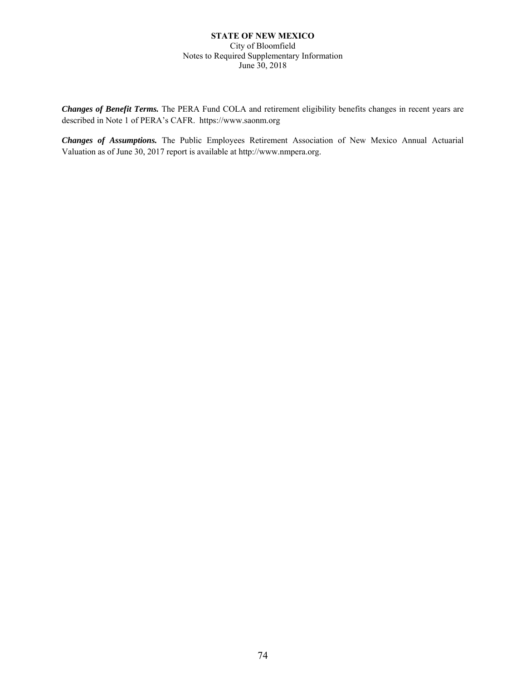## **STATE OF NEW MEXICO**  City of Bloomfield Notes to Required Supplementary Information June 30, 2018

*Changes of Benefit Terms.* The PERA Fund COLA and retirement eligibility benefits changes in recent years are described in Note 1 of PERA's CAFR. https://www.saonm.org

*Changes of Assumptions.* The Public Employees Retirement Association of New Mexico Annual Actuarial Valuation as of June 30, 2017 report is available at http://www.nmpera.org.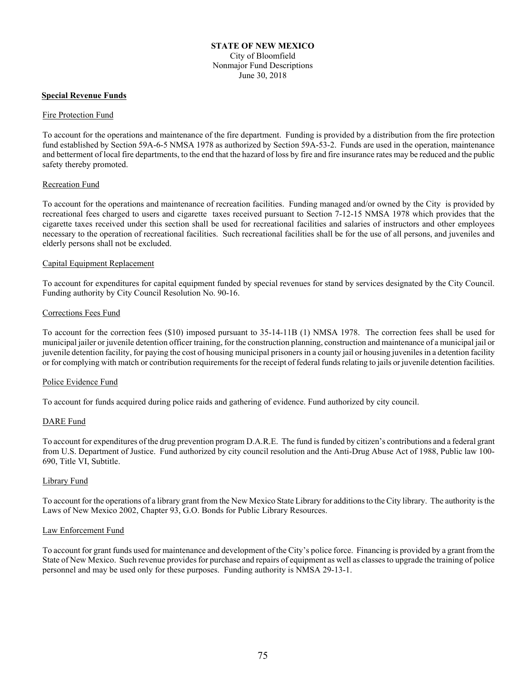City of Bloomfield Nonmajor Fund Descriptions June 30, 2018

## **Special Revenue Funds**

### Fire Protection Fund

To account for the operations and maintenance of the fire department. Funding is provided by a distribution from the fire protection fund established by Section 59A-6-5 NMSA 1978 as authorized by Section 59A-53-2. Funds are used in the operation, maintenance and betterment of local fire departments, to the end that the hazard of loss by fire and fire insurance rates may be reduced and the public safety thereby promoted.

## Recreation Fund

To account for the operations and maintenance of recreation facilities. Funding managed and/or owned by the City is provided by recreational fees charged to users and cigarette taxes received pursuant to Section 7-12-15 NMSA 1978 which provides that the cigarette taxes received under this section shall be used for recreational facilities and salaries of instructors and other employees necessary to the operation of recreational facilities. Such recreational facilities shall be for the use of all persons, and juveniles and elderly persons shall not be excluded.

## Capital Equipment Replacement

To account for expenditures for capital equipment funded by special revenues for stand by services designated by the City Council. Funding authority by City Council Resolution No. 90-16.

## Corrections Fees Fund

To account for the correction fees (\$10) imposed pursuant to 35-14-11B (1) NMSA 1978. The correction fees shall be used for municipal jailer or juvenile detention officer training, for the construction planning, construction and maintenance of a municipal jail or juvenile detention facility, for paying the cost of housing municipal prisoners in a county jail or housing juveniles in a detention facility or for complying with match or contribution requirements for the receipt of federal funds relating to jails or juvenile detention facilities.

## Police Evidence Fund

To account for funds acquired during police raids and gathering of evidence. Fund authorized by city council.

### DARE Fund

To account for expenditures of the drug prevention program D.A.R.E. The fund is funded by citizen's contributions and a federal grant from U.S. Department of Justice. Fund authorized by city council resolution and the Anti-Drug Abuse Act of 1988, Public law 100- 690, Title VI, Subtitle.

### Library Fund

To account for the operations of a library grant from the New Mexico State Library for additions to the City library. The authority is the Laws of New Mexico 2002, Chapter 93, G.O. Bonds for Public Library Resources.

### Law Enforcement Fund

To account for grant funds used for maintenance and development of the City's police force. Financing is provided by a grant from the State of New Mexico. Such revenue provides for purchase and repairs of equipment as well as classes to upgrade the training of police personnel and may be used only for these purposes. Funding authority is NMSA 29-13-1.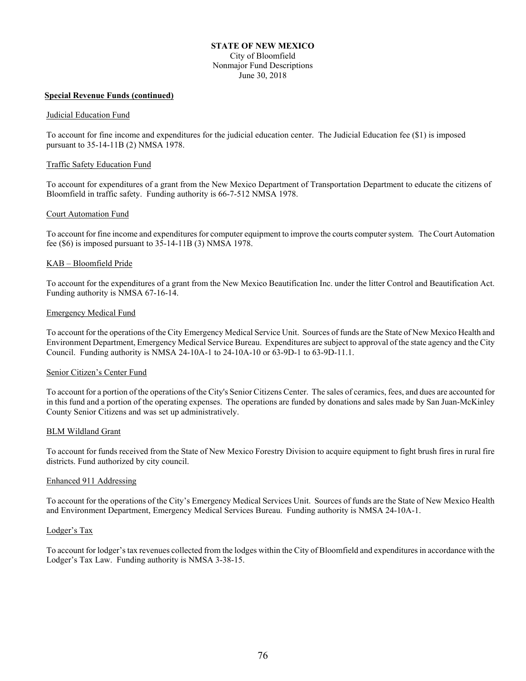City of Bloomfield Nonmajor Fund Descriptions June 30, 2018

### **Special Revenue Funds (continued)**

### Judicial Education Fund

To account for fine income and expenditures for the judicial education center. The Judicial Education fee (\$1) is imposed pursuant to 35-14-11B (2) NMSA 1978.

## Traffic Safety Education Fund

To account for expenditures of a grant from the New Mexico Department of Transportation Department to educate the citizens of Bloomfield in traffic safety. Funding authority is 66-7-512 NMSA 1978.

## Court Automation Fund

To account for fine income and expenditures for computer equipment to improve the courts computer system. The Court Automation fee (\$6) is imposed pursuant to 35-14-11B (3) NMSA 1978.

## KAB – Bloomfield Pride

To account for the expenditures of a grant from the New Mexico Beautification Inc. under the litter Control and Beautification Act. Funding authority is NMSA 67-16-14.

### Emergency Medical Fund

To account for the operations of the City Emergency Medical Service Unit. Sources of funds are the State of New Mexico Health and Environment Department, Emergency Medical Service Bureau. Expenditures are subject to approval of the state agency and the City Council. Funding authority is NMSA 24-10A-1 to 24-10A-10 or 63-9D-1 to 63-9D-11.1.

### Senior Citizen's Center Fund

To account for a portion of the operations of the City's Senior Citizens Center. The sales of ceramics, fees, and dues are accounted for in this fund and a portion of the operating expenses. The operations are funded by donations and sales made by San Juan-McKinley County Senior Citizens and was set up administratively.

### BLM Wildland Grant

To account for funds received from the State of New Mexico Forestry Division to acquire equipment to fight brush fires in rural fire districts. Fund authorized by city council.

### Enhanced 911 Addressing

To account for the operations of the City's Emergency Medical Services Unit. Sources of funds are the State of New Mexico Health and Environment Department, Emergency Medical Services Bureau. Funding authority is NMSA 24-10A-1.

### Lodger's Tax

To account for lodger's tax revenues collected from the lodges within the City of Bloomfield and expenditures in accordance with the Lodger's Tax Law. Funding authority is NMSA 3-38-15.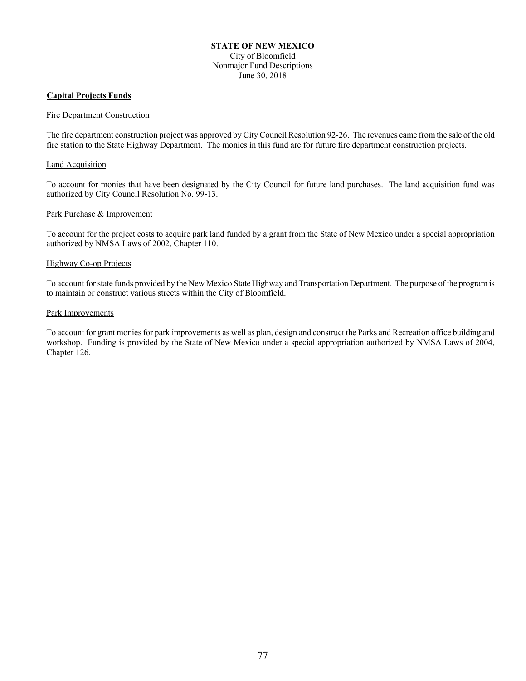City of Bloomfield Nonmajor Fund Descriptions June 30, 2018

## **Capital Projects Funds**

### Fire Department Construction

The fire department construction project was approved by City Council Resolution 92-26. The revenues came from the sale of the old fire station to the State Highway Department. The monies in this fund are for future fire department construction projects.

## Land Acquisition

To account for monies that have been designated by the City Council for future land purchases. The land acquisition fund was authorized by City Council Resolution No. 99-13.

## Park Purchase & Improvement

To account for the project costs to acquire park land funded by a grant from the State of New Mexico under a special appropriation authorized by NMSA Laws of 2002, Chapter 110.

## Highway Co-op Projects

To account for state funds provided by the New Mexico State Highway and Transportation Department. The purpose of the program is to maintain or construct various streets within the City of Bloomfield.

### Park Improvements

To account for grant monies for park improvements as well as plan, design and construct the Parks and Recreation office building and workshop. Funding is provided by the State of New Mexico under a special appropriation authorized by NMSA Laws of 2004, Chapter 126.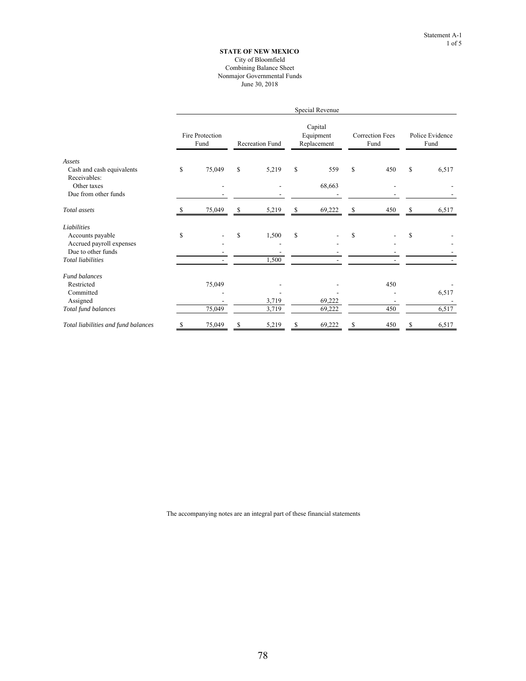#### **STATE OF NEW MEXICO** City of Bloomfield Nonmajor Governmental Funds Combining Balance Sheet June 30, 2018

|                                           |    | Fire Protection<br>Fund |    | Recreation Fund | Capital<br>Equipment<br>Replacement |    | <b>Correction Fees</b><br>Fund | Police Evidence<br>Fund |       |
|-------------------------------------------|----|-------------------------|----|-----------------|-------------------------------------|----|--------------------------------|-------------------------|-------|
| Assets                                    |    |                         |    |                 |                                     |    |                                |                         |       |
| Cash and cash equivalents<br>Receivables: | \$ | 75,049                  | \$ | 5,219           | \$<br>559                           | \$ | 450                            | \$                      | 6,517 |
| Other taxes                               |    |                         |    |                 | 68,663                              |    |                                |                         |       |
| Due from other funds                      |    |                         |    |                 |                                     |    |                                |                         |       |
| Total assets                              |    | 75,049                  | \$ | 5,219           | \$<br>69,222                        | \$ | 450                            | S                       | 6,517 |
| Liabilities                               |    |                         |    |                 |                                     |    |                                |                         |       |
| Accounts payable                          | \$ |                         | S  | 1,500           | \$                                  | \$ |                                | \$                      |       |
| Accrued payroll expenses                  |    |                         |    |                 |                                     |    |                                |                         |       |
| Due to other funds                        |    |                         |    |                 |                                     |    |                                |                         |       |
| Total liabilities                         |    |                         |    | 1,500           |                                     |    |                                |                         |       |
| <b>Fund balances</b>                      |    |                         |    |                 |                                     |    |                                |                         |       |
| Restricted                                |    | 75,049                  |    |                 |                                     |    | 450                            |                         |       |
| Committed                                 |    |                         |    |                 |                                     |    |                                |                         | 6,517 |
| Assigned                                  |    |                         |    | 3,719           | 69,222                              |    |                                |                         |       |
| Total fund balances                       |    | 75,049                  |    | 3,719           | 69,222                              |    | 450                            |                         | 6,517 |
| Total liabilities and fund balances       | S  | 75,049                  | \$ | 5,219           | \$<br>69,222                        | S  | 450                            | S                       | 6,517 |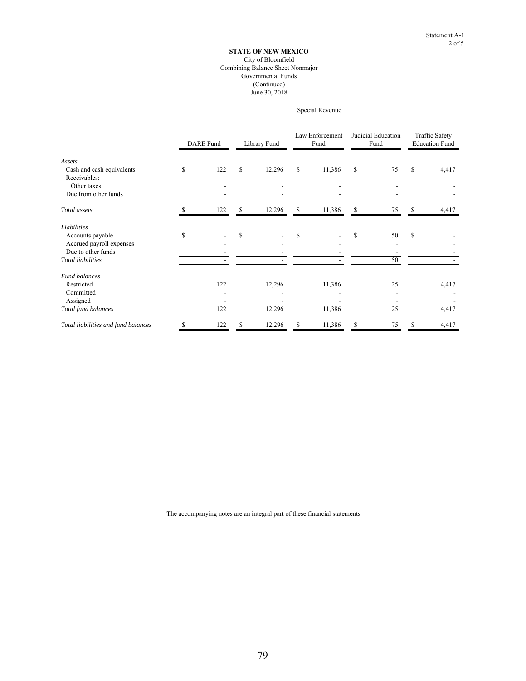#### City of Bloomfield Combining Balance Sheet Nonmajor Governmental Funds (Continued) June 30, 2018

Special Revenue

|                                           | DARE Fund |    | Library Fund |     | Law Enforcement<br>Fund |     | Judicial Education<br>Fund |               | <b>Traffic Safety</b><br><b>Education Fund</b> |
|-------------------------------------------|-----------|----|--------------|-----|-------------------------|-----|----------------------------|---------------|------------------------------------------------|
| Assets                                    |           |    |              |     |                         |     |                            |               |                                                |
| Cash and cash equivalents<br>Receivables: | \$<br>122 | \$ | 12,296       | \$  | 11,386                  | \$  | 75                         | \$            | 4,417                                          |
| Other taxes                               |           |    |              |     |                         |     |                            |               |                                                |
| Due from other funds                      |           |    |              |     |                         |     |                            |               |                                                |
| Total assets                              | 122       |    | 12,296       |     | 11,386                  |     | 75                         |               | 4,417                                          |
| Liabilities                               |           |    |              |     |                         |     |                            |               |                                                |
| Accounts payable                          | \$        | S  |              | \$. |                         | \$. | 50                         | <sup>\$</sup> |                                                |
| Accrued payroll expenses                  |           |    |              |     |                         |     |                            |               |                                                |
| Due to other funds                        |           |    |              |     |                         |     |                            |               |                                                |
| <b>Total liabilities</b>                  |           |    |              |     |                         |     | 50                         |               |                                                |
| <b>Fund balances</b>                      |           |    |              |     |                         |     |                            |               |                                                |
| Restricted                                | 122       |    | 12,296       |     | 11,386                  |     | 25                         |               | 4,417                                          |
| Committed                                 |           |    |              |     |                         |     |                            |               |                                                |
| Assigned                                  |           |    |              |     |                         |     |                            |               |                                                |
| Total fund balances                       | 122       |    | 12,296       |     | 11,386                  |     | 25                         |               | 4,417                                          |
| Total liabilities and fund balances       | \$<br>122 | \$ | 12,296       | \$  | 11,386                  | \$  | 75                         | \$            | 4,417                                          |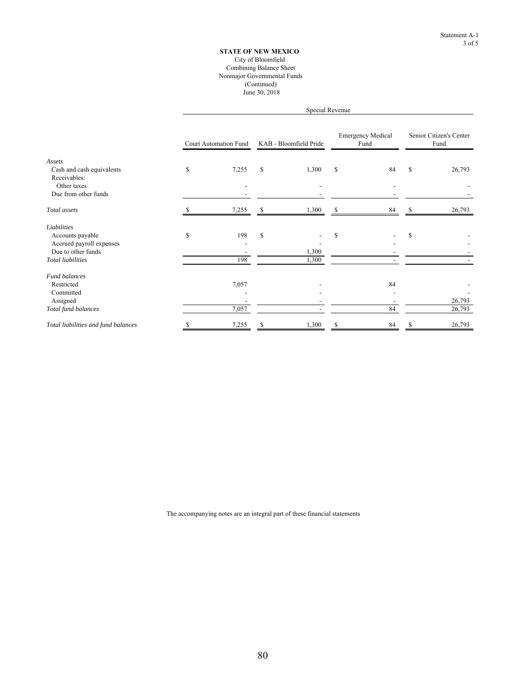#### **STATE OF NEW MEXICO** City of Bloomfield Combining Balance Sheet Nonmajor Governmental Funds (Continued) June 30, 2018

Special Revenue

|                                                                                                               |    | <b>Court Automation Fund</b> |    | KAB - Bloomfield Pride |     | <b>Emergency Medical</b><br>Fund | Senior Citizen's Center<br>Fund |                  |  |
|---------------------------------------------------------------------------------------------------------------|----|------------------------------|----|------------------------|-----|----------------------------------|---------------------------------|------------------|--|
| Assets<br>Cash and cash equivalents<br>Receivables:<br>Other taxes<br>Due from other funds                    | \$ | 7,255                        | \$ | 1,300                  | \$  | 84                               | \$                              | 26,793           |  |
| Total assets                                                                                                  |    | 7,255                        |    | 1,300                  |     | 84                               |                                 | 26,793           |  |
| Liabilities<br>Accounts payable<br>Accrued payroll expenses<br>Due to other funds<br><b>Total liabilities</b> | S  | 198<br>198                   | S  | 1,300<br>1,300         | \$. |                                  | \$                              |                  |  |
| <b>Fund balances</b><br>Restricted<br>Committed<br>Assigned<br>Total fund balances                            |    | 7,057<br>7,057               |    |                        |     | 84<br>84                         |                                 | 26,793<br>26,793 |  |
| Total liabilities and fund balances                                                                           |    | 7,255                        |    | 1,300                  |     | 84                               |                                 | 26,793           |  |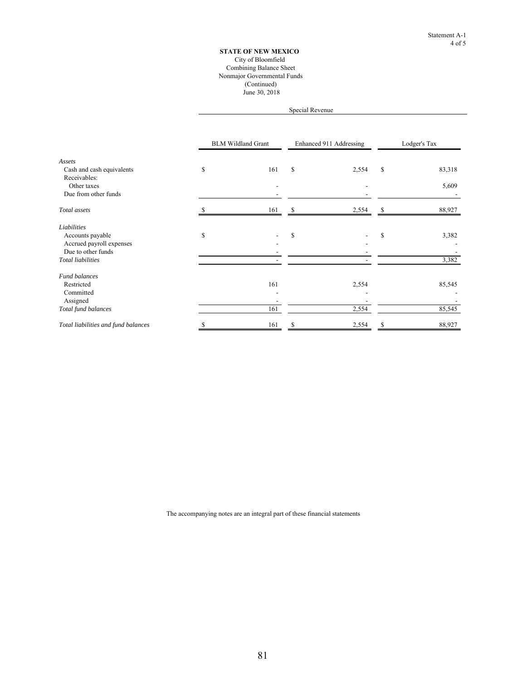#### **STATE OF NEW MEXICO** City of Bloomfield Combining Balance Sheet Nonmajor Governmental Funds (Continued) June 30, 2018

Special Revenue

|                                     |    | <b>BLM Wildland Grant</b> |    | Enhanced 911 Addressing | Lodger's Tax  |        |  |
|-------------------------------------|----|---------------------------|----|-------------------------|---------------|--------|--|
| Assets                              |    |                           |    |                         |               |        |  |
| Cash and cash equivalents           | \$ | 161                       | \$ | 2,554                   | \$            | 83,318 |  |
| Receivables:                        |    |                           |    |                         |               |        |  |
| Other taxes<br>Due from other funds |    |                           |    |                         |               | 5,609  |  |
|                                     |    |                           |    |                         |               |        |  |
| Total assets                        |    | 161                       | S  | 2,554                   | <sup>\$</sup> | 88,927 |  |
| Liabilities                         |    |                           |    |                         |               |        |  |
| Accounts payable                    | S  |                           | S  |                         | S             | 3,382  |  |
| Accrued payroll expenses            |    |                           |    |                         |               |        |  |
| Due to other funds                  |    |                           |    |                         |               |        |  |
| <b>Total liabilities</b>            |    |                           |    |                         |               | 3,382  |  |
| <b>Fund balances</b>                |    |                           |    |                         |               |        |  |
| Restricted                          |    | 161                       |    | 2,554                   |               | 85,545 |  |
| Committed                           |    |                           |    |                         |               |        |  |
| Assigned                            |    | $\overline{\phantom{a}}$  |    |                         |               |        |  |
| Total fund balances                 |    | 161                       |    | 2,554                   |               | 85,545 |  |
| Total liabilities and fund balances |    | 161                       |    | 2,554                   |               | 88,927 |  |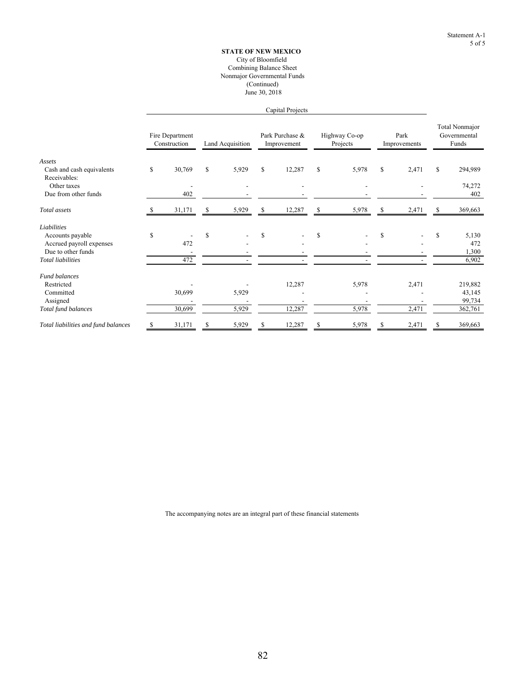#### **STATE OF NEW MEXICO** City of Bloomfield Combining Balance Sheet Nonmajor Governmental Funds (Continued) June 30, 2018

|                                                                    | Capital Projects                |        |                  |       |                                |        |                           |       |                      |       |    |                                         |
|--------------------------------------------------------------------|---------------------------------|--------|------------------|-------|--------------------------------|--------|---------------------------|-------|----------------------|-------|----|-----------------------------------------|
|                                                                    | Fire Department<br>Construction |        | Land Acquisition |       | Park Purchase &<br>Improvement |        | Highway Co-op<br>Projects |       | Park<br>Improvements |       |    | Total Nonmajor<br>Governmental<br>Funds |
| Assets                                                             |                                 |        |                  |       |                                |        |                           |       |                      |       |    |                                         |
| Cash and cash equivalents<br>Receivables:                          | \$                              | 30,769 | \$               | 5,929 | \$                             | 12,287 | S                         | 5,978 | \$                   | 2,471 | \$ | 294,989                                 |
| Other taxes                                                        |                                 |        |                  |       |                                |        |                           |       |                      |       |    | 74,272                                  |
| Due from other funds                                               |                                 | 402    |                  |       |                                |        |                           |       |                      |       |    | 402                                     |
| Total assets                                                       |                                 | 31,171 |                  | 5,929 |                                | 12,287 |                           | 5,978 |                      | 2,471 |    | 369,663                                 |
| Liabilities                                                        |                                 |        |                  |       |                                |        |                           |       |                      |       |    |                                         |
| Accounts payable<br>Accrued payroll expenses<br>Due to other funds | <sup>\$</sup>                   | 472    | S                |       | \$                             |        | S                         |       | \$                   |       | S  | 5,130<br>472<br>1,300                   |
| <b>Total liabilities</b>                                           |                                 | 472    |                  |       |                                |        |                           |       |                      |       |    | 6,902                                   |
| <b>Fund balances</b>                                               |                                 |        |                  |       |                                |        |                           |       |                      |       |    |                                         |
| Restricted                                                         |                                 |        |                  |       |                                | 12,287 |                           | 5,978 |                      | 2,471 |    | 219,882                                 |
| Committed                                                          |                                 | 30,699 |                  | 5,929 |                                |        |                           |       |                      |       |    | 43,145                                  |
| Assigned<br>Total fund balances                                    |                                 | 30,699 |                  | 5,929 |                                | 12,287 |                           | 5,978 |                      | 2,471 |    | 99,734<br>362,761                       |
|                                                                    |                                 |        |                  |       |                                |        |                           |       |                      |       |    |                                         |
| Total liabilities and fund balances                                |                                 | 31,171 |                  | 5,929 |                                | 12,287 |                           | 5,978 |                      | 2,471 |    | 369,663                                 |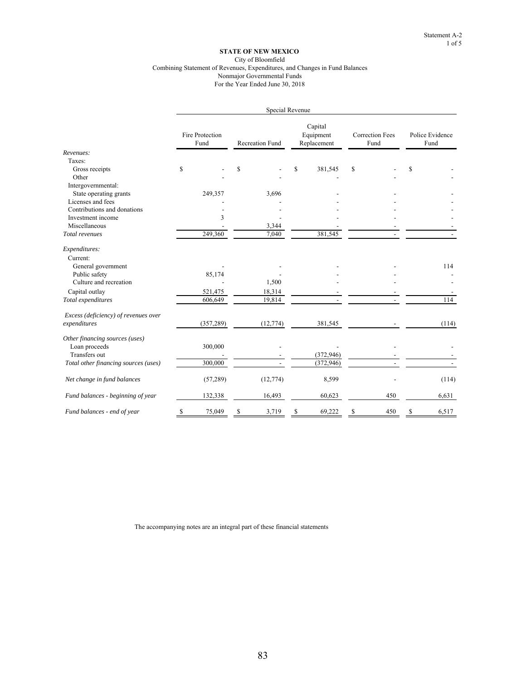#### **STATE OF NEW MEXICO** City of Bloomfield Nonmajor Governmental Funds Combining Statement of Revenues, Expenditures, and Changes in Fund Balances For the Year Ended June 30, 2018

|                                      |                         | Special Revenue |                                     |                                |                         |
|--------------------------------------|-------------------------|-----------------|-------------------------------------|--------------------------------|-------------------------|
|                                      | Fire Protection<br>Fund | Recreation Fund | Capital<br>Equipment<br>Replacement | <b>Correction Fees</b><br>Fund | Police Evidence<br>Fund |
| Revenues:                            |                         |                 |                                     |                                |                         |
| Taxes:                               |                         |                 |                                     |                                |                         |
| Gross receipts                       | \$                      | \$              | \$<br>381,545                       | \$                             | \$                      |
| Other                                |                         |                 |                                     |                                |                         |
| Intergovernmental:                   |                         |                 |                                     |                                |                         |
| State operating grants               | 249,357                 | 3,696           |                                     |                                |                         |
| Licenses and fees                    |                         |                 |                                     |                                |                         |
| Contributions and donations          |                         |                 |                                     |                                |                         |
| Investment income                    | 3                       |                 |                                     |                                |                         |
| Miscellaneous                        |                         | 3,344           |                                     |                                |                         |
| Total revenues                       | 249,360                 | 7,040           | 381,545                             |                                |                         |
| Expenditures:                        |                         |                 |                                     |                                |                         |
| Current:                             |                         |                 |                                     |                                |                         |
| General government                   |                         |                 |                                     |                                | 114                     |
| Public safety                        | 85,174                  |                 |                                     |                                |                         |
| Culture and recreation               |                         | 1,500           |                                     |                                |                         |
| Capital outlay                       | 521,475                 | 18,314          |                                     |                                |                         |
| Total expenditures                   | 606,649                 | 19,814          |                                     |                                | 114                     |
| Excess (deficiency) of revenues over |                         |                 |                                     |                                |                         |
| expenditures                         | (357, 289)              | (12, 774)       | 381,545                             |                                | (114)                   |
|                                      |                         |                 |                                     |                                |                         |
| Other financing sources (uses)       |                         |                 |                                     |                                |                         |
| Loan proceeds                        | 300,000                 |                 |                                     |                                |                         |
| Transfers out                        |                         |                 | (372, 946)                          |                                |                         |
| Total other financing sources (uses) | 300,000                 |                 | (372, 946)                          |                                |                         |
| Net change in fund balances          | (57, 289)               | (12, 774)       | 8,599                               |                                | (114)                   |
| Fund balances - beginning of year    | 132,338                 | 16,493          | 60,623                              | 450                            | 6,631                   |
| Fund balances - end of year          | \$<br>75,049            | \$<br>3,719     | \$<br>69,222                        | S<br>450                       | \$<br>6,517             |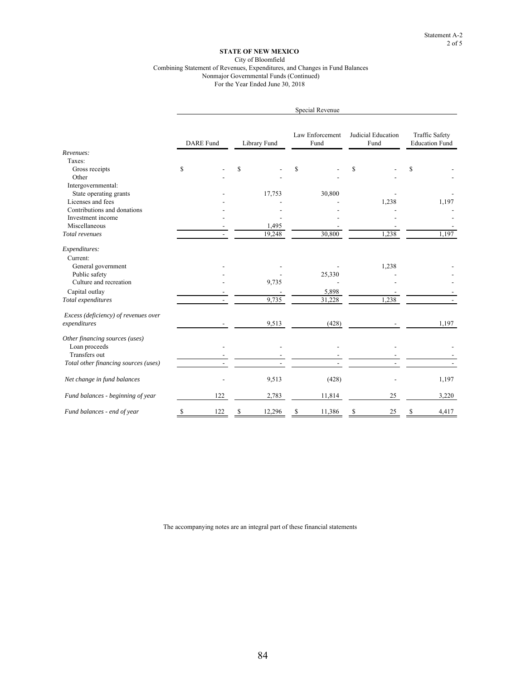Special Revenue

|                                      | DARE Fund     |     |    | Library Fund |             | Law Enforcement<br>Fund |    | Judicial Education<br>Fund |   | Traffic Safety<br><b>Education Fund</b> |
|--------------------------------------|---------------|-----|----|--------------|-------------|-------------------------|----|----------------------------|---|-----------------------------------------|
| Revenues:                            |               |     |    |              |             |                         |    |                            |   |                                         |
| Taxes:                               |               |     |    |              |             |                         |    |                            |   |                                         |
| Gross receipts                       | <sup>\$</sup> |     | \$ |              | $\mathbf S$ |                         | \$ |                            | S |                                         |
| Other                                |               |     |    |              |             |                         |    |                            |   |                                         |
| Intergovernmental:                   |               |     |    |              |             |                         |    |                            |   |                                         |
| State operating grants               |               |     |    | 17,753       |             | 30,800                  |    |                            |   |                                         |
| Licenses and fees                    |               |     |    |              |             |                         |    | 1,238                      |   | 1,197                                   |
| Contributions and donations          |               |     |    |              |             |                         |    |                            |   |                                         |
| Investment income                    |               |     |    |              |             |                         |    |                            |   |                                         |
| Miscellaneous                        |               |     |    | 1,495        |             |                         |    |                            |   |                                         |
| Total revenues                       |               |     |    | 19,248       |             | 30,800                  |    | 1,238                      |   | 1,197                                   |
| Expenditures:                        |               |     |    |              |             |                         |    |                            |   |                                         |
| Current:                             |               |     |    |              |             |                         |    |                            |   |                                         |
| General government                   |               |     |    |              |             |                         |    | 1,238                      |   |                                         |
| Public safety                        |               |     |    |              |             | 25,330                  |    |                            |   |                                         |
| Culture and recreation               |               |     |    | 9,735        |             |                         |    |                            |   |                                         |
| Capital outlay                       |               |     |    |              |             | 5,898                   |    |                            |   |                                         |
| Total expenditures                   |               |     |    | 9,735        |             | 31,228                  |    | 1,238                      |   |                                         |
| Excess (deficiency) of revenues over |               |     |    |              |             |                         |    |                            |   |                                         |
| expenditures                         |               |     |    | 9,513        |             | (428)                   |    |                            |   | 1,197                                   |
| Other financing sources (uses)       |               |     |    |              |             |                         |    |                            |   |                                         |
| Loan proceeds                        |               |     |    |              |             |                         |    |                            |   |                                         |
| Transfers out                        |               |     |    |              |             |                         |    |                            |   |                                         |
| Total other financing sources (uses) |               |     |    |              |             |                         |    |                            |   |                                         |
| Net change in fund balances          |               |     |    | 9,513        |             | (428)                   |    |                            |   | 1,197                                   |
| Fund balances - beginning of year    |               | 122 |    | 2,783        |             | 11,814                  |    | 25                         |   | 3,220                                   |
| Fund balances - end of year          | S             | 122 | S  | 12,296       | S           | 11,386                  | S  | 25                         |   | 4,417                                   |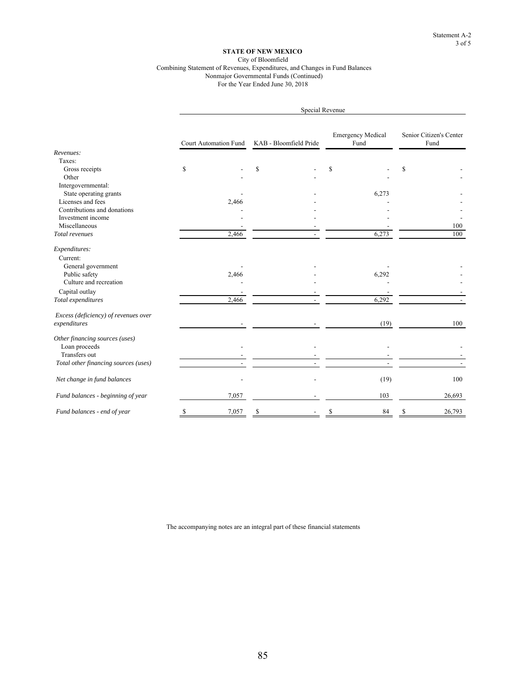Special Revenue

|                                      |    | <b>Court Automation Fund</b> | KAB - Bloomfield Pride |    | <b>Emergency Medical</b><br>Fund |    | Senior Citizen's Center<br>Fund |
|--------------------------------------|----|------------------------------|------------------------|----|----------------------------------|----|---------------------------------|
| Revenues:                            |    |                              |                        |    |                                  |    |                                 |
| Taxes:                               |    |                              |                        |    |                                  |    |                                 |
| Gross receipts                       | \$ |                              | \$                     | \$ |                                  | \$ |                                 |
| Other                                |    |                              |                        |    |                                  |    |                                 |
| Intergovernmental:                   |    |                              |                        |    |                                  |    |                                 |
| State operating grants               |    |                              |                        |    | 6,273                            |    |                                 |
| Licenses and fees                    |    | 2,466                        |                        |    |                                  |    |                                 |
| Contributions and donations          |    |                              |                        |    |                                  |    |                                 |
| Investment income                    |    |                              |                        |    |                                  |    |                                 |
| Miscellaneous                        |    |                              |                        |    |                                  |    | 100                             |
| Total revenues                       |    | 2,466                        |                        |    | 6,273                            |    | 100                             |
| Expenditures:                        |    |                              |                        |    |                                  |    |                                 |
| Current:                             |    |                              |                        |    |                                  |    |                                 |
| General government                   |    |                              |                        |    |                                  |    |                                 |
| Public safety                        |    | 2,466                        |                        |    | 6,292                            |    |                                 |
| Culture and recreation               |    |                              |                        |    |                                  |    |                                 |
| Capital outlay                       |    |                              |                        |    |                                  |    |                                 |
| Total expenditures                   |    | 2,466                        |                        |    | 6,292                            |    |                                 |
| Excess (deficiency) of revenues over |    |                              |                        |    |                                  |    |                                 |
| expenditures                         |    |                              |                        |    | (19)                             |    | 100                             |
| Other financing sources (uses)       |    |                              |                        |    |                                  |    |                                 |
| Loan proceeds                        |    |                              |                        |    |                                  |    |                                 |
| Transfers out                        |    |                              |                        |    |                                  |    |                                 |
| Total other financing sources (uses) |    |                              |                        |    |                                  |    |                                 |
| Net change in fund balances          |    |                              |                        |    | (19)                             |    | 100                             |
| Fund balances - beginning of year    |    | 7,057                        |                        |    | 103                              |    | 26,693                          |
| Fund balances - end of year          | S. | 7,057                        | \$                     | \$ | 84                               | S  | 26,793                          |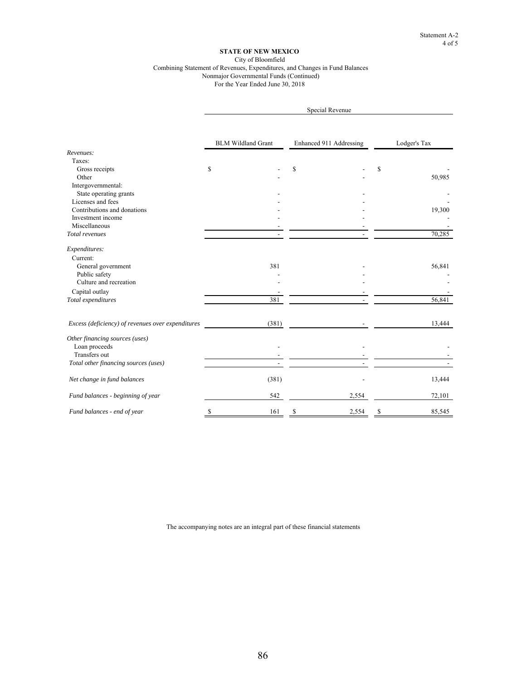Special Revenue

|                                                   |    | <b>BLM</b> Wildland Grant |    | Enhanced 911 Addressing | Lodger's Tax |
|---------------------------------------------------|----|---------------------------|----|-------------------------|--------------|
| Revenues:                                         |    |                           |    |                         |              |
| Taxes:                                            |    |                           |    |                         |              |
| Gross receipts                                    | \$ |                           | \$ |                         | \$           |
| Other                                             |    |                           |    |                         | 50,985       |
| Intergovernmental:                                |    |                           |    |                         |              |
| State operating grants                            |    |                           |    |                         |              |
| Licenses and fees                                 |    |                           |    |                         |              |
| Contributions and donations                       |    |                           |    |                         | 19,300       |
| Investment income                                 |    |                           |    |                         |              |
| Miscellaneous                                     |    |                           |    |                         |              |
| Total revenues                                    |    |                           |    |                         | 70,285       |
| Expenditures:                                     |    |                           |    |                         |              |
| Current:                                          |    |                           |    |                         |              |
| General government                                |    | 381                       |    |                         | 56,841       |
| Public safety                                     |    |                           |    |                         |              |
| Culture and recreation                            |    |                           |    |                         |              |
| Capital outlay                                    |    |                           |    |                         |              |
| Total expenditures                                |    | 381                       |    |                         | 56,841       |
|                                                   |    |                           |    |                         |              |
| Excess (deficiency) of revenues over expenditures |    | (381)                     |    |                         | 13,444       |
| Other financing sources (uses)                    |    |                           |    |                         |              |
| Loan proceeds                                     |    |                           |    |                         |              |
| Transfers out                                     |    |                           |    |                         |              |
| Total other financing sources (uses)              |    |                           |    |                         |              |
| Net change in fund balances                       |    | (381)                     |    |                         | 13,444       |
| Fund balances - beginning of year                 |    | 542                       |    | 2,554                   | 72,101       |
| Fund balances - end of year                       | -S | 161                       | S  | 2,554                   | \$<br>85,545 |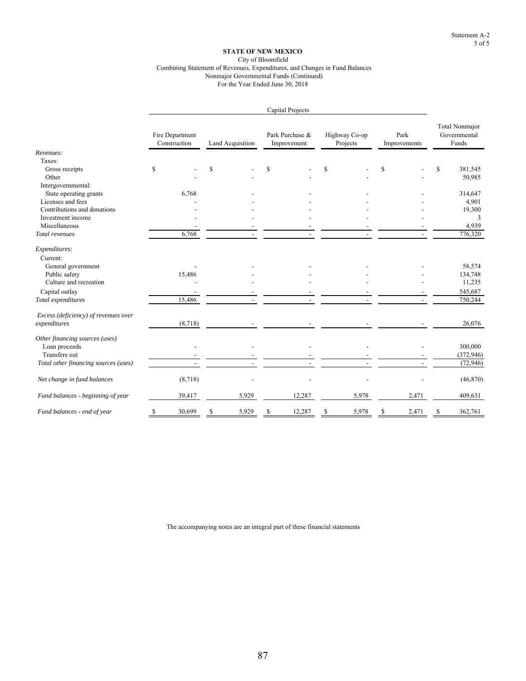|                                      | Capital Projects                |    |                  |   |                                |    |                           |    |                      |   |                                         |
|--------------------------------------|---------------------------------|----|------------------|---|--------------------------------|----|---------------------------|----|----------------------|---|-----------------------------------------|
|                                      | Fire Department<br>Construction |    | Land Acquisition |   | Park Purchase &<br>Improvement |    | Highway Co-op<br>Projects |    | Park<br>Improvements |   | Total Nonmajor<br>Governmental<br>Funds |
| Revenues:                            |                                 |    |                  |   |                                |    |                           |    |                      |   |                                         |
| Taxes:                               |                                 |    |                  |   |                                |    |                           |    |                      |   |                                         |
| Gross receipts                       | \$                              | \$ |                  | S |                                | \$ |                           | \$ |                      | S | 381,545                                 |
| Other                                |                                 |    |                  |   |                                |    |                           |    |                      |   | 50,985                                  |
| Intergovernmental:                   |                                 |    |                  |   |                                |    |                           |    |                      |   |                                         |
| State operating grants               | 6,768                           |    |                  |   |                                |    |                           |    |                      |   | 314,647                                 |
| Licenses and fees                    |                                 |    |                  |   |                                |    |                           |    |                      |   | 4,901                                   |
| Contributions and donations          |                                 |    |                  |   |                                |    |                           |    |                      |   | 19,300                                  |
| Investment income                    |                                 |    |                  |   |                                |    |                           |    |                      |   | 3                                       |
| Miscellaneous                        |                                 |    |                  |   |                                |    |                           |    |                      |   | 4,939                                   |
| Total revenues                       | 6,768                           |    |                  |   |                                |    |                           |    |                      |   | 776,320                                 |
| Expenditures:                        |                                 |    |                  |   |                                |    |                           |    |                      |   |                                         |
| Current:                             |                                 |    |                  |   |                                |    |                           |    |                      |   |                                         |
| General government                   |                                 |    |                  |   |                                |    |                           |    |                      |   | 58,574                                  |
| Public safety                        | 15,486                          |    |                  |   |                                |    |                           |    |                      |   | 134,748                                 |
| Culture and recreation               |                                 |    |                  |   |                                |    |                           |    |                      |   | 11,235                                  |
| Capital outlay                       |                                 |    |                  |   |                                |    |                           |    |                      |   | 545,687                                 |
| Total expenditures                   | 15,486                          |    |                  |   |                                |    |                           |    |                      |   | 750,244                                 |
| Excess (deficiency) of revenues over |                                 |    |                  |   |                                |    |                           |    |                      |   |                                         |
| expenditures                         | (8,718)                         |    |                  |   |                                |    |                           |    |                      |   | 26,076                                  |
|                                      |                                 |    |                  |   |                                |    |                           |    |                      |   |                                         |
| Other financing sources (uses)       |                                 |    |                  |   |                                |    |                           |    |                      |   |                                         |
| Loan proceeds                        |                                 |    |                  |   |                                |    |                           |    |                      |   | 300,000                                 |
| Transfers out                        |                                 |    |                  |   |                                |    |                           |    |                      |   | (372, 946)                              |
| Total other financing sources (uses) |                                 |    |                  |   |                                |    |                           |    |                      |   | (72, 946)                               |
| Net change in fund balances          | (8,718)                         |    |                  |   |                                |    |                           |    |                      |   | (46,870)                                |
| Fund balances - beginning of year    | 39,417                          |    | 5,929            |   | 12,287                         |    | 5,978                     |    | 2,471                |   | 409,631                                 |
| Fund balances - end of year          | \$<br>30,699                    | \$ | 5,929            | S | 12,287                         | S  | 5,978                     | \$ | 2,471                | S | 362,761                                 |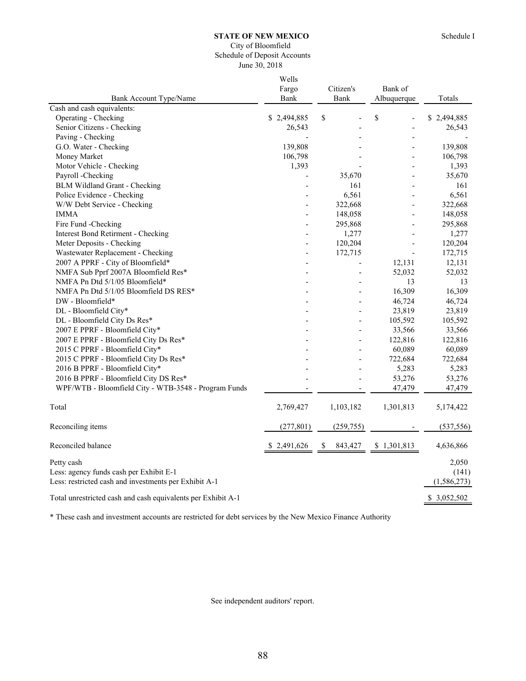## **STATE OF NEW MEXICO** Schedule I

## City of Bloomfield Schedule of Deposit Accounts June 30, 2018

| Bank Account Type/Name                                       | Wells<br>Fargo<br>Bank | Citizen's<br>Bank        | Bank of<br>Albuquerque | Totals        |
|--------------------------------------------------------------|------------------------|--------------------------|------------------------|---------------|
| Cash and cash equivalents:                                   |                        |                          |                        |               |
| Operating - Checking                                         | \$2,494,885            | \$                       | \$                     | \$2,494,885   |
| Senior Citizens - Checking                                   | 26,543                 |                          |                        | 26,543        |
| Paving - Checking                                            |                        |                          |                        |               |
| G.O. Water - Checking                                        | 139,808                |                          |                        | 139,808       |
| Money Market                                                 | 106,798                |                          |                        | 106,798       |
| Motor Vehicle - Checking                                     | 1,393                  |                          |                        | 1,393         |
| Payroll -Checking                                            |                        | 35,670                   |                        | 35,670        |
| BLM Wildland Grant - Checking                                |                        | 161                      |                        | 161           |
| Police Evidence - Checking                                   |                        | 6,561                    |                        | 6,561         |
| W/W Debt Service - Checking                                  |                        | 322,668                  |                        | 322,668       |
| <b>IMMA</b>                                                  |                        | 148,058                  |                        | 148,058       |
| Fire Fund -Checking                                          |                        | 295,868                  |                        | 295,868       |
| Interest Bond Retirment - Checking                           |                        | 1,277                    |                        | 1,277         |
| Meter Deposits - Checking                                    |                        | 120,204                  |                        | 120,204       |
| Wastewater Replacement - Checking                            |                        | 172,715                  |                        | 172,715       |
| 2007 A PPRF - City of Bloomfield*                            |                        |                          | 12,131                 | 12,131        |
| NMFA Sub Pprf 2007A Bloomfield Res*                          |                        |                          | 52,032                 | 52,032        |
| NMFA Pn Dtd 5/1/05 Bloomfield*                               |                        |                          | 13                     | 13            |
| NMFA Pn Dtd 5/1/05 Bloomfield DS RES*                        |                        |                          | 16,309                 | 16,309        |
| DW - Bloomfield*                                             |                        |                          | 46,724                 | 46,724        |
| DL - Bloomfield City*                                        |                        |                          | 23,819                 | 23,819        |
| DL - Bloomfield City Ds Res*                                 |                        |                          | 105,592                | 105,592       |
| 2007 E PPRF - Bloomfield City*                               |                        |                          | 33,566                 | 33,566        |
| 2007 E PPRF - Bloomfield City Ds Res*                        |                        |                          | 122,816                | 122,816       |
| 2015 C PPRF - Bloomfield City*                               |                        |                          | 60,089                 | 60,089        |
| 2015 C PPRF - Bloomfield City Ds Res*                        |                        |                          | 722,684                | 722,684       |
| 2016 B PPRF - Bloomfield City*                               |                        | $\overline{\phantom{a}}$ | 5,283                  | 5,283         |
| 2016 B PPRF - Bloomfield City DS Res*                        |                        |                          | 53,276                 | 53,276        |
| WPF/WTB - Bloomfield City - WTB-3548 - Program Funds         |                        |                          | 47,479                 | 47,479        |
| Total                                                        | 2,769,427              | 1,103,182                | 1,301,813              | 5,174,422     |
| Reconciling items                                            | (277, 801)             | (259, 755)               |                        | (537, 556)    |
| Reconciled balance                                           | \$2,491,626            | 843,427<br>\$            | \$1,301,813            | 4,636,866     |
| Petty cash                                                   |                        |                          |                        | 2,050         |
| Less: agency funds cash per Exhibit E-1                      |                        |                          |                        | (141)         |
| Less: restricted cash and investments per Exhibit A-1        |                        |                          |                        | (1, 586, 273) |
| Total unrestricted cash and cash equivalents per Exhibit A-1 |                        |                          |                        | \$ 3,052,502  |

\* These cash and investment accounts are restricted for debt services by the New Mexico Finance Authority

See independent auditors' report.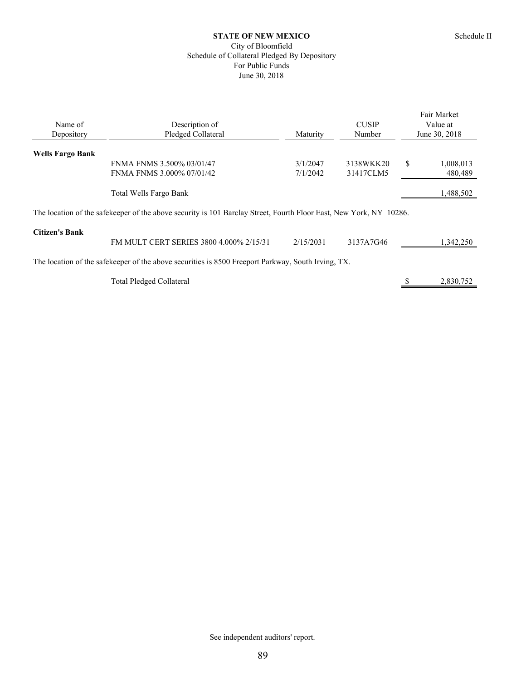## **STATE OF NEW MEXICO** Schedule II City of Bloomfield Schedule of Collateral Pledged By Depository

# For Public Funds June 30, 2018

| Name of<br>Depository   | Description of<br>Pledged Collateral                                                                               | Maturity             | <b>CUSIP</b><br>Number |     | Fair Market<br>Value at<br>June 30, 2018 |
|-------------------------|--------------------------------------------------------------------------------------------------------------------|----------------------|------------------------|-----|------------------------------------------|
|                         |                                                                                                                    |                      |                        |     |                                          |
| <b>Wells Fargo Bank</b> | FNMA FNMS 3.500% 03/01/47<br>FNMA FNMS 3.000% 07/01/42                                                             | 3/1/2047<br>7/1/2042 | 3138WKK20<br>31417CLM5 | \$. | 1,008,013<br>480,489                     |
|                         | Total Wells Fargo Bank                                                                                             |                      |                        |     | 1,488,502                                |
|                         | The location of the safekeeper of the above security is 101 Barclay Street, Fourth Floor East, New York, NY 10286. |                      |                        |     |                                          |
| <b>Citizen's Bank</b>   |                                                                                                                    |                      |                        |     |                                          |
|                         | FM MULT CERT SERIES 3800 4.000% 2/15/31                                                                            | 2/15/2031            | 3137A7G46              |     | 1,342,250                                |
|                         | The location of the safekeeper of the above securities is 8500 Freeport Parkway, South Irving, TX.                 |                      |                        |     |                                          |
|                         | Total Pledged Collateral                                                                                           |                      |                        |     | 2,830,752                                |

See independent auditors' report.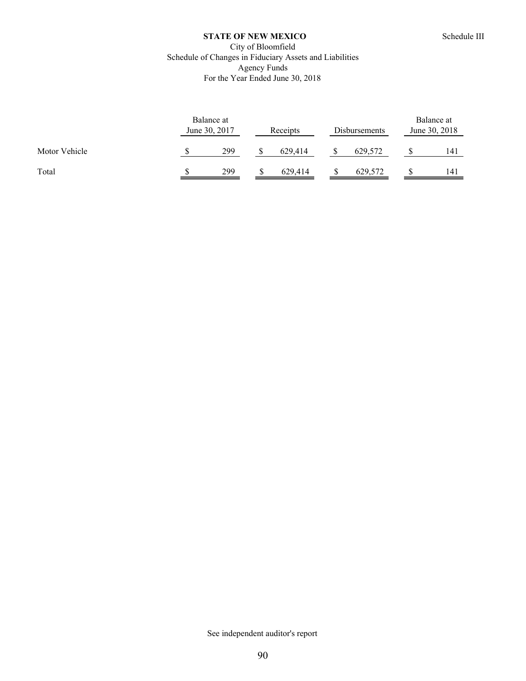# **STATE OF NEW MEXICO** Schedule III City of Bloomfield Schedule of Changes in Fiduciary Assets and Liabilities

Agency Funds

For the Year Ended June 30, 2018

|               |   | Balance at<br>June 30, 2017 | Receipts | Disbursements | Balance at<br>June 30, 2018 |
|---------------|---|-----------------------------|----------|---------------|-----------------------------|
| Motor Vehicle |   | 299                         | 629.414  | 629.572       | 141                         |
| Total         | S | 299                         | 629,414  | 629,572       | 141                         |

See independent auditor's report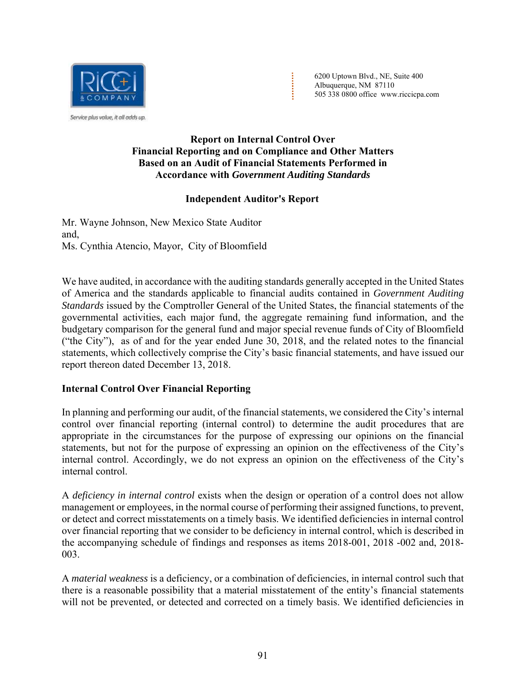

6200 Uptown Blvd., NE, Suite 400 Albuquerque, NM 87110 505 338 0800 office www.riccicpa.com

Service plus value, it all adds up.

# **Report on Internal Control Over Financial Reporting and on Compliance and Other Matters Based on an Audit of Financial Statements Performed in Accordance with** *Government Auditing Standards*

# **Independent Auditor's Report**

Mr. Wayne Johnson, New Mexico State Auditor and, Ms. Cynthia Atencio, Mayor, City of Bloomfield

We have audited, in accordance with the auditing standards generally accepted in the United States of America and the standards applicable to financial audits contained in *Government Auditing Standards* issued by the Comptroller General of the United States, the financial statements of the governmental activities, each major fund, the aggregate remaining fund information, and the budgetary comparison for the general fund and major special revenue funds of City of Bloomfield ("the City"), as of and for the year ended June 30, 2018, and the related notes to the financial statements, which collectively comprise the City's basic financial statements, and have issued our report thereon dated December 13, 2018.

# **Internal Control Over Financial Reporting**

In planning and performing our audit, of the financial statements, we considered the City's internal control over financial reporting (internal control) to determine the audit procedures that are appropriate in the circumstances for the purpose of expressing our opinions on the financial statements, but not for the purpose of expressing an opinion on the effectiveness of the City's internal control. Accordingly, we do not express an opinion on the effectiveness of the City's internal control.

A *deficiency in internal control* exists when the design or operation of a control does not allow management or employees, in the normal course of performing their assigned functions, to prevent, or detect and correct misstatements on a timely basis. We identified deficiencies in internal control over financial reporting that we consider to be deficiency in internal control, which is described in the accompanying schedule of findings and responses as items 2018-001, 2018 -002 and, 2018- 003.

A *material weakness* is a deficiency, or a combination of deficiencies, in internal control such that there is a reasonable possibility that a material misstatement of the entity's financial statements will not be prevented, or detected and corrected on a timely basis. We identified deficiencies in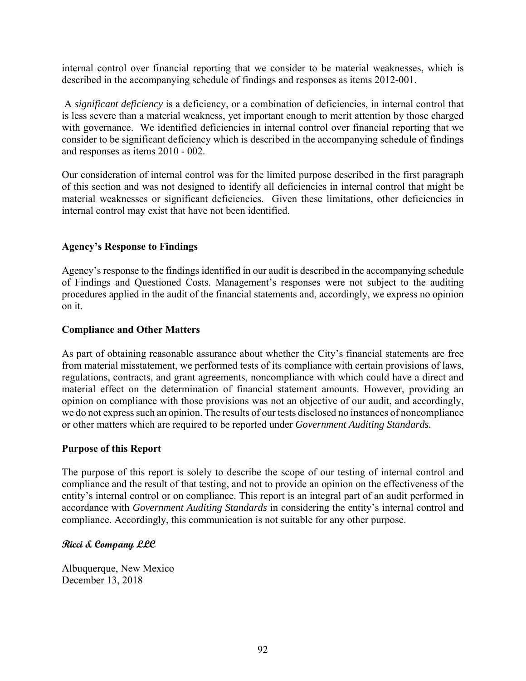internal control over financial reporting that we consider to be material weaknesses, which is described in the accompanying schedule of findings and responses as items 2012-001.

 A *significant deficiency* is a deficiency, or a combination of deficiencies, in internal control that is less severe than a material weakness, yet important enough to merit attention by those charged with governance. We identified deficiencies in internal control over financial reporting that we consider to be significant deficiency which is described in the accompanying schedule of findings and responses as items 2010 - 002.

Our consideration of internal control was for the limited purpose described in the first paragraph of this section and was not designed to identify all deficiencies in internal control that might be material weaknesses or significant deficiencies. Given these limitations, other deficiencies in internal control may exist that have not been identified.

# **Agency's Response to Findings**

Agency's response to the findings identified in our audit is described in the accompanying schedule of Findings and Questioned Costs. Management's responses were not subject to the auditing procedures applied in the audit of the financial statements and, accordingly, we express no opinion on it.

# **Compliance and Other Matters**

As part of obtaining reasonable assurance about whether the City's financial statements are free from material misstatement, we performed tests of its compliance with certain provisions of laws, regulations, contracts, and grant agreements, noncompliance with which could have a direct and material effect on the determination of financial statement amounts. However, providing an opinion on compliance with those provisions was not an objective of our audit, and accordingly, we do not express such an opinion. The results of our tests disclosed no instances of noncompliance or other matters which are required to be reported under *Government Auditing Standards.* 

# **Purpose of this Report**

The purpose of this report is solely to describe the scope of our testing of internal control and compliance and the result of that testing, and not to provide an opinion on the effectiveness of the entity's internal control or on compliance. This report is an integral part of an audit performed in accordance with *Government Auditing Standards* in considering the entity's internal control and compliance. Accordingly, this communication is not suitable for any other purpose.

# **Ricci & Company LLC**

Albuquerque, New Mexico December 13, 2018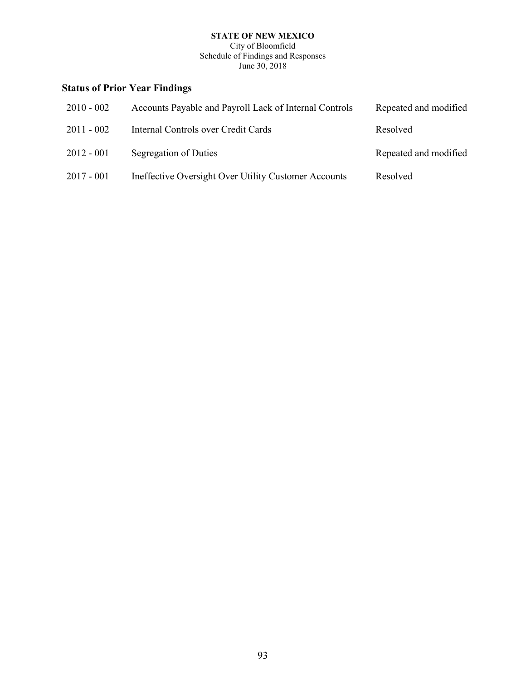City of Bloomfield Schedule of Findings and Responses June 30, 2018

# **Status of Prior Year Findings**

| $2010 - 002$ | Accounts Payable and Payroll Lack of Internal Controls | Repeated and modified |
|--------------|--------------------------------------------------------|-----------------------|
| $2011 - 002$ | Internal Controls over Credit Cards                    | Resolved              |
| $2012 - 001$ | Segregation of Duties                                  | Repeated and modified |
| $2017 - 001$ | Ineffective Oversight Over Utility Customer Accounts   | Resolved              |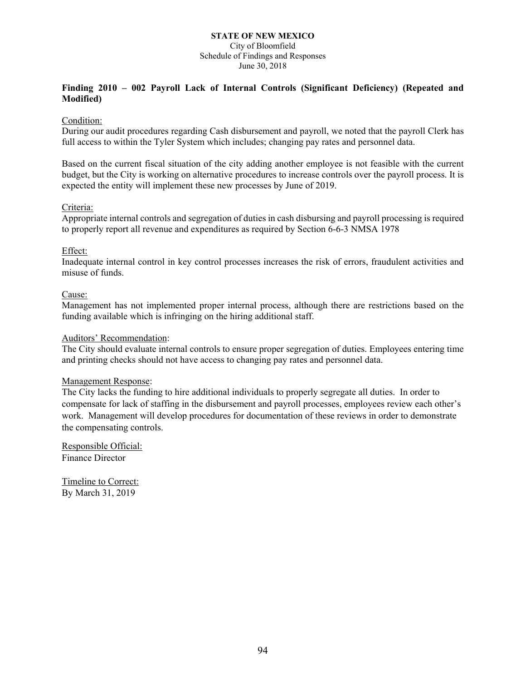## City of Bloomfield Schedule of Findings and Responses June 30, 2018

# **Finding 2010 – 002 Payroll Lack of Internal Controls (Significant Deficiency) (Repeated and Modified)**

# Condition:

During our audit procedures regarding Cash disbursement and payroll, we noted that the payroll Clerk has full access to within the Tyler System which includes; changing pay rates and personnel data.

Based on the current fiscal situation of the city adding another employee is not feasible with the current budget, but the City is working on alternative procedures to increase controls over the payroll process. It is expected the entity will implement these new processes by June of 2019.

# Criteria:

Appropriate internal controls and segregation of duties in cash disbursing and payroll processing is required to properly report all revenue and expenditures as required by Section 6-6-3 NMSA 1978

# Effect:

Inadequate internal control in key control processes increases the risk of errors, fraudulent activities and misuse of funds.

# Cause:

Management has not implemented proper internal process, although there are restrictions based on the funding available which is infringing on the hiring additional staff.

# Auditors' Recommendation:

The City should evaluate internal controls to ensure proper segregation of duties. Employees entering time and printing checks should not have access to changing pay rates and personnel data.

# Management Response:

The City lacks the funding to hire additional individuals to properly segregate all duties. In order to compensate for lack of staffing in the disbursement and payroll processes, employees review each other's work. Management will develop procedures for documentation of these reviews in order to demonstrate the compensating controls.

Responsible Official: Finance Director

Timeline to Correct: By March 31, 2019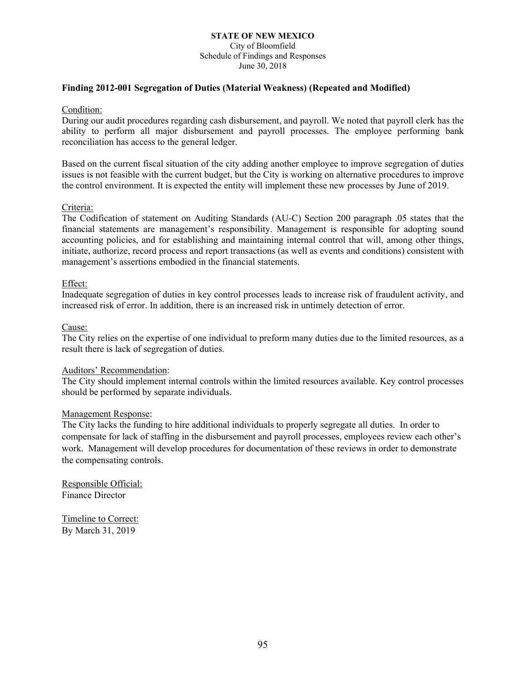## City of Bloomfield Schedule of Findings and Responses June 30, 2018

# **Finding 2012-001 Segregation of Duties (Material Weakness) (Repeated and Modified)**

# Condition:

During our audit procedures regarding cash disbursement, and payroll. We noted that payroll clerk has the ability to perform all major disbursement and payroll processes. The employee performing bank reconciliation has access to the general ledger.

Based on the current fiscal situation of the city adding another employee to improve segregation of duties issues is not feasible with the current budget, but the City is working on alternative procedures to improve the control environment. It is expected the entity will implement these new processes by June of 2019.

# Criteria:

The Codification of statement on Auditing Standards (AU-C) Section 200 paragraph .05 states that the financial statements are management's responsibility. Management is responsible for adopting sound accounting policies, and for establishing and maintaining internal control that will, among other things, initiate, authorize, record process and report transactions (as well as events and conditions) consistent with management's assertions embodied in the financial statements.

# Effect:

Inadequate segregation of duties in key control processes leads to increase risk of fraudulent activity, and increased risk of error. In addition, there is an increased risk in untimely detection of error.

# Cause:

The City relies on the expertise of one individual to preform many duties due to the limited resources, as a result there is lack of segregation of duties.

## Auditors' Recommendation:

The City should implement internal controls within the limited resources available. Key control processes should be performed by separate individuals.

## Management Response:

The City lacks the funding to hire additional individuals to properly segregate all duties. In order to compensate for lack of staffing in the disbursement and payroll processes, employees review each other's work. Management will develop procedures for documentation of these reviews in order to demonstrate the compensating controls.

Responsible Official: Finance Director

Timeline to Correct: By March 31, 2019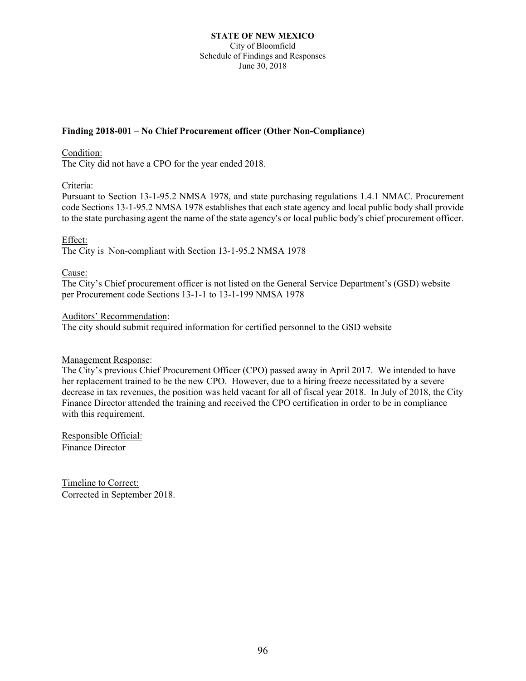## **STATE OF NEW MEXICO**  City of Bloomfield Schedule of Findings and Responses June 30, 2018

# **Finding 2018-001 – No Chief Procurement officer (Other Non-Compliance)**

# Condition:

The City did not have a CPO for the year ended 2018.

# Criteria:

Pursuant to Section 13-1-95.2 NMSA 1978, and state purchasing regulations 1.4.1 NMAC. Procurement code Sections 13-1-95.2 NMSA 1978 establishes that each state agency and local public body shall provide to the state purchasing agent the name of the state agency's or local public body's chief procurement officer.

# Effect:

The City is Non-compliant with Section 13-1-95.2 NMSA 1978

# Cause:

The City's Chief procurement officer is not listed on the General Service Department's (GSD) website per Procurement code Sections 13-1-1 to 13-1-199 NMSA 1978

# Auditors' Recommendation:

The city should submit required information for certified personnel to the GSD website

# Management Response:

The City's previous Chief Procurement Officer (CPO) passed away in April 2017. We intended to have her replacement trained to be the new CPO. However, due to a hiring freeze necessitated by a severe decrease in tax revenues, the position was held vacant for all of fiscal year 2018. In July of 2018, the City Finance Director attended the training and received the CPO certification in order to be in compliance with this requirement.

Responsible Official: Finance Director

Timeline to Correct: Corrected in September 2018.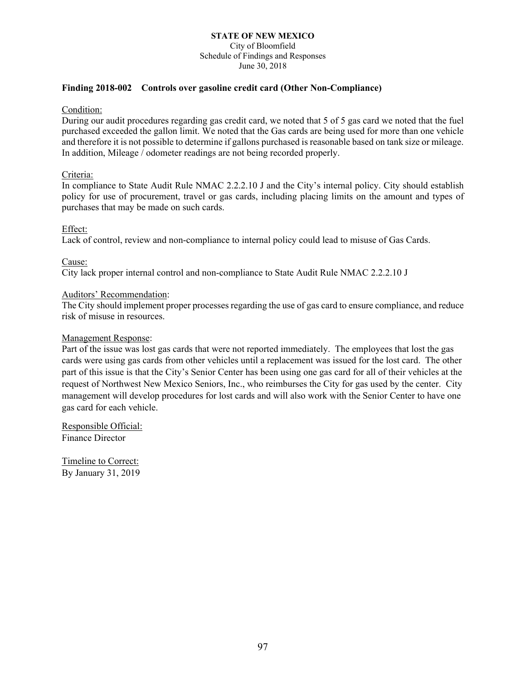City of Bloomfield Schedule of Findings and Responses June 30, 2018

# **Finding 2018-002 Controls over gasoline credit card (Other Non-Compliance)**

# Condition:

During our audit procedures regarding gas credit card, we noted that 5 of 5 gas card we noted that the fuel purchased exceeded the gallon limit. We noted that the Gas cards are being used for more than one vehicle and therefore it is not possible to determine if gallons purchased is reasonable based on tank size or mileage. In addition, Mileage / odometer readings are not being recorded properly.

# Criteria:

In compliance to State Audit Rule NMAC 2.2.2.10 J and the City's internal policy. City should establish policy for use of procurement, travel or gas cards, including placing limits on the amount and types of purchases that may be made on such cards.

# Effect:

Lack of control, review and non-compliance to internal policy could lead to misuse of Gas Cards.

Cause:

City lack proper internal control and non-compliance to State Audit Rule NMAC 2.2.2.10 J

# Auditors' Recommendation:

The City should implement proper processes regarding the use of gas card to ensure compliance, and reduce risk of misuse in resources.

# Management Response:

Part of the issue was lost gas cards that were not reported immediately. The employees that lost the gas cards were using gas cards from other vehicles until a replacement was issued for the lost card. The other part of this issue is that the City's Senior Center has been using one gas card for all of their vehicles at the request of Northwest New Mexico Seniors, Inc., who reimburses the City for gas used by the center. City management will develop procedures for lost cards and will also work with the Senior Center to have one gas card for each vehicle.

Responsible Official: Finance Director

Timeline to Correct: By January 31, 2019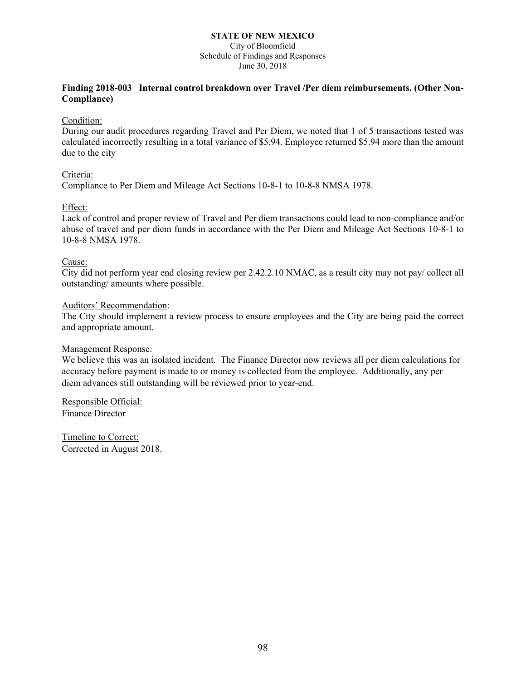## City of Bloomfield Schedule of Findings and Responses June 30, 2018

# **Finding 2018-003 Internal control breakdown over Travel /Per diem reimbursements. (Other Non-Compliance)**

# Condition:

During our audit procedures regarding Travel and Per Diem, we noted that 1 of 5 transactions tested was calculated incorrectly resulting in a total variance of \$5.94. Employee returned \$5.94 more than the amount due to the city

# Criteria:

Compliance to Per Diem and Mileage Act Sections 10-8-1 to 10-8-8 NMSA 1978.

# Effect:

Lack of control and proper review of Travel and Per diem transactions could lead to non-compliance and/or abuse of travel and per diem funds in accordance with the Per Diem and Mileage Act Sections 10-8-1 to 10-8-8 NMSA 1978.

# Cause:

City did not perform year end closing review per 2.42.2.10 NMAC, as a result city may not pay/ collect all outstanding/ amounts where possible.

# Auditors' Recommendation:

The City should implement a review process to ensure employees and the City are being paid the correct and appropriate amount.

# Management Response:

We believe this was an isolated incident. The Finance Director now reviews all per diem calculations for accuracy before payment is made to or money is collected from the employee. Additionally, any per diem advances still outstanding will be reviewed prior to year-end.

Responsible Official: Finance Director

Timeline to Correct: Corrected in August 2018.